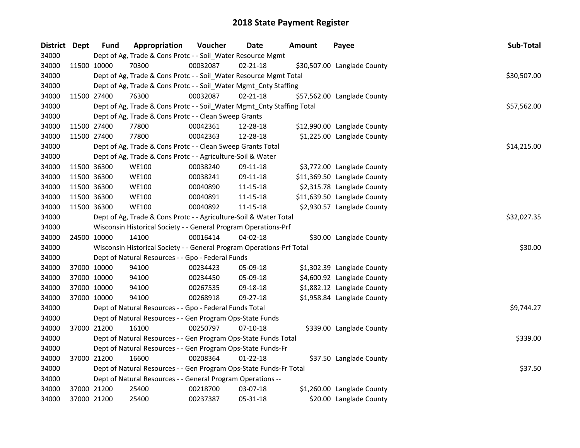| District Dept |             | <b>Fund</b> | Appropriation                                                          | Voucher  | Date           | Amount | Payee                       | Sub-Total   |
|---------------|-------------|-------------|------------------------------------------------------------------------|----------|----------------|--------|-----------------------------|-------------|
| 34000         |             |             | Dept of Ag, Trade & Cons Protc - - Soil_Water Resource Mgmt            |          |                |        |                             |             |
| 34000         |             | 11500 10000 | 70300                                                                  | 00032087 | $02 - 21 - 18$ |        | \$30,507.00 Langlade County |             |
| 34000         |             |             | Dept of Ag, Trade & Cons Protc - - Soil_Water Resource Mgmt Total      |          |                |        |                             | \$30,507.00 |
| 34000         |             |             | Dept of Ag, Trade & Cons Protc - - Soil_Water Mgmt_Cnty Staffing       |          |                |        |                             |             |
| 34000         |             | 11500 27400 | 76300                                                                  | 00032087 | $02 - 21 - 18$ |        | \$57,562.00 Langlade County |             |
| 34000         |             |             | Dept of Ag, Trade & Cons Protc - - Soil_Water Mgmt_Cnty Staffing Total |          |                |        |                             | \$57,562.00 |
| 34000         |             |             | Dept of Ag, Trade & Cons Protc - - Clean Sweep Grants                  |          |                |        |                             |             |
| 34000         |             | 11500 27400 | 77800                                                                  | 00042361 | 12-28-18       |        | \$12,990.00 Langlade County |             |
| 34000         | 11500 27400 |             | 77800                                                                  | 00042363 | 12-28-18       |        | \$1,225.00 Langlade County  |             |
| 34000         |             |             | Dept of Ag, Trade & Cons Protc - - Clean Sweep Grants Total            |          |                |        |                             | \$14,215.00 |
| 34000         |             |             | Dept of Ag, Trade & Cons Protc - - Agriculture-Soil & Water            |          |                |        |                             |             |
| 34000         | 11500 36300 |             | <b>WE100</b>                                                           | 00038240 | 09-11-18       |        | \$3,772.00 Langlade County  |             |
| 34000         | 11500 36300 |             | <b>WE100</b>                                                           | 00038241 | 09-11-18       |        | \$11,369.50 Langlade County |             |
| 34000         |             | 11500 36300 | <b>WE100</b>                                                           | 00040890 | 11-15-18       |        | \$2,315.78 Langlade County  |             |
| 34000         | 11500 36300 |             | <b>WE100</b>                                                           | 00040891 | 11-15-18       |        | \$11,639.50 Langlade County |             |
| 34000         | 11500 36300 |             | <b>WE100</b>                                                           | 00040892 | $11 - 15 - 18$ |        | \$2,930.57 Langlade County  |             |
| 34000         |             |             | Dept of Ag, Trade & Cons Protc - - Agriculture-Soil & Water Total      |          |                |        |                             | \$32,027.35 |
| 34000         |             |             | Wisconsin Historical Society - - General Program Operations-Prf        |          |                |        |                             |             |
| 34000         | 24500 10000 |             | 14100                                                                  | 00016414 | $04 - 02 - 18$ |        | \$30.00 Langlade County     |             |
| 34000         |             |             | Wisconsin Historical Society - - General Program Operations-Prf Total  |          |                |        |                             | \$30.00     |
| 34000         |             |             | Dept of Natural Resources - - Gpo - Federal Funds                      |          |                |        |                             |             |
| 34000         | 37000 10000 |             | 94100                                                                  | 00234423 | 05-09-18       |        | \$1,302.39 Langlade County  |             |
| 34000         | 37000 10000 |             | 94100                                                                  | 00234450 | 05-09-18       |        | \$4,600.92 Langlade County  |             |
| 34000         | 37000 10000 |             | 94100                                                                  | 00267535 | 09-18-18       |        | \$1,882.12 Langlade County  |             |
| 34000         | 37000 10000 |             | 94100                                                                  | 00268918 | 09-27-18       |        | \$1,958.84 Langlade County  |             |
| 34000         |             |             | Dept of Natural Resources - - Gpo - Federal Funds Total                |          |                |        |                             | \$9,744.27  |
| 34000         |             |             | Dept of Natural Resources - - Gen Program Ops-State Funds              |          |                |        |                             |             |
| 34000         | 37000 21200 |             | 16100                                                                  | 00250797 | $07-10-18$     |        | \$339.00 Langlade County    |             |
| 34000         |             |             | Dept of Natural Resources - - Gen Program Ops-State Funds Total        |          |                |        |                             | \$339.00    |
| 34000         |             |             | Dept of Natural Resources - - Gen Program Ops-State Funds-Fr           |          |                |        |                             |             |
| 34000         | 37000 21200 |             | 16600                                                                  | 00208364 | $01 - 22 - 18$ |        | \$37.50 Langlade County     |             |
| 34000         |             |             | Dept of Natural Resources - - Gen Program Ops-State Funds-Fr Total     |          |                |        |                             | \$37.50     |
| 34000         |             |             | Dept of Natural Resources - - General Program Operations --            |          |                |        |                             |             |
| 34000         |             | 37000 21200 | 25400                                                                  | 00218700 | 03-07-18       |        | \$1,260.00 Langlade County  |             |
| 34000         | 37000 21200 |             | 25400                                                                  | 00237387 | 05-31-18       |        | \$20.00 Langlade County     |             |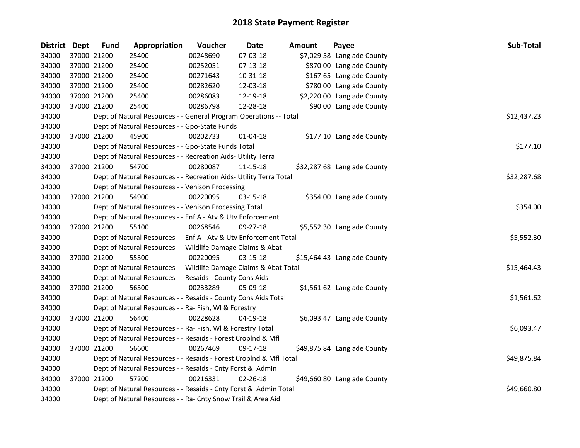| District Dept | <b>Fund</b> | Appropriation                                                      | Voucher  | Date           | <b>Amount</b> | Payee                       | Sub-Total   |
|---------------|-------------|--------------------------------------------------------------------|----------|----------------|---------------|-----------------------------|-------------|
| 34000         | 37000 21200 | 25400                                                              | 00248690 | 07-03-18       |               | \$7,029.58 Langlade County  |             |
| 34000         | 37000 21200 | 25400                                                              | 00252051 | 07-13-18       |               | \$870.00 Langlade County    |             |
| 34000         | 37000 21200 | 25400                                                              | 00271643 | 10-31-18       |               | \$167.65 Langlade County    |             |
| 34000         | 37000 21200 | 25400                                                              | 00282620 | 12-03-18       |               | \$780.00 Langlade County    |             |
| 34000         | 37000 21200 | 25400                                                              | 00286083 | 12-19-18       |               | \$2,220.00 Langlade County  |             |
| 34000         | 37000 21200 | 25400                                                              | 00286798 | 12-28-18       |               | \$90.00 Langlade County     |             |
| 34000         |             | Dept of Natural Resources - - General Program Operations -- Total  |          |                |               |                             | \$12,437.23 |
| 34000         |             | Dept of Natural Resources - - Gpo-State Funds                      |          |                |               |                             |             |
| 34000         | 37000 21200 | 45900                                                              | 00202733 | $01 - 04 - 18$ |               | \$177.10 Langlade County    |             |
| 34000         |             | Dept of Natural Resources - - Gpo-State Funds Total                |          |                |               |                             | \$177.10    |
| 34000         |             | Dept of Natural Resources - - Recreation Aids- Utility Terra       |          |                |               |                             |             |
| 34000         | 37000 21200 | 54700                                                              | 00280087 | 11-15-18       |               | \$32,287.68 Langlade County |             |
| 34000         |             | Dept of Natural Resources - - Recreation Aids- Utility Terra Total |          |                |               |                             | \$32,287.68 |
| 34000         |             | Dept of Natural Resources - - Venison Processing                   |          |                |               |                             |             |
| 34000         | 37000 21200 | 54900                                                              | 00220095 | $03 - 15 - 18$ |               | \$354.00 Langlade County    |             |
| 34000         |             | Dept of Natural Resources - - Venison Processing Total             |          |                |               |                             | \$354.00    |
| 34000         |             | Dept of Natural Resources - - Enf A - Atv & Utv Enforcement        |          |                |               |                             |             |
| 34000         | 37000 21200 | 55100                                                              | 00268546 | 09-27-18       |               | \$5,552.30 Langlade County  |             |
| 34000         |             | Dept of Natural Resources - - Enf A - Atv & Utv Enforcement Total  |          |                |               |                             | \$5,552.30  |
| 34000         |             | Dept of Natural Resources - - Wildlife Damage Claims & Abat        |          |                |               |                             |             |
| 34000         | 37000 21200 | 55300                                                              | 00220095 | 03-15-18       |               | \$15,464.43 Langlade County |             |
| 34000         |             | Dept of Natural Resources - - Wildlife Damage Claims & Abat Total  |          |                |               |                             | \$15,464.43 |
| 34000         |             | Dept of Natural Resources - - Resaids - County Cons Aids           |          |                |               |                             |             |
| 34000         | 37000 21200 | 56300                                                              | 00233289 | 05-09-18       |               | \$1,561.62 Langlade County  |             |
| 34000         |             | Dept of Natural Resources - - Resaids - County Cons Aids Total     |          |                |               |                             | \$1,561.62  |
| 34000         |             | Dept of Natural Resources - - Ra- Fish, WI & Forestry              |          |                |               |                             |             |
| 34000         | 37000 21200 | 56400                                                              | 00228628 | 04-19-18       |               | \$6,093.47 Langlade County  |             |
| 34000         |             | Dept of Natural Resources - - Ra- Fish, WI & Forestry Total        |          |                |               |                             | \$6,093.47  |
| 34000         |             | Dept of Natural Resources - - Resaids - Forest Croplnd & Mfl       |          |                |               |                             |             |
| 34000         | 37000 21200 | 56600                                                              | 00267469 | 09-17-18       |               | \$49,875.84 Langlade County |             |
| 34000         |             | Dept of Natural Resources - - Resaids - Forest CropInd & Mfl Total |          |                |               |                             | \$49,875.84 |
| 34000         |             | Dept of Natural Resources - - Resaids - Cnty Forst & Admin         |          |                |               |                             |             |
| 34000         | 37000 21200 | 57200                                                              | 00216331 | 02-26-18       |               | \$49,660.80 Langlade County |             |
| 34000         |             | Dept of Natural Resources - - Resaids - Cnty Forst & Admin Total   |          |                |               |                             | \$49,660.80 |
| 34000         |             | Dept of Natural Resources - - Ra- Cnty Snow Trail & Area Aid       |          |                |               |                             |             |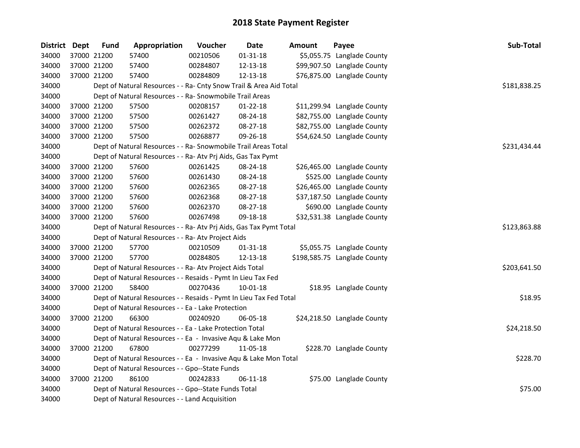| District Dept | <b>Fund</b> | Appropriation                                                      | Voucher  | <b>Date</b>    | Amount | Payee                        | Sub-Total    |
|---------------|-------------|--------------------------------------------------------------------|----------|----------------|--------|------------------------------|--------------|
| 34000         | 37000 21200 | 57400                                                              | 00210506 | $01 - 31 - 18$ |        | \$5,055.75 Langlade County   |              |
| 34000         | 37000 21200 | 57400                                                              | 00284807 | 12-13-18       |        | \$99,907.50 Langlade County  |              |
| 34000         | 37000 21200 | 57400                                                              | 00284809 | 12-13-18       |        | \$76,875.00 Langlade County  |              |
| 34000         |             | Dept of Natural Resources - - Ra- Cnty Snow Trail & Area Aid Total |          |                |        |                              | \$181,838.25 |
| 34000         |             | Dept of Natural Resources - - Ra- Snowmobile Trail Areas           |          |                |        |                              |              |
| 34000         | 37000 21200 | 57500                                                              | 00208157 | $01 - 22 - 18$ |        | \$11,299.94 Langlade County  |              |
| 34000         | 37000 21200 | 57500                                                              | 00261427 | 08-24-18       |        | \$82,755.00 Langlade County  |              |
| 34000         | 37000 21200 | 57500                                                              | 00262372 | 08-27-18       |        | \$82,755.00 Langlade County  |              |
| 34000         | 37000 21200 | 57500                                                              | 00268877 | 09-26-18       |        | \$54,624.50 Langlade County  |              |
| 34000         |             | Dept of Natural Resources - - Ra- Snowmobile Trail Areas Total     |          |                |        |                              | \$231,434.44 |
| 34000         |             | Dept of Natural Resources - - Ra- Atv Prj Aids, Gas Tax Pymt       |          |                |        |                              |              |
| 34000         | 37000 21200 | 57600                                                              | 00261425 | 08-24-18       |        | \$26,465.00 Langlade County  |              |
| 34000         | 37000 21200 | 57600                                                              | 00261430 | 08-24-18       |        | \$525.00 Langlade County     |              |
| 34000         | 37000 21200 | 57600                                                              | 00262365 | 08-27-18       |        | \$26,465.00 Langlade County  |              |
| 34000         | 37000 21200 | 57600                                                              | 00262368 | 08-27-18       |        | \$37,187.50 Langlade County  |              |
| 34000         | 37000 21200 | 57600                                                              | 00262370 | 08-27-18       |        | \$690.00 Langlade County     |              |
| 34000         | 37000 21200 | 57600                                                              | 00267498 | 09-18-18       |        | \$32,531.38 Langlade County  |              |
| 34000         |             | Dept of Natural Resources - - Ra- Atv Prj Aids, Gas Tax Pymt Total |          |                |        |                              | \$123,863.88 |
| 34000         |             | Dept of Natural Resources - - Ra- Atv Project Aids                 |          |                |        |                              |              |
| 34000         | 37000 21200 | 57700                                                              | 00210509 | $01 - 31 - 18$ |        | \$5,055.75 Langlade County   |              |
| 34000         | 37000 21200 | 57700                                                              | 00284805 | 12-13-18       |        | \$198,585.75 Langlade County |              |
| 34000         |             | Dept of Natural Resources - - Ra- Atv Project Aids Total           |          |                |        |                              | \$203,641.50 |
| 34000         |             | Dept of Natural Resources - - Resaids - Pymt In Lieu Tax Fed       |          |                |        |                              |              |
| 34000         | 37000 21200 | 58400                                                              | 00270436 | 10-01-18       |        | \$18.95 Langlade County      |              |
| 34000         |             | Dept of Natural Resources - - Resaids - Pymt In Lieu Tax Fed Total |          |                |        |                              | \$18.95      |
| 34000         |             | Dept of Natural Resources - - Ea - Lake Protection                 |          |                |        |                              |              |
| 34000         | 37000 21200 | 66300                                                              | 00240920 | 06-05-18       |        | \$24,218.50 Langlade County  |              |
| 34000         |             | Dept of Natural Resources - - Ea - Lake Protection Total           |          |                |        |                              | \$24,218.50  |
| 34000         |             | Dept of Natural Resources - - Ea - Invasive Aqu & Lake Mon         |          |                |        |                              |              |
| 34000         | 37000 21200 | 67800                                                              | 00277299 | 11-05-18       |        | \$228.70 Langlade County     |              |
| 34000         |             | Dept of Natural Resources - - Ea - Invasive Aqu & Lake Mon Total   |          |                |        |                              | \$228.70     |
| 34000         |             | Dept of Natural Resources - - Gpo--State Funds                     |          |                |        |                              |              |
| 34000         | 37000 21200 | 86100                                                              | 00242833 | 06-11-18       |        | \$75.00 Langlade County      |              |
| 34000         |             | Dept of Natural Resources - - Gpo--State Funds Total               |          |                |        |                              | \$75.00      |
| 34000         |             | Dept of Natural Resources - - Land Acquisition                     |          |                |        |                              |              |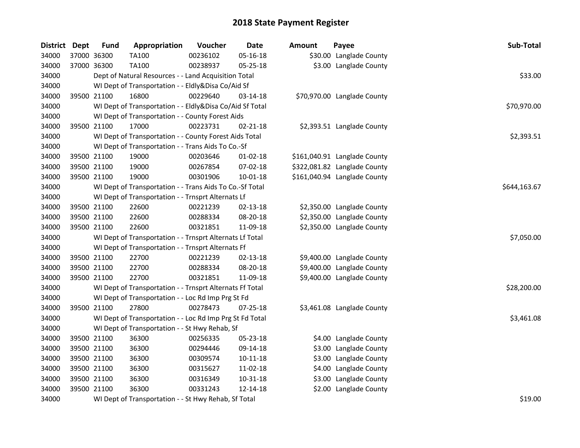| District Dept | <b>Fund</b> | Appropriation                                            | Voucher  | Date           | <b>Amount</b> | Payee                        | Sub-Total    |
|---------------|-------------|----------------------------------------------------------|----------|----------------|---------------|------------------------------|--------------|
| 34000         | 37000 36300 | <b>TA100</b>                                             | 00236102 | 05-16-18       |               | \$30.00 Langlade County      |              |
| 34000         | 37000 36300 | <b>TA100</b>                                             | 00238937 | 05-25-18       |               | \$3.00 Langlade County       |              |
| 34000         |             | Dept of Natural Resources - - Land Acquisition Total     |          |                |               |                              | \$33.00      |
| 34000         |             | WI Dept of Transportation - - Eldly&Disa Co/Aid Sf       |          |                |               |                              |              |
| 34000         | 39500 21100 | 16800                                                    | 00229640 | 03-14-18       |               | \$70,970.00 Langlade County  |              |
| 34000         |             | WI Dept of Transportation - - Eldly&Disa Co/Aid Sf Total |          |                |               |                              | \$70,970.00  |
| 34000         |             | WI Dept of Transportation - - County Forest Aids         |          |                |               |                              |              |
| 34000         | 39500 21100 | 17000                                                    | 00223731 | $02 - 21 - 18$ |               | \$2,393.51 Langlade County   |              |
| 34000         |             | WI Dept of Transportation - - County Forest Aids Total   |          |                |               |                              | \$2,393.51   |
| 34000         |             | WI Dept of Transportation - - Trans Aids To Co.-Sf       |          |                |               |                              |              |
| 34000         | 39500 21100 | 19000                                                    | 00203646 | $01 - 02 - 18$ |               | \$161,040.91 Langlade County |              |
| 34000         | 39500 21100 | 19000                                                    | 00267854 | 07-02-18       |               | \$322,081.82 Langlade County |              |
| 34000         | 39500 21100 | 19000                                                    | 00301906 | 10-01-18       |               | \$161,040.94 Langlade County |              |
| 34000         |             | WI Dept of Transportation - - Trans Aids To Co.-Sf Total |          |                |               |                              | \$644,163.67 |
| 34000         |             | WI Dept of Transportation - - Trnsprt Alternats Lf       |          |                |               |                              |              |
| 34000         | 39500 21100 | 22600                                                    | 00221239 | 02-13-18       |               | \$2,350.00 Langlade County   |              |
| 34000         | 39500 21100 | 22600                                                    | 00288334 | 08-20-18       |               | \$2,350.00 Langlade County   |              |
| 34000         | 39500 21100 | 22600                                                    | 00321851 | 11-09-18       |               | \$2,350.00 Langlade County   |              |
| 34000         |             | WI Dept of Transportation - - Trnsprt Alternats Lf Total |          |                |               |                              | \$7,050.00   |
| 34000         |             | WI Dept of Transportation - - Trnsprt Alternats Ff       |          |                |               |                              |              |
| 34000         | 39500 21100 | 22700                                                    | 00221239 | $02 - 13 - 18$ |               | \$9,400.00 Langlade County   |              |
| 34000         | 39500 21100 | 22700                                                    | 00288334 | 08-20-18       |               | \$9,400.00 Langlade County   |              |
| 34000         | 39500 21100 | 22700                                                    | 00321851 | 11-09-18       |               | \$9,400.00 Langlade County   |              |
| 34000         |             | WI Dept of Transportation - - Trnsprt Alternats Ff Total |          |                |               |                              | \$28,200.00  |
| 34000         |             | WI Dept of Transportation - - Loc Rd Imp Prg St Fd       |          |                |               |                              |              |
| 34000         | 39500 21100 | 27800                                                    | 00278473 | $07 - 25 - 18$ |               | \$3,461.08 Langlade County   |              |
| 34000         |             | WI Dept of Transportation - - Loc Rd Imp Prg St Fd Total |          |                |               |                              | \$3,461.08   |
| 34000         |             | WI Dept of Transportation - - St Hwy Rehab, Sf           |          |                |               |                              |              |
| 34000         | 39500 21100 | 36300                                                    | 00256335 | 05-23-18       |               | \$4.00 Langlade County       |              |
| 34000         | 39500 21100 | 36300                                                    | 00294446 | 09-14-18       |               | \$3.00 Langlade County       |              |
| 34000         | 39500 21100 | 36300                                                    | 00309574 | $10 - 11 - 18$ |               | \$3.00 Langlade County       |              |
| 34000         | 39500 21100 | 36300                                                    | 00315627 | 11-02-18       |               | \$4.00 Langlade County       |              |
| 34000         | 39500 21100 | 36300                                                    | 00316349 | 10-31-18       |               | \$3.00 Langlade County       |              |
| 34000         | 39500 21100 | 36300                                                    | 00331243 | 12-14-18       |               | \$2.00 Langlade County       |              |
| 34000         |             | WI Dept of Transportation - - St Hwy Rehab, Sf Total     |          |                |               |                              | \$19.00      |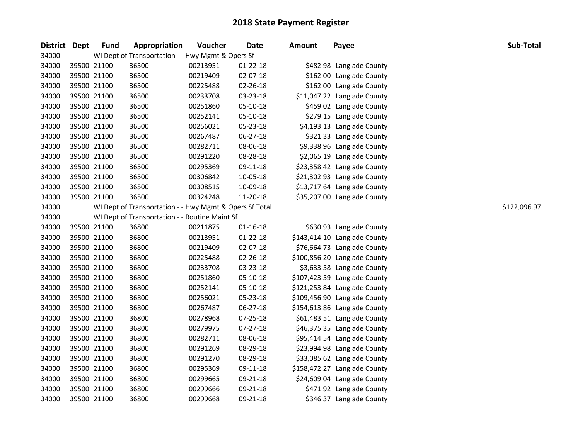| <b>District</b> | <b>Dept</b> | <b>Fund</b> | Appropriation                                           | Voucher  | Date           | <b>Amount</b> | Payee                        | Sub-Total    |
|-----------------|-------------|-------------|---------------------------------------------------------|----------|----------------|---------------|------------------------------|--------------|
| 34000           |             |             | WI Dept of Transportation - - Hwy Mgmt & Opers Sf       |          |                |               |                              |              |
| 34000           |             | 39500 21100 | 36500                                                   | 00213951 | $01 - 22 - 18$ |               | \$482.98 Langlade County     |              |
| 34000           | 39500 21100 |             | 36500                                                   | 00219409 | 02-07-18       |               | \$162.00 Langlade County     |              |
| 34000           |             | 39500 21100 | 36500                                                   | 00225488 | 02-26-18       |               | \$162.00 Langlade County     |              |
| 34000           |             | 39500 21100 | 36500                                                   | 00233708 | 03-23-18       |               | \$11,047.22 Langlade County  |              |
| 34000           |             | 39500 21100 | 36500                                                   | 00251860 | 05-10-18       |               | \$459.02 Langlade County     |              |
| 34000           |             | 39500 21100 | 36500                                                   | 00252141 | 05-10-18       |               | \$279.15 Langlade County     |              |
| 34000           | 39500 21100 |             | 36500                                                   | 00256021 | 05-23-18       |               | \$4,193.13 Langlade County   |              |
| 34000           |             | 39500 21100 | 36500                                                   | 00267487 | 06-27-18       |               | \$321.33 Langlade County     |              |
| 34000           | 39500 21100 |             | 36500                                                   | 00282711 | 08-06-18       |               | \$9,338.96 Langlade County   |              |
| 34000           | 39500 21100 |             | 36500                                                   | 00291220 | 08-28-18       |               | \$2,065.19 Langlade County   |              |
| 34000           | 39500 21100 |             | 36500                                                   | 00295369 | 09-11-18       |               | \$23,358.42 Langlade County  |              |
| 34000           | 39500 21100 |             | 36500                                                   | 00306842 | 10-05-18       |               | \$21,302.93 Langlade County  |              |
| 34000           | 39500 21100 |             | 36500                                                   | 00308515 | 10-09-18       |               | \$13,717.64 Langlade County  |              |
| 34000           |             | 39500 21100 | 36500                                                   | 00324248 | 11-20-18       |               | \$35,207.00 Langlade County  |              |
| 34000           |             |             | WI Dept of Transportation - - Hwy Mgmt & Opers Sf Total |          |                |               |                              | \$122,096.97 |
| 34000           |             |             | WI Dept of Transportation - - Routine Maint Sf          |          |                |               |                              |              |
| 34000           |             | 39500 21100 | 36800                                                   | 00211875 | $01 - 16 - 18$ |               | \$630.93 Langlade County     |              |
| 34000           |             | 39500 21100 | 36800                                                   | 00213951 | $01 - 22 - 18$ |               | \$143,414.10 Langlade County |              |
| 34000           |             | 39500 21100 | 36800                                                   | 00219409 | 02-07-18       |               | \$76,664.73 Langlade County  |              |
| 34000           | 39500 21100 |             | 36800                                                   | 00225488 | 02-26-18       |               | \$100,856.20 Langlade County |              |
| 34000           | 39500 21100 |             | 36800                                                   | 00233708 | 03-23-18       |               | \$3,633.58 Langlade County   |              |
| 34000           | 39500 21100 |             | 36800                                                   | 00251860 | 05-10-18       |               | \$107,423.59 Langlade County |              |
| 34000           | 39500 21100 |             | 36800                                                   | 00252141 | 05-10-18       |               | \$121,253.84 Langlade County |              |
| 34000           | 39500 21100 |             | 36800                                                   | 00256021 | 05-23-18       |               | \$109,456.90 Langlade County |              |
| 34000           |             | 39500 21100 | 36800                                                   | 00267487 | 06-27-18       |               | \$154,613.86 Langlade County |              |
| 34000           | 39500 21100 |             | 36800                                                   | 00278968 | 07-25-18       |               | \$61,483.51 Langlade County  |              |
| 34000           |             | 39500 21100 | 36800                                                   | 00279975 | 07-27-18       |               | \$46,375.35 Langlade County  |              |
| 34000           |             | 39500 21100 | 36800                                                   | 00282711 | 08-06-18       |               | \$95,414.54 Langlade County  |              |
| 34000           |             | 39500 21100 | 36800                                                   | 00291269 | 08-29-18       |               | \$23,994.98 Langlade County  |              |
| 34000           |             | 39500 21100 | 36800                                                   | 00291270 | 08-29-18       |               | \$33,085.62 Langlade County  |              |
| 34000           |             | 39500 21100 | 36800                                                   | 00295369 | 09-11-18       |               | \$158,472.27 Langlade County |              |
| 34000           | 39500 21100 |             | 36800                                                   | 00299665 | 09-21-18       |               | \$24,609.04 Langlade County  |              |
| 34000           | 39500 21100 |             | 36800                                                   | 00299666 | 09-21-18       |               | \$471.92 Langlade County     |              |
| 34000           | 39500 21100 |             | 36800                                                   | 00299668 | 09-21-18       |               | \$346.37 Langlade County     |              |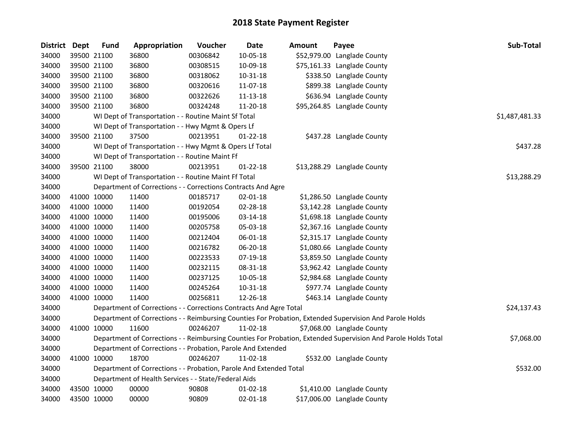| District Dept | <b>Fund</b> | Appropriation                                                      | Voucher  | <b>Date</b>    | Amount | Payee                                                                                                         | Sub-Total      |
|---------------|-------------|--------------------------------------------------------------------|----------|----------------|--------|---------------------------------------------------------------------------------------------------------------|----------------|
| 34000         | 39500 21100 | 36800                                                              | 00306842 | 10-05-18       |        | \$52,979.00 Langlade County                                                                                   |                |
| 34000         | 39500 21100 | 36800                                                              | 00308515 | 10-09-18       |        | \$75,161.33 Langlade County                                                                                   |                |
| 34000         | 39500 21100 | 36800                                                              | 00318062 | 10-31-18       |        | \$338.50 Langlade County                                                                                      |                |
| 34000         | 39500 21100 | 36800                                                              | 00320616 | 11-07-18       |        | \$899.38 Langlade County                                                                                      |                |
| 34000         | 39500 21100 | 36800                                                              | 00322626 | 11-13-18       |        | \$636.94 Langlade County                                                                                      |                |
| 34000         | 39500 21100 | 36800                                                              | 00324248 | 11-20-18       |        | \$95,264.85 Langlade County                                                                                   |                |
| 34000         |             | WI Dept of Transportation - - Routine Maint Sf Total               |          |                |        |                                                                                                               | \$1,487,481.33 |
| 34000         |             | WI Dept of Transportation - - Hwy Mgmt & Opers Lf                  |          |                |        |                                                                                                               |                |
| 34000         | 39500 21100 | 37500                                                              | 00213951 | $01-22-18$     |        | \$437.28 Langlade County                                                                                      |                |
| 34000         |             | WI Dept of Transportation - - Hwy Mgmt & Opers Lf Total            |          |                |        |                                                                                                               | \$437.28       |
| 34000         |             | WI Dept of Transportation - - Routine Maint Ff                     |          |                |        |                                                                                                               |                |
| 34000         | 39500 21100 | 38000                                                              | 00213951 | $01-22-18$     |        | \$13,288.29 Langlade County                                                                                   |                |
| 34000         |             | WI Dept of Transportation - - Routine Maint Ff Total               |          |                |        |                                                                                                               | \$13,288.29    |
| 34000         |             | Department of Corrections - - Corrections Contracts And Agre       |          |                |        |                                                                                                               |                |
| 34000         | 41000 10000 | 11400                                                              | 00185717 | 02-01-18       |        | \$1,286.50 Langlade County                                                                                    |                |
| 34000         | 41000 10000 | 11400                                                              | 00192054 | 02-28-18       |        | \$3,142.28 Langlade County                                                                                    |                |
| 34000         | 41000 10000 | 11400                                                              | 00195006 | 03-14-18       |        | \$1,698.18 Langlade County                                                                                    |                |
| 34000         | 41000 10000 | 11400                                                              | 00205758 | 05-03-18       |        | \$2,367.16 Langlade County                                                                                    |                |
| 34000         | 41000 10000 | 11400                                                              | 00212404 | 06-01-18       |        | \$2,315.17 Langlade County                                                                                    |                |
| 34000         | 41000 10000 | 11400                                                              | 00216782 | 06-20-18       |        | \$1,080.66 Langlade County                                                                                    |                |
| 34000         | 41000 10000 | 11400                                                              | 00223533 | 07-19-18       |        | \$3,859.50 Langlade County                                                                                    |                |
| 34000         | 41000 10000 | 11400                                                              | 00232115 | 08-31-18       |        | \$3,962.42 Langlade County                                                                                    |                |
| 34000         | 41000 10000 | 11400                                                              | 00237125 | 10-05-18       |        | \$2,984.68 Langlade County                                                                                    |                |
| 34000         | 41000 10000 | 11400                                                              | 00245264 | $10 - 31 - 18$ |        | \$977.74 Langlade County                                                                                      |                |
| 34000         | 41000 10000 | 11400                                                              | 00256811 | 12-26-18       |        | \$463.14 Langlade County                                                                                      |                |
| 34000         |             | Department of Corrections - - Corrections Contracts And Agre Total |          |                |        |                                                                                                               | \$24,137.43    |
| 34000         |             |                                                                    |          |                |        | Department of Corrections - - Reimbursing Counties For Probation, Extended Supervision And Parole Holds       |                |
| 34000         | 41000 10000 | 11600                                                              | 00246207 | 11-02-18       |        | \$7,068.00 Langlade County                                                                                    |                |
| 34000         |             |                                                                    |          |                |        | Department of Corrections - - Reimbursing Counties For Probation, Extended Supervision And Parole Holds Total | \$7,068.00     |
| 34000         |             | Department of Corrections - - Probation, Parole And Extended       |          |                |        |                                                                                                               |                |
| 34000         | 41000 10000 | 18700                                                              | 00246207 | 11-02-18       |        | \$532.00 Langlade County                                                                                      |                |
| 34000         |             | Department of Corrections - - Probation, Parole And Extended Total |          |                |        |                                                                                                               | \$532.00       |
| 34000         |             | Department of Health Services - - State/Federal Aids               |          |                |        |                                                                                                               |                |
| 34000         | 43500 10000 | 00000                                                              | 90808    | 01-02-18       |        | \$1,410.00 Langlade County                                                                                    |                |
| 34000         | 43500 10000 | 00000                                                              | 90809    | $02 - 01 - 18$ |        | \$17,006.00 Langlade County                                                                                   |                |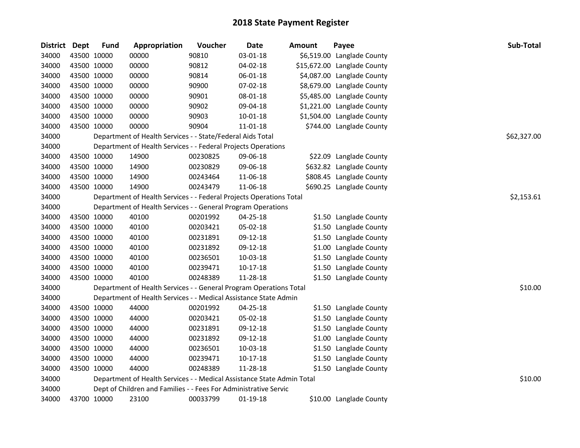| <b>District</b> | Dept | <b>Fund</b> | Appropriation                                                          | Voucher  | <b>Date</b>    | <b>Amount</b> | Payee                       | Sub-Total   |
|-----------------|------|-------------|------------------------------------------------------------------------|----------|----------------|---------------|-----------------------------|-------------|
| 34000           |      | 43500 10000 | 00000                                                                  | 90810    | 03-01-18       | \$6,519.00    | Langlade County             |             |
| 34000           |      | 43500 10000 | 00000                                                                  | 90812    | 04-02-18       |               | \$15,672.00 Langlade County |             |
| 34000           |      | 43500 10000 | 00000                                                                  | 90814    | 06-01-18       |               | \$4,087.00 Langlade County  |             |
| 34000           |      | 43500 10000 | 00000                                                                  | 90900    | 07-02-18       |               | \$8,679.00 Langlade County  |             |
| 34000           |      | 43500 10000 | 00000                                                                  | 90901    | 08-01-18       |               | \$5,485.00 Langlade County  |             |
| 34000           |      | 43500 10000 | 00000                                                                  | 90902    | 09-04-18       |               | \$1,221.00 Langlade County  |             |
| 34000           |      | 43500 10000 | 00000                                                                  | 90903    | $10 - 01 - 18$ |               | \$1,504.00 Langlade County  |             |
| 34000           |      | 43500 10000 | 00000                                                                  | 90904    | 11-01-18       |               | \$744.00 Langlade County    |             |
| 34000           |      |             | Department of Health Services - - State/Federal Aids Total             |          |                |               |                             | \$62,327.00 |
| 34000           |      |             | Department of Health Services - - Federal Projects Operations          |          |                |               |                             |             |
| 34000           |      | 43500 10000 | 14900                                                                  | 00230825 | 09-06-18       |               | \$22.09 Langlade County     |             |
| 34000           |      | 43500 10000 | 14900                                                                  | 00230829 | 09-06-18       |               | \$632.82 Langlade County    |             |
| 34000           |      | 43500 10000 | 14900                                                                  | 00243464 | 11-06-18       |               | \$808.45 Langlade County    |             |
| 34000           |      | 43500 10000 | 14900                                                                  | 00243479 | 11-06-18       |               | \$690.25 Langlade County    |             |
| 34000           |      |             | Department of Health Services - - Federal Projects Operations Total    |          |                |               |                             | \$2,153.61  |
| 34000           |      |             | Department of Health Services - - General Program Operations           |          |                |               |                             |             |
| 34000           |      | 43500 10000 | 40100                                                                  | 00201992 | 04-25-18       |               | \$1.50 Langlade County      |             |
| 34000           |      | 43500 10000 | 40100                                                                  | 00203421 | 05-02-18       |               | \$1.50 Langlade County      |             |
| 34000           |      | 43500 10000 | 40100                                                                  | 00231891 | 09-12-18       |               | \$1.50 Langlade County      |             |
| 34000           |      | 43500 10000 | 40100                                                                  | 00231892 | 09-12-18       |               | \$1.00 Langlade County      |             |
| 34000           |      | 43500 10000 | 40100                                                                  | 00236501 | 10-03-18       |               | \$1.50 Langlade County      |             |
| 34000           |      | 43500 10000 | 40100                                                                  | 00239471 | $10-17-18$     |               | \$1.50 Langlade County      |             |
| 34000           |      | 43500 10000 | 40100                                                                  | 00248389 | 11-28-18       |               | \$1.50 Langlade County      |             |
| 34000           |      |             | Department of Health Services - - General Program Operations Total     |          |                |               |                             | \$10.00     |
| 34000           |      |             | Department of Health Services - - Medical Assistance State Admin       |          |                |               |                             |             |
| 34000           |      | 43500 10000 | 44000                                                                  | 00201992 | 04-25-18       |               | \$1.50 Langlade County      |             |
| 34000           |      | 43500 10000 | 44000                                                                  | 00203421 | 05-02-18       |               | \$1.50 Langlade County      |             |
| 34000           |      | 43500 10000 | 44000                                                                  | 00231891 | 09-12-18       |               | \$1.50 Langlade County      |             |
| 34000           |      | 43500 10000 | 44000                                                                  | 00231892 | 09-12-18       |               | \$1.00 Langlade County      |             |
| 34000           |      | 43500 10000 | 44000                                                                  | 00236501 | 10-03-18       |               | \$1.50 Langlade County      |             |
| 34000           |      | 43500 10000 | 44000                                                                  | 00239471 | $10-17-18$     |               | \$1.50 Langlade County      |             |
| 34000           |      | 43500 10000 | 44000                                                                  | 00248389 | 11-28-18       |               | \$1.50 Langlade County      |             |
| 34000           |      |             | Department of Health Services - - Medical Assistance State Admin Total |          |                |               |                             | \$10.00     |
| 34000           |      |             | Dept of Children and Families - - Fees For Administrative Servic       |          |                |               |                             |             |
| 34000           |      | 43700 10000 | 23100                                                                  | 00033799 | $01-19-18$     |               | \$10.00 Langlade County     |             |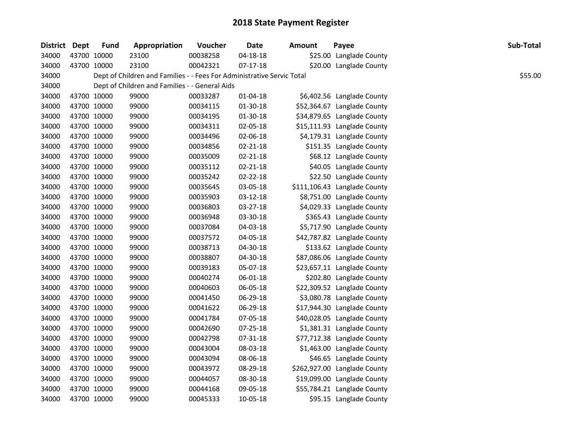| <b>District</b> | <b>Dept</b> | <b>Fund</b> | Appropriation                                                          | Voucher  | <b>Date</b>    | <b>Amount</b> | Payee                        | Sub-Total |
|-----------------|-------------|-------------|------------------------------------------------------------------------|----------|----------------|---------------|------------------------------|-----------|
| 34000           | 43700 10000 |             | 23100                                                                  | 00038258 | $04 - 18 - 18$ |               | \$25.00 Langlade County      |           |
| 34000           | 43700 10000 |             | 23100                                                                  | 00042321 | $07-17-18$     |               | \$20.00 Langlade County      |           |
| 34000           |             |             | Dept of Children and Families - - Fees For Administrative Servic Total |          |                |               |                              | \$55.00   |
| 34000           |             |             | Dept of Children and Families - - General Aids                         |          |                |               |                              |           |
| 34000           | 43700 10000 |             | 99000                                                                  | 00033287 | 01-04-18       |               | \$6,402.56 Langlade County   |           |
| 34000           | 43700 10000 |             | 99000                                                                  | 00034115 | 01-30-18       |               | \$52,364.67 Langlade County  |           |
| 34000           | 43700 10000 |             | 99000                                                                  | 00034195 | 01-30-18       |               | \$34,879.65 Langlade County  |           |
| 34000           | 43700 10000 |             | 99000                                                                  | 00034311 | 02-05-18       |               | \$15,111.93 Langlade County  |           |
| 34000           | 43700 10000 |             | 99000                                                                  | 00034496 | 02-06-18       |               | \$4,179.31 Langlade County   |           |
| 34000           | 43700 10000 |             | 99000                                                                  | 00034856 | $02 - 21 - 18$ |               | \$151.35 Langlade County     |           |
| 34000           | 43700 10000 |             | 99000                                                                  | 00035009 | 02-21-18       |               | \$68.12 Langlade County      |           |
| 34000           | 43700 10000 |             | 99000                                                                  | 00035112 | $02 - 21 - 18$ |               | \$40.05 Langlade County      |           |
| 34000           | 43700 10000 |             | 99000                                                                  | 00035242 | 02-22-18       |               | \$22.50 Langlade County      |           |
| 34000           | 43700 10000 |             | 99000                                                                  | 00035645 | 03-05-18       |               | \$111,106.43 Langlade County |           |
| 34000           | 43700 10000 |             | 99000                                                                  | 00035903 | 03-12-18       |               | \$8,751.00 Langlade County   |           |
| 34000           | 43700 10000 |             | 99000                                                                  | 00036803 | 03-27-18       |               | \$4,029.33 Langlade County   |           |
| 34000           | 43700 10000 |             | 99000                                                                  | 00036948 | 03-30-18       |               | \$365.43 Langlade County     |           |
| 34000           | 43700 10000 |             | 99000                                                                  | 00037084 | 04-03-18       |               | \$5,717.90 Langlade County   |           |
| 34000           | 43700 10000 |             | 99000                                                                  | 00037572 | 04-05-18       |               | \$42,787.82 Langlade County  |           |
| 34000           | 43700 10000 |             | 99000                                                                  | 00038713 | 04-30-18       |               | \$133.62 Langlade County     |           |
| 34000           | 43700 10000 |             | 99000                                                                  | 00038807 | 04-30-18       |               | \$87,086.06 Langlade County  |           |
| 34000           | 43700 10000 |             | 99000                                                                  | 00039183 | 05-07-18       |               | \$23,657.11 Langlade County  |           |
| 34000           | 43700 10000 |             | 99000                                                                  | 00040274 | 06-01-18       |               | \$202.80 Langlade County     |           |
| 34000           | 43700 10000 |             | 99000                                                                  | 00040603 | 06-05-18       |               | \$22,309.52 Langlade County  |           |
| 34000           | 43700 10000 |             | 99000                                                                  | 00041450 | 06-29-18       |               | \$3,080.78 Langlade County   |           |
| 34000           | 43700 10000 |             | 99000                                                                  | 00041622 | 06-29-18       |               | \$17,944.30 Langlade County  |           |
| 34000           | 43700 10000 |             | 99000                                                                  | 00041784 | 07-05-18       |               | \$40,028.05 Langlade County  |           |
| 34000           | 43700 10000 |             | 99000                                                                  | 00042690 | 07-25-18       |               | \$1,381.31 Langlade County   |           |
| 34000           | 43700 10000 |             | 99000                                                                  | 00042798 | 07-31-18       |               | \$77,712.38 Langlade County  |           |
| 34000           | 43700 10000 |             | 99000                                                                  | 00043004 | 08-03-18       |               | \$1,463.00 Langlade County   |           |
| 34000           | 43700 10000 |             | 99000                                                                  | 00043094 | 08-06-18       |               | \$46.65 Langlade County      |           |
| 34000           | 43700 10000 |             | 99000                                                                  | 00043972 | 08-29-18       |               | \$262,927.00 Langlade County |           |
| 34000           | 43700 10000 |             | 99000                                                                  | 00044057 | 08-30-18       |               | \$19,099.00 Langlade County  |           |
| 34000           | 43700 10000 |             | 99000                                                                  | 00044168 | 09-05-18       |               | \$55,784.21 Langlade County  |           |
| 34000           | 43700 10000 |             | 99000                                                                  | 00045333 | 10-05-18       |               | \$95.15 Langlade County      |           |
|                 |             |             |                                                                        |          |                |               |                              |           |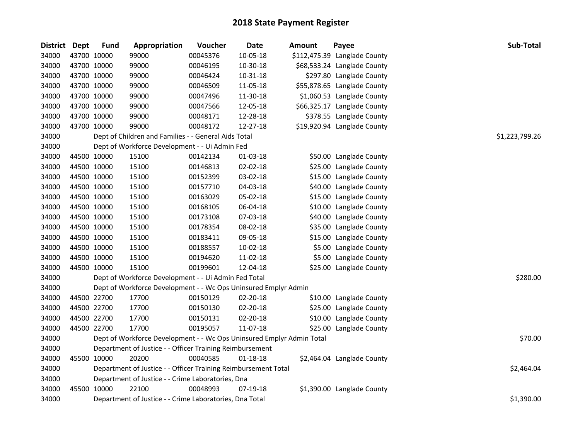| District Dept |             | <b>Fund</b> | Appropriation                                                         | Voucher  | <b>Date</b> | Amount | Payee                        | Sub-Total      |
|---------------|-------------|-------------|-----------------------------------------------------------------------|----------|-------------|--------|------------------------------|----------------|
| 34000         |             | 43700 10000 | 99000                                                                 | 00045376 | 10-05-18    |        | \$112,475.39 Langlade County |                |
| 34000         |             | 43700 10000 | 99000                                                                 | 00046195 | 10-30-18    |        | \$68,533.24 Langlade County  |                |
| 34000         | 43700 10000 |             | 99000                                                                 | 00046424 | 10-31-18    |        | \$297.80 Langlade County     |                |
| 34000         |             | 43700 10000 | 99000                                                                 | 00046509 | 11-05-18    |        | \$55,878.65 Langlade County  |                |
| 34000         |             | 43700 10000 | 99000                                                                 | 00047496 | 11-30-18    |        | \$1,060.53 Langlade County   |                |
| 34000         |             | 43700 10000 | 99000                                                                 | 00047566 | 12-05-18    |        | \$66,325.17 Langlade County  |                |
| 34000         |             | 43700 10000 | 99000                                                                 | 00048171 | 12-28-18    |        | \$378.55 Langlade County     |                |
| 34000         | 43700 10000 |             | 99000                                                                 | 00048172 | 12-27-18    |        | \$19,920.94 Langlade County  |                |
| 34000         |             |             | Dept of Children and Families - - General Aids Total                  |          |             |        |                              | \$1,223,799.26 |
| 34000         |             |             | Dept of Workforce Development - - Ui Admin Fed                        |          |             |        |                              |                |
| 34000         |             | 44500 10000 | 15100                                                                 | 00142134 | 01-03-18    |        | \$50.00 Langlade County      |                |
| 34000         |             | 44500 10000 | 15100                                                                 | 00146813 | 02-02-18    |        | \$25.00 Langlade County      |                |
| 34000         |             | 44500 10000 | 15100                                                                 | 00152399 | 03-02-18    |        | \$15.00 Langlade County      |                |
| 34000         |             | 44500 10000 | 15100                                                                 | 00157710 | 04-03-18    |        | \$40.00 Langlade County      |                |
| 34000         |             | 44500 10000 | 15100                                                                 | 00163029 | 05-02-18    |        | \$15.00 Langlade County      |                |
| 34000         |             | 44500 10000 | 15100                                                                 | 00168105 | 06-04-18    |        | \$10.00 Langlade County      |                |
| 34000         |             | 44500 10000 | 15100                                                                 | 00173108 | 07-03-18    |        | \$40.00 Langlade County      |                |
| 34000         |             | 44500 10000 | 15100                                                                 | 00178354 | 08-02-18    |        | \$35.00 Langlade County      |                |
| 34000         |             | 44500 10000 | 15100                                                                 | 00183411 | 09-05-18    |        | \$15.00 Langlade County      |                |
| 34000         |             | 44500 10000 | 15100                                                                 | 00188557 | 10-02-18    |        | \$5.00 Langlade County       |                |
| 34000         |             | 44500 10000 | 15100                                                                 | 00194620 | 11-02-18    |        | \$5.00 Langlade County       |                |
| 34000         | 44500 10000 |             | 15100                                                                 | 00199601 | 12-04-18    |        | \$25.00 Langlade County      |                |
| 34000         |             |             | Dept of Workforce Development - - Ui Admin Fed Total                  |          |             |        |                              | \$280.00       |
| 34000         |             |             | Dept of Workforce Development - - Wc Ops Uninsured Emplyr Admin       |          |             |        |                              |                |
| 34000         |             | 44500 22700 | 17700                                                                 | 00150129 | 02-20-18    |        | \$10.00 Langlade County      |                |
| 34000         |             | 44500 22700 | 17700                                                                 | 00150130 | 02-20-18    |        | \$25.00 Langlade County      |                |
| 34000         |             | 44500 22700 | 17700                                                                 | 00150131 | 02-20-18    |        | \$10.00 Langlade County      |                |
| 34000         | 44500 22700 |             | 17700                                                                 | 00195057 | 11-07-18    |        | \$25.00 Langlade County      |                |
| 34000         |             |             | Dept of Workforce Development - - Wc Ops Uninsured Emplyr Admin Total |          |             |        |                              | \$70.00        |
| 34000         |             |             | Department of Justice - - Officer Training Reimbursement              |          |             |        |                              |                |
| 34000         |             | 45500 10000 | 20200                                                                 | 00040585 | 01-18-18    |        | \$2,464.04 Langlade County   |                |
| 34000         |             |             | Department of Justice - - Officer Training Reimbursement Total        |          |             |        |                              | \$2,464.04     |
| 34000         |             |             | Department of Justice - - Crime Laboratories, Dna                     |          |             |        |                              |                |
| 34000         |             | 45500 10000 | 22100                                                                 | 00048993 | 07-19-18    |        | \$1,390.00 Langlade County   |                |
| 34000         |             |             | Department of Justice - - Crime Laboratories, Dna Total               |          |             |        |                              | \$1,390.00     |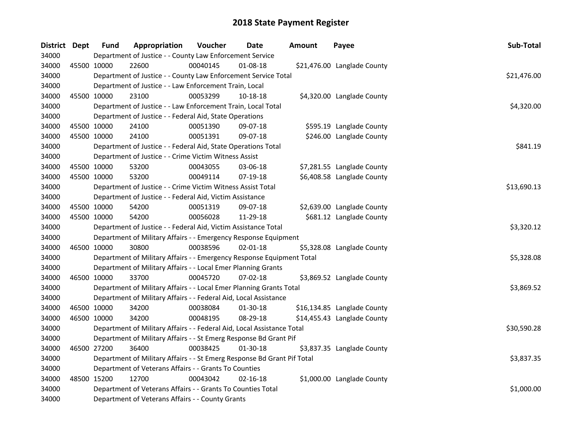| District Dept | <b>Fund</b> | Appropriation                                                           | Voucher  | <b>Date</b>    | <b>Amount</b> | Payee                       | Sub-Total   |
|---------------|-------------|-------------------------------------------------------------------------|----------|----------------|---------------|-----------------------------|-------------|
| 34000         |             | Department of Justice - - County Law Enforcement Service                |          |                |               |                             |             |
| 34000         | 45500 10000 | 22600                                                                   | 00040145 | $01 - 08 - 18$ |               | \$21,476.00 Langlade County |             |
| 34000         |             | Department of Justice - - County Law Enforcement Service Total          |          |                |               |                             | \$21,476.00 |
| 34000         |             | Department of Justice - - Law Enforcement Train, Local                  |          |                |               |                             |             |
| 34000         | 45500 10000 | 23100                                                                   | 00053299 | 10-18-18       |               | \$4,320.00 Langlade County  |             |
| 34000         |             | Department of Justice - - Law Enforcement Train, Local Total            |          |                |               |                             | \$4,320.00  |
| 34000         |             | Department of Justice - - Federal Aid, State Operations                 |          |                |               |                             |             |
| 34000         | 45500 10000 | 24100                                                                   | 00051390 | 09-07-18       |               | \$595.19 Langlade County    |             |
| 34000         | 45500 10000 | 24100                                                                   | 00051391 | 09-07-18       |               | \$246.00 Langlade County    |             |
| 34000         |             | Department of Justice - - Federal Aid, State Operations Total           |          |                |               |                             | \$841.19    |
| 34000         |             | Department of Justice - - Crime Victim Witness Assist                   |          |                |               |                             |             |
| 34000         | 45500 10000 | 53200                                                                   | 00043055 | 03-06-18       |               | \$7,281.55 Langlade County  |             |
| 34000         | 45500 10000 | 53200                                                                   | 00049114 | 07-19-18       |               | \$6,408.58 Langlade County  |             |
| 34000         |             | Department of Justice - - Crime Victim Witness Assist Total             |          |                |               |                             | \$13,690.13 |
| 34000         |             | Department of Justice - - Federal Aid, Victim Assistance                |          |                |               |                             |             |
| 34000         | 45500 10000 | 54200                                                                   | 00051319 | 09-07-18       |               | \$2,639.00 Langlade County  |             |
| 34000         | 45500 10000 | 54200                                                                   | 00056028 | 11-29-18       |               | \$681.12 Langlade County    |             |
| 34000         |             | Department of Justice - - Federal Aid, Victim Assistance Total          |          |                |               |                             | \$3,320.12  |
| 34000         |             | Department of Military Affairs - - Emergency Response Equipment         |          |                |               |                             |             |
| 34000         | 46500 10000 | 30800                                                                   | 00038596 | $02 - 01 - 18$ |               | \$5,328.08 Langlade County  |             |
| 34000         |             | Department of Military Affairs - - Emergency Response Equipment Total   |          |                |               |                             | \$5,328.08  |
| 34000         |             | Department of Military Affairs - - Local Emer Planning Grants           |          |                |               |                             |             |
| 34000         | 46500 10000 | 33700                                                                   | 00045720 | 07-02-18       |               | \$3,869.52 Langlade County  |             |
| 34000         |             | Department of Military Affairs - - Local Emer Planning Grants Total     |          |                |               |                             | \$3,869.52  |
| 34000         |             | Department of Military Affairs - - Federal Aid, Local Assistance        |          |                |               |                             |             |
| 34000         | 46500 10000 | 34200                                                                   | 00038084 | 01-30-18       |               | \$16,134.85 Langlade County |             |
| 34000         | 46500 10000 | 34200                                                                   | 00048195 | 08-29-18       |               | \$14,455.43 Langlade County |             |
| 34000         |             | Department of Military Affairs - - Federal Aid, Local Assistance Total  |          |                |               |                             | \$30,590.28 |
| 34000         |             | Department of Military Affairs - - St Emerg Response Bd Grant Pif       |          |                |               |                             |             |
| 34000         | 46500 27200 | 36400                                                                   | 00038425 | $01-30-18$     |               | \$3,837.35 Langlade County  |             |
| 34000         |             | Department of Military Affairs - - St Emerg Response Bd Grant Pif Total |          |                |               |                             | \$3,837.35  |
| 34000         |             | Department of Veterans Affairs - - Grants To Counties                   |          |                |               |                             |             |
| 34000         | 48500 15200 | 12700                                                                   | 00043042 | $02 - 16 - 18$ |               | \$1,000.00 Langlade County  |             |
| 34000         |             | Department of Veterans Affairs - - Grants To Counties Total             |          |                |               |                             | \$1,000.00  |
| 34000         |             | Department of Veterans Affairs - - County Grants                        |          |                |               |                             |             |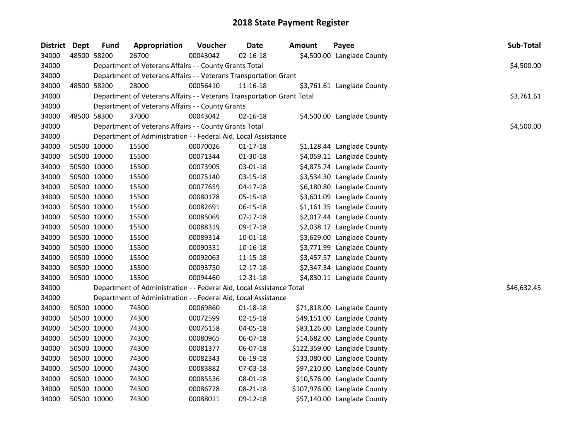| District Dept | <b>Fund</b> | Appropriation                                                          | Voucher  | <b>Date</b>    | Amount | Payee                        | Sub-Total   |
|---------------|-------------|------------------------------------------------------------------------|----------|----------------|--------|------------------------------|-------------|
| 34000         | 48500 58200 | 26700                                                                  | 00043042 | $02 - 16 - 18$ |        | \$4,500.00 Langlade County   |             |
| 34000         |             | Department of Veterans Affairs - - County Grants Total                 |          |                |        |                              | \$4,500.00  |
| 34000         |             | Department of Veterans Affairs - - Veterans Transportation Grant       |          |                |        |                              |             |
| 34000         | 48500 58200 | 28000                                                                  | 00056410 | 11-16-18       |        | \$3,761.61 Langlade County   |             |
| 34000         |             | Department of Veterans Affairs - - Veterans Transportation Grant Total |          |                |        |                              | \$3,761.61  |
| 34000         |             | Department of Veterans Affairs - - County Grants                       |          |                |        |                              |             |
| 34000         | 48500 58300 | 37000                                                                  | 00043042 | $02 - 16 - 18$ |        | \$4,500.00 Langlade County   |             |
| 34000         |             | Department of Veterans Affairs - - County Grants Total                 |          |                |        |                              | \$4,500.00  |
| 34000         |             | Department of Administration - - Federal Aid, Local Assistance         |          |                |        |                              |             |
| 34000         | 50500 10000 | 15500                                                                  | 00070026 | $01 - 17 - 18$ |        | \$1,128.44 Langlade County   |             |
| 34000         | 50500 10000 | 15500                                                                  | 00071344 | 01-30-18       |        | \$4,059.11 Langlade County   |             |
| 34000         | 50500 10000 | 15500                                                                  | 00073905 | 03-01-18       |        | \$4,875.74 Langlade County   |             |
| 34000         | 50500 10000 | 15500                                                                  | 00075140 | 03-15-18       |        | \$3,534.30 Langlade County   |             |
| 34000         | 50500 10000 | 15500                                                                  | 00077659 | $04 - 17 - 18$ |        | \$6,180.80 Langlade County   |             |
| 34000         | 50500 10000 | 15500                                                                  | 00080178 | 05-15-18       |        | \$3,601.09 Langlade County   |             |
| 34000         | 50500 10000 | 15500                                                                  | 00082691 | 06-15-18       |        | \$1,161.35 Langlade County   |             |
| 34000         | 50500 10000 | 15500                                                                  | 00085069 | 07-17-18       |        | \$2,017.44 Langlade County   |             |
| 34000         | 50500 10000 | 15500                                                                  | 00088319 | 09-17-18       |        | \$2,038.17 Langlade County   |             |
| 34000         | 50500 10000 | 15500                                                                  | 00089314 | 10-01-18       |        | \$3,629.00 Langlade County   |             |
| 34000         | 50500 10000 | 15500                                                                  | 00090331 | 10-16-18       |        | \$3,771.99 Langlade County   |             |
| 34000         | 50500 10000 | 15500                                                                  | 00092063 | $11 - 15 - 18$ |        | \$3,457.57 Langlade County   |             |
| 34000         | 50500 10000 | 15500                                                                  | 00093750 | 12-17-18       |        | \$2,347.34 Langlade County   |             |
| 34000         | 50500 10000 | 15500                                                                  | 00094460 | 12-31-18       |        | \$4,830.11 Langlade County   |             |
| 34000         |             | Department of Administration - - Federal Aid, Local Assistance Total   |          |                |        |                              | \$46,632.45 |
| 34000         |             | Department of Administration - - Federal Aid, Local Assistance         |          |                |        |                              |             |
| 34000         | 50500 10000 | 74300                                                                  | 00069860 | $01 - 18 - 18$ |        | \$71,818.00 Langlade County  |             |
| 34000         | 50500 10000 | 74300                                                                  | 00072599 | $02 - 15 - 18$ |        | \$49,151.00 Langlade County  |             |
| 34000         | 50500 10000 | 74300                                                                  | 00076158 | 04-05-18       |        | \$83,126.00 Langlade County  |             |
| 34000         | 50500 10000 | 74300                                                                  | 00080965 | 06-07-18       |        | \$14,682.00 Langlade County  |             |
| 34000         | 50500 10000 | 74300                                                                  | 00081377 | 06-07-18       |        | \$122,359.00 Langlade County |             |
| 34000         | 50500 10000 | 74300                                                                  | 00082343 | 06-19-18       |        | \$33,080.00 Langlade County  |             |
| 34000         | 50500 10000 | 74300                                                                  | 00083882 | 07-03-18       |        | \$97,210.00 Langlade County  |             |
| 34000         | 50500 10000 | 74300                                                                  | 00085536 | 08-01-18       |        | \$10,576.00 Langlade County  |             |
| 34000         | 50500 10000 | 74300                                                                  | 00086728 | 08-21-18       |        | \$107,976.00 Langlade County |             |
| 34000         | 50500 10000 | 74300                                                                  | 00088011 | 09-12-18       |        | \$57,140.00 Langlade County  |             |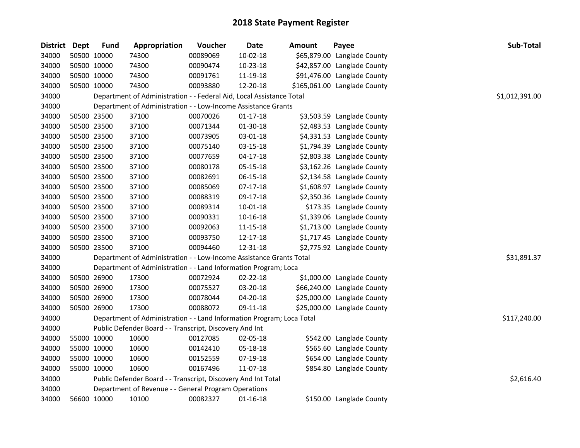| <b>District Dept</b> | <b>Fund</b> | Appropriation                                                         | Voucher  | <b>Date</b>    | Amount | Payee                        | Sub-Total      |
|----------------------|-------------|-----------------------------------------------------------------------|----------|----------------|--------|------------------------------|----------------|
| 34000                | 50500 10000 | 74300                                                                 | 00089069 | $10-02-18$     |        | \$65,879.00 Langlade County  |                |
| 34000                | 50500 10000 | 74300                                                                 | 00090474 | 10-23-18       |        | \$42,857.00 Langlade County  |                |
| 34000                | 50500 10000 | 74300                                                                 | 00091761 | 11-19-18       |        | \$91,476.00 Langlade County  |                |
| 34000                | 50500 10000 | 74300                                                                 | 00093880 | 12-20-18       |        | \$165,061.00 Langlade County |                |
| 34000                |             | Department of Administration - - Federal Aid, Local Assistance Total  |          |                |        |                              | \$1,012,391.00 |
| 34000                |             | Department of Administration - - Low-Income Assistance Grants         |          |                |        |                              |                |
| 34000                | 50500 23500 | 37100                                                                 | 00070026 | $01 - 17 - 18$ |        | \$3,503.59 Langlade County   |                |
| 34000                | 50500 23500 | 37100                                                                 | 00071344 | 01-30-18       |        | \$2,483.53 Langlade County   |                |
| 34000                | 50500 23500 | 37100                                                                 | 00073905 | 03-01-18       |        | \$4,331.53 Langlade County   |                |
| 34000                | 50500 23500 | 37100                                                                 | 00075140 | 03-15-18       |        | \$1,794.39 Langlade County   |                |
| 34000                | 50500 23500 | 37100                                                                 | 00077659 | $04 - 17 - 18$ |        | \$2,803.38 Langlade County   |                |
| 34000                | 50500 23500 | 37100                                                                 | 00080178 | 05-15-18       |        | \$3,162.26 Langlade County   |                |
| 34000                | 50500 23500 | 37100                                                                 | 00082691 | 06-15-18       |        | \$2,134.58 Langlade County   |                |
| 34000                | 50500 23500 | 37100                                                                 | 00085069 | $07-17-18$     |        | \$1,608.97 Langlade County   |                |
| 34000                | 50500 23500 | 37100                                                                 | 00088319 | 09-17-18       |        | \$2,350.36 Langlade County   |                |
| 34000                | 50500 23500 | 37100                                                                 | 00089314 | 10-01-18       |        | \$173.35 Langlade County     |                |
| 34000                | 50500 23500 | 37100                                                                 | 00090331 | 10-16-18       |        | \$1,339.06 Langlade County   |                |
| 34000                | 50500 23500 | 37100                                                                 | 00092063 | $11 - 15 - 18$ |        | \$1,713.00 Langlade County   |                |
| 34000                | 50500 23500 | 37100                                                                 | 00093750 | 12-17-18       |        | \$1,717.45 Langlade County   |                |
| 34000                | 50500 23500 | 37100                                                                 | 00094460 | 12-31-18       |        | \$2,775.92 Langlade County   |                |
| 34000                |             | Department of Administration - - Low-Income Assistance Grants Total   |          |                |        |                              | \$31,891.37    |
| 34000                |             | Department of Administration - - Land Information Program; Loca       |          |                |        |                              |                |
| 34000                | 50500 26900 | 17300                                                                 | 00072924 | $02 - 22 - 18$ |        | \$1,000.00 Langlade County   |                |
| 34000                | 50500 26900 | 17300                                                                 | 00075527 | 03-20-18       |        | \$66,240.00 Langlade County  |                |
| 34000                | 50500 26900 | 17300                                                                 | 00078044 | 04-20-18       |        | \$25,000.00 Langlade County  |                |
| 34000                | 50500 26900 | 17300                                                                 | 00088072 | 09-11-18       |        | \$25,000.00 Langlade County  |                |
| 34000                |             | Department of Administration - - Land Information Program; Loca Total |          |                |        |                              | \$117,240.00   |
| 34000                |             | Public Defender Board - - Transcript, Discovery And Int               |          |                |        |                              |                |
| 34000                | 55000 10000 | 10600                                                                 | 00127085 | 02-05-18       |        | \$542.00 Langlade County     |                |
| 34000                | 55000 10000 | 10600                                                                 | 00142410 | 05-18-18       |        | \$565.60 Langlade County     |                |
| 34000                | 55000 10000 | 10600                                                                 | 00152559 | 07-19-18       |        | \$654.00 Langlade County     |                |
| 34000                | 55000 10000 | 10600                                                                 | 00167496 | 11-07-18       |        | \$854.80 Langlade County     |                |
| 34000                |             | Public Defender Board - - Transcript, Discovery And Int Total         |          |                |        |                              | \$2,616.40     |
| 34000                |             | Department of Revenue - - General Program Operations                  |          |                |        |                              |                |
| 34000                | 56600 10000 | 10100                                                                 | 00082327 | $01 - 16 - 18$ |        | \$150.00 Langlade County     |                |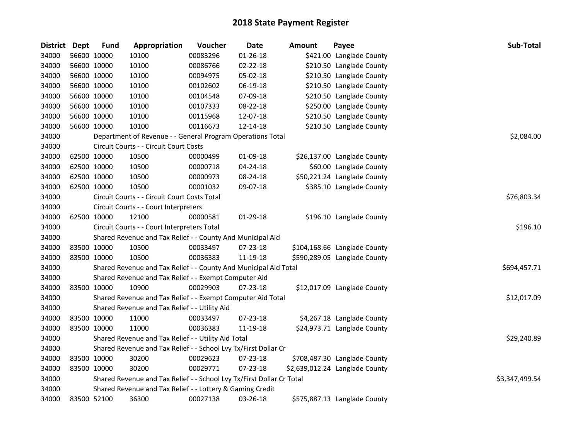| <b>District</b> | Dept | <b>Fund</b> | Appropriation                                                         | Voucher  | <b>Date</b>    | <b>Amount</b> | Payee                          | Sub-Total      |  |  |  |
|-----------------|------|-------------|-----------------------------------------------------------------------|----------|----------------|---------------|--------------------------------|----------------|--|--|--|
| 34000           |      | 56600 10000 | 10100                                                                 | 00083296 | $01 - 26 - 18$ |               | \$421.00 Langlade County       |                |  |  |  |
| 34000           |      | 56600 10000 | 10100                                                                 | 00086766 | $02 - 22 - 18$ |               | \$210.50 Langlade County       |                |  |  |  |
| 34000           |      | 56600 10000 | 10100                                                                 | 00094975 | 05-02-18       |               | \$210.50 Langlade County       |                |  |  |  |
| 34000           |      | 56600 10000 | 10100                                                                 | 00102602 | 06-19-18       |               | \$210.50 Langlade County       |                |  |  |  |
| 34000           |      | 56600 10000 | 10100                                                                 | 00104548 | 07-09-18       |               | \$210.50 Langlade County       |                |  |  |  |
| 34000           |      | 56600 10000 | 10100                                                                 | 00107333 | 08-22-18       |               | \$250.00 Langlade County       |                |  |  |  |
| 34000           |      | 56600 10000 | 10100                                                                 | 00115968 | 12-07-18       |               | \$210.50 Langlade County       |                |  |  |  |
| 34000           |      | 56600 10000 | 10100                                                                 | 00116673 | 12-14-18       |               | \$210.50 Langlade County       |                |  |  |  |
| 34000           |      |             | Department of Revenue - - General Program Operations Total            |          |                |               |                                | \$2,084.00     |  |  |  |
| 34000           |      |             | Circuit Courts - - Circuit Court Costs                                |          |                |               |                                |                |  |  |  |
| 34000           |      | 62500 10000 | 10500                                                                 | 00000499 | 01-09-18       |               | \$26,137.00 Langlade County    |                |  |  |  |
| 34000           |      | 62500 10000 | 10500                                                                 | 00000718 | 04-24-18       |               | \$60.00 Langlade County        |                |  |  |  |
| 34000           |      | 62500 10000 | 10500                                                                 | 00000973 | 08-24-18       |               | \$50,221.24 Langlade County    |                |  |  |  |
| 34000           |      | 62500 10000 | 10500                                                                 | 00001032 | 09-07-18       |               | \$385.10 Langlade County       |                |  |  |  |
| 34000           |      |             | Circuit Courts - - Circuit Court Costs Total                          |          |                |               |                                | \$76,803.34    |  |  |  |
| 34000           |      |             | Circuit Courts - - Court Interpreters                                 |          |                |               |                                |                |  |  |  |
| 34000           |      | 62500 10000 | 12100                                                                 | 00000581 | 01-29-18       |               | \$196.10 Langlade County       |                |  |  |  |
| 34000           |      |             | Circuit Courts - - Court Interpreters Total                           |          |                |               |                                | \$196.10       |  |  |  |
| 34000           |      |             | Shared Revenue and Tax Relief - - County And Municipal Aid            |          |                |               |                                |                |  |  |  |
| 34000           |      | 83500 10000 | 10500                                                                 | 00033497 | 07-23-18       |               | \$104,168.66 Langlade County   |                |  |  |  |
| 34000           |      | 83500 10000 | 10500                                                                 | 00036383 | 11-19-18       |               | \$590,289.05 Langlade County   |                |  |  |  |
| 34000           |      |             | Shared Revenue and Tax Relief - - County And Municipal Aid Total      |          |                |               |                                | \$694,457.71   |  |  |  |
| 34000           |      |             | Shared Revenue and Tax Relief - - Exempt Computer Aid                 |          |                |               |                                |                |  |  |  |
| 34000           |      | 83500 10000 | 10900                                                                 | 00029903 | 07-23-18       |               | \$12,017.09 Langlade County    |                |  |  |  |
| 34000           |      |             | Shared Revenue and Tax Relief - - Exempt Computer Aid Total           |          |                |               |                                | \$12,017.09    |  |  |  |
| 34000           |      |             | Shared Revenue and Tax Relief - - Utility Aid                         |          |                |               |                                |                |  |  |  |
| 34000           |      | 83500 10000 | 11000                                                                 | 00033497 | 07-23-18       |               | \$4,267.18 Langlade County     |                |  |  |  |
| 34000           |      | 83500 10000 | 11000                                                                 | 00036383 | 11-19-18       |               | \$24,973.71 Langlade County    |                |  |  |  |
| 34000           |      |             | Shared Revenue and Tax Relief - - Utility Aid Total                   |          |                |               |                                | \$29,240.89    |  |  |  |
| 34000           |      |             | Shared Revenue and Tax Relief - - School Lvy Tx/First Dollar Cr       |          |                |               |                                |                |  |  |  |
| 34000           |      | 83500 10000 | 30200                                                                 | 00029623 | 07-23-18       |               | \$708,487.30 Langlade County   |                |  |  |  |
| 34000           |      | 83500 10000 | 30200                                                                 | 00029771 | 07-23-18       |               | \$2,639,012.24 Langlade County |                |  |  |  |
| 34000           |      |             | Shared Revenue and Tax Relief - - School Lvy Tx/First Dollar Cr Total |          |                |               |                                | \$3,347,499.54 |  |  |  |
| 34000           |      |             | Shared Revenue and Tax Relief - - Lottery & Gaming Credit             |          |                |               |                                |                |  |  |  |
| 34000           |      | 83500 52100 | 36300                                                                 | 00027138 | 03-26-18       |               | \$575,887.13 Langlade County   |                |  |  |  |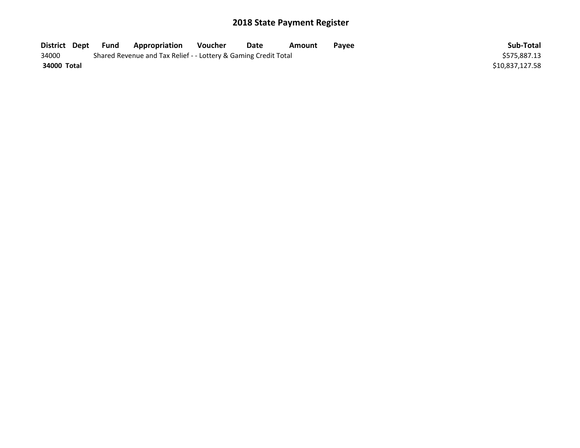| District Dept | Fund | Appropriation                                                   | Voucher | Date | Amount | Pavee | Sub-Total       |
|---------------|------|-----------------------------------------------------------------|---------|------|--------|-------|-----------------|
| 34000         |      | Shared Revenue and Tax Relief - - Lottery & Gaming Credit Total |         |      |        |       | \$575,887.13    |
| 34000 Total   |      |                                                                 |         |      |        |       | \$10,837,127.58 |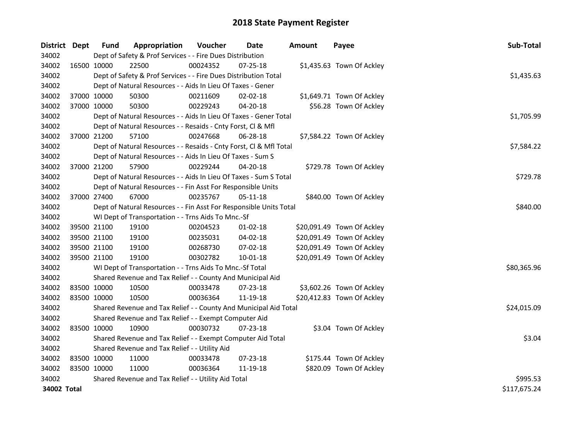| District Dept |             | <b>Fund</b> | Appropriation                                                      | Voucher  | Date           | <b>Amount</b> | Payee                      | Sub-Total    |
|---------------|-------------|-------------|--------------------------------------------------------------------|----------|----------------|---------------|----------------------------|--------------|
| 34002         |             |             | Dept of Safety & Prof Services - - Fire Dues Distribution          |          |                |               |                            |              |
| 34002         | 16500 10000 |             | 22500                                                              | 00024352 | $07 - 25 - 18$ |               | \$1,435.63 Town Of Ackley  |              |
| 34002         |             |             | Dept of Safety & Prof Services - - Fire Dues Distribution Total    |          |                |               |                            | \$1,435.63   |
| 34002         |             |             | Dept of Natural Resources - - Aids In Lieu Of Taxes - Gener        |          |                |               |                            |              |
| 34002         |             | 37000 10000 | 50300                                                              | 00211609 | 02-02-18       |               | \$1,649.71 Town Of Ackley  |              |
| 34002         | 37000 10000 |             | 50300                                                              | 00229243 | 04-20-18       |               | \$56.28 Town Of Ackley     |              |
| 34002         |             |             | Dept of Natural Resources - - Aids In Lieu Of Taxes - Gener Total  |          |                |               |                            | \$1,705.99   |
| 34002         |             |             | Dept of Natural Resources - - Resaids - Cnty Forst, Cl & Mfl       |          |                |               |                            |              |
| 34002         |             | 37000 21200 | 57100                                                              | 00247668 | 06-28-18       |               | \$7,584.22 Town Of Ackley  |              |
| 34002         |             |             | Dept of Natural Resources - - Resaids - Cnty Forst, Cl & Mfl Total |          |                |               |                            | \$7,584.22   |
| 34002         |             |             | Dept of Natural Resources - - Aids In Lieu Of Taxes - Sum S        |          |                |               |                            |              |
| 34002         | 37000 21200 |             | 57900                                                              | 00229244 | $04 - 20 - 18$ |               | \$729.78 Town Of Ackley    |              |
| 34002         |             |             | Dept of Natural Resources - - Aids In Lieu Of Taxes - Sum S Total  |          |                |               |                            | \$729.78     |
| 34002         |             |             | Dept of Natural Resources - - Fin Asst For Responsible Units       |          |                |               |                            |              |
| 34002         |             | 37000 27400 | 67000                                                              | 00235767 | $05 - 11 - 18$ |               | \$840.00 Town Of Ackley    |              |
| 34002         |             |             | Dept of Natural Resources - - Fin Asst For Responsible Units Total |          |                |               |                            | \$840.00     |
| 34002         |             |             | WI Dept of Transportation - - Trns Aids To Mnc.-Sf                 |          |                |               |                            |              |
| 34002         |             | 39500 21100 | 19100                                                              | 00204523 | $01 - 02 - 18$ |               | \$20,091.49 Town Of Ackley |              |
| 34002         | 39500 21100 |             | 19100                                                              | 00235031 | 04-02-18       |               | \$20,091.49 Town Of Ackley |              |
| 34002         | 39500 21100 |             | 19100                                                              | 00268730 | 07-02-18       |               | \$20,091.49 Town Of Ackley |              |
| 34002         | 39500 21100 |             | 19100                                                              | 00302782 | 10-01-18       |               | \$20,091.49 Town Of Ackley |              |
| 34002         |             |             | WI Dept of Transportation - - Trns Aids To Mnc.-Sf Total           |          |                |               |                            | \$80,365.96  |
| 34002         |             |             | Shared Revenue and Tax Relief - - County And Municipal Aid         |          |                |               |                            |              |
| 34002         | 83500 10000 |             | 10500                                                              | 00033478 | 07-23-18       |               | \$3,602.26 Town Of Ackley  |              |
| 34002         | 83500 10000 |             | 10500                                                              | 00036364 | 11-19-18       |               | \$20,412.83 Town Of Ackley |              |
| 34002         |             |             | Shared Revenue and Tax Relief - - County And Municipal Aid Total   |          |                |               |                            | \$24,015.09  |
| 34002         |             |             | Shared Revenue and Tax Relief - - Exempt Computer Aid              |          |                |               |                            |              |
| 34002         | 83500 10000 |             | 10900                                                              | 00030732 | $07 - 23 - 18$ |               | \$3.04 Town Of Ackley      |              |
| 34002         |             |             | Shared Revenue and Tax Relief - - Exempt Computer Aid Total        |          |                |               |                            | \$3.04       |
| 34002         |             |             | Shared Revenue and Tax Relief - - Utility Aid                      |          |                |               |                            |              |
| 34002         | 83500 10000 |             | 11000                                                              | 00033478 | 07-23-18       |               | \$175.44 Town Of Ackley    |              |
| 34002         | 83500 10000 |             | 11000                                                              | 00036364 | 11-19-18       |               | \$820.09 Town Of Ackley    |              |
| 34002         |             |             | Shared Revenue and Tax Relief - - Utility Aid Total                | \$995.53 |                |               |                            |              |
| 34002 Total   |             |             |                                                                    |          |                |               |                            | \$117,675.24 |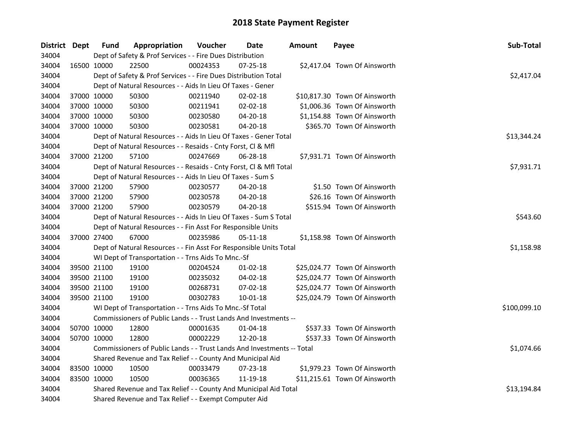| District Dept | <b>Fund</b> | Appropriation                                                          | Voucher  | Date           | <b>Amount</b> | Payee                         | Sub-Total    |  |  |  |
|---------------|-------------|------------------------------------------------------------------------|----------|----------------|---------------|-------------------------------|--------------|--|--|--|
| 34004         |             | Dept of Safety & Prof Services - - Fire Dues Distribution              |          |                |               |                               |              |  |  |  |
| 34004         | 16500 10000 | 22500                                                                  | 00024353 | $07 - 25 - 18$ |               | \$2,417.04 Town Of Ainsworth  |              |  |  |  |
| 34004         |             | Dept of Safety & Prof Services - - Fire Dues Distribution Total        |          |                |               |                               | \$2,417.04   |  |  |  |
| 34004         |             | Dept of Natural Resources - - Aids In Lieu Of Taxes - Gener            |          |                |               |                               |              |  |  |  |
| 34004         | 37000 10000 | 50300                                                                  | 00211940 | $02 - 02 - 18$ |               | \$10,817.30 Town Of Ainsworth |              |  |  |  |
| 34004         | 37000 10000 | 50300                                                                  | 00211941 | 02-02-18       |               | \$1,006.36 Town Of Ainsworth  |              |  |  |  |
| 34004         | 37000 10000 | 50300                                                                  | 00230580 | 04-20-18       |               | \$1,154.88 Town Of Ainsworth  |              |  |  |  |
| 34004         | 37000 10000 | 50300                                                                  | 00230581 | 04-20-18       |               | \$365.70 Town Of Ainsworth    |              |  |  |  |
| 34004         |             | Dept of Natural Resources - - Aids In Lieu Of Taxes - Gener Total      |          |                |               |                               | \$13,344.24  |  |  |  |
| 34004         |             | Dept of Natural Resources - - Resaids - Cnty Forst, Cl & Mfl           |          |                |               |                               |              |  |  |  |
| 34004         | 37000 21200 | 57100                                                                  | 00247669 | 06-28-18       |               | \$7,931.71 Town Of Ainsworth  |              |  |  |  |
| 34004         |             | Dept of Natural Resources - - Resaids - Cnty Forst, Cl & Mfl Total     |          |                | \$7,931.71    |                               |              |  |  |  |
| 34004         |             | Dept of Natural Resources - - Aids In Lieu Of Taxes - Sum S            |          |                |               |                               |              |  |  |  |
| 34004         | 37000 21200 | 57900                                                                  | 00230577 | 04-20-18       |               | \$1.50 Town Of Ainsworth      |              |  |  |  |
| 34004         | 37000 21200 | 57900                                                                  | 00230578 | 04-20-18       |               | \$26.16 Town Of Ainsworth     |              |  |  |  |
| 34004         | 37000 21200 | 57900                                                                  | 00230579 | 04-20-18       |               | \$515.94 Town Of Ainsworth    |              |  |  |  |
| 34004         |             | Dept of Natural Resources - - Aids In Lieu Of Taxes - Sum S Total      |          |                |               |                               | \$543.60     |  |  |  |
| 34004         |             | Dept of Natural Resources - - Fin Asst For Responsible Units           |          |                |               |                               |              |  |  |  |
| 34004         | 37000 27400 | 67000                                                                  | 00235986 | 05-11-18       |               | \$1,158.98 Town Of Ainsworth  |              |  |  |  |
| 34004         |             | Dept of Natural Resources - - Fin Asst For Responsible Units Total     |          |                |               |                               | \$1,158.98   |  |  |  |
| 34004         |             | WI Dept of Transportation - - Trns Aids To Mnc.-Sf                     |          |                |               |                               |              |  |  |  |
| 34004         | 39500 21100 | 19100                                                                  | 00204524 | $01 - 02 - 18$ |               | \$25,024.77 Town Of Ainsworth |              |  |  |  |
| 34004         | 39500 21100 | 19100                                                                  | 00235032 | 04-02-18       |               | \$25,024.77 Town Of Ainsworth |              |  |  |  |
| 34004         | 39500 21100 | 19100                                                                  | 00268731 | 07-02-18       |               | \$25,024.77 Town Of Ainsworth |              |  |  |  |
| 34004         | 39500 21100 | 19100                                                                  | 00302783 | 10-01-18       |               | \$25,024.79 Town Of Ainsworth |              |  |  |  |
| 34004         |             | WI Dept of Transportation - - Trns Aids To Mnc.-Sf Total               |          |                |               |                               | \$100,099.10 |  |  |  |
| 34004         |             | Commissioners of Public Lands - - Trust Lands And Investments --       |          |                |               |                               |              |  |  |  |
| 34004         | 50700 10000 | 12800                                                                  | 00001635 | $01 - 04 - 18$ |               | \$537.33 Town Of Ainsworth    |              |  |  |  |
| 34004         | 50700 10000 | 12800                                                                  | 00002229 | 12-20-18       |               | \$537.33 Town Of Ainsworth    |              |  |  |  |
| 34004         |             | Commissioners of Public Lands - - Trust Lands And Investments -- Total |          |                |               |                               | \$1,074.66   |  |  |  |
| 34004         |             | Shared Revenue and Tax Relief - - County And Municipal Aid             |          |                |               |                               |              |  |  |  |
| 34004         | 83500 10000 | 10500                                                                  | 00033479 | 07-23-18       |               | \$1,979.23 Town Of Ainsworth  |              |  |  |  |
| 34004         | 83500 10000 | 10500                                                                  | 00036365 | 11-19-18       |               | \$11,215.61 Town Of Ainsworth |              |  |  |  |
| 34004         |             | Shared Revenue and Tax Relief - - County And Municipal Aid Total       |          |                |               |                               |              |  |  |  |
| 34004         |             | Shared Revenue and Tax Relief - - Exempt Computer Aid                  |          |                |               |                               |              |  |  |  |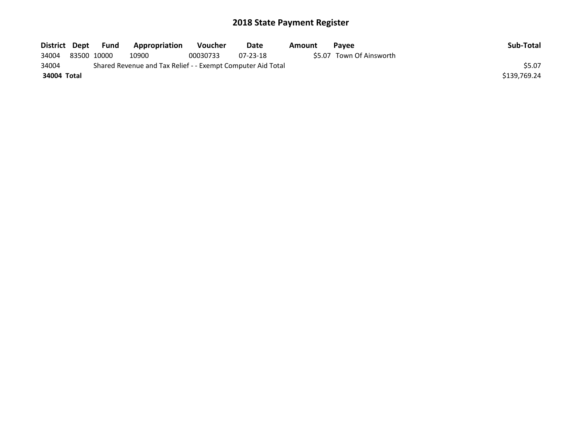| District Dept | <b>Fund</b> | Appropriation                                               | <b>Voucher</b> | Date     | Amount | <b>Pavee</b>             | Sub-Total    |
|---------------|-------------|-------------------------------------------------------------|----------------|----------|--------|--------------------------|--------------|
| 34004         | 83500 10000 | 10900                                                       | 00030733       | 07-23-18 |        | \$5.07 Town Of Ainsworth |              |
| 34004         |             | Shared Revenue and Tax Relief - - Exempt Computer Aid Total |                |          |        |                          | \$5.07       |
| 34004 Total   |             |                                                             |                |          |        |                          | \$139.769.24 |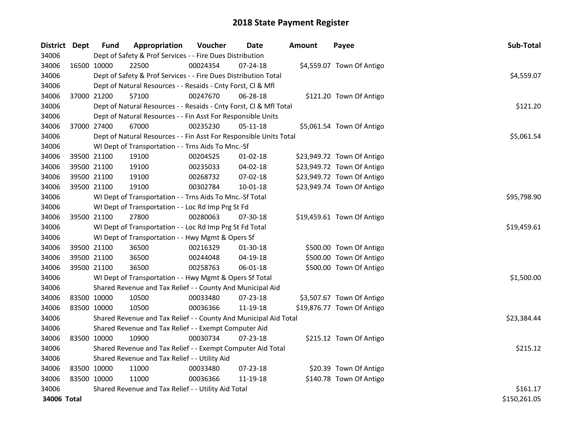| <b>District</b> | Dept        | <b>Fund</b> | Appropriation                                                      | Voucher  | <b>Date</b>    | <b>Amount</b> | Payee                      | Sub-Total    |
|-----------------|-------------|-------------|--------------------------------------------------------------------|----------|----------------|---------------|----------------------------|--------------|
| 34006           |             |             | Dept of Safety & Prof Services - - Fire Dues Distribution          |          |                |               |                            |              |
| 34006           | 16500 10000 |             | 22500                                                              | 00024354 | 07-24-18       |               | \$4,559.07 Town Of Antigo  |              |
| 34006           |             |             | Dept of Safety & Prof Services - - Fire Dues Distribution Total    |          |                |               |                            | \$4,559.07   |
| 34006           |             |             | Dept of Natural Resources - - Resaids - Cnty Forst, Cl & Mfl       |          |                |               |                            |              |
| 34006           | 37000 21200 |             | 57100                                                              | 00247670 | 06-28-18       |               | \$121.20 Town Of Antigo    |              |
| 34006           |             |             | Dept of Natural Resources - - Resaids - Cnty Forst, CI & Mfl Total |          |                |               |                            | \$121.20     |
| 34006           |             |             | Dept of Natural Resources - - Fin Asst For Responsible Units       |          |                |               |                            |              |
| 34006           |             | 37000 27400 | 67000                                                              | 00235230 | $05 - 11 - 18$ |               | \$5,061.54 Town Of Antigo  |              |
| 34006           |             |             | Dept of Natural Resources - - Fin Asst For Responsible Units Total |          |                |               |                            | \$5,061.54   |
| 34006           |             |             | WI Dept of Transportation - - Trns Aids To Mnc.-Sf                 |          |                |               |                            |              |
| 34006           |             | 39500 21100 | 19100                                                              | 00204525 | 01-02-18       |               | \$23,949.72 Town Of Antigo |              |
| 34006           |             | 39500 21100 | 19100                                                              | 00235033 | 04-02-18       |               | \$23,949.72 Town Of Antigo |              |
| 34006           |             | 39500 21100 | 19100                                                              | 00268732 | 07-02-18       |               | \$23,949.72 Town Of Antigo |              |
| 34006           |             | 39500 21100 | 19100                                                              | 00302784 | 10-01-18       |               | \$23,949.74 Town Of Antigo |              |
| 34006           |             |             | WI Dept of Transportation - - Trns Aids To Mnc.-Sf Total           |          |                |               |                            | \$95,798.90  |
| 34006           |             |             | WI Dept of Transportation - - Loc Rd Imp Prg St Fd                 |          |                |               |                            |              |
| 34006           |             | 39500 21100 | 27800                                                              | 00280063 | 07-30-18       |               | \$19,459.61 Town Of Antigo |              |
| 34006           |             |             | WI Dept of Transportation - - Loc Rd Imp Prg St Fd Total           |          |                |               |                            | \$19,459.61  |
| 34006           |             |             | WI Dept of Transportation - - Hwy Mgmt & Opers Sf                  |          |                |               |                            |              |
| 34006           | 39500 21100 |             | 36500                                                              | 00216329 | 01-30-18       |               | \$500.00 Town Of Antigo    |              |
| 34006           | 39500 21100 |             | 36500                                                              | 00244048 | 04-19-18       |               | \$500.00 Town Of Antigo    |              |
| 34006           | 39500 21100 |             | 36500                                                              | 00258763 | 06-01-18       |               | \$500.00 Town Of Antigo    |              |
| 34006           |             |             | WI Dept of Transportation - - Hwy Mgmt & Opers Sf Total            |          |                |               |                            | \$1,500.00   |
| 34006           |             |             | Shared Revenue and Tax Relief - - County And Municipal Aid         |          |                |               |                            |              |
| 34006           | 83500 10000 |             | 10500                                                              | 00033480 | 07-23-18       |               | \$3,507.67 Town Of Antigo  |              |
| 34006           | 83500 10000 |             | 10500                                                              | 00036366 | 11-19-18       |               | \$19,876.77 Town Of Antigo |              |
| 34006           |             |             | Shared Revenue and Tax Relief - - County And Municipal Aid Total   |          |                |               |                            | \$23,384.44  |
| 34006           |             |             | Shared Revenue and Tax Relief - - Exempt Computer Aid              |          |                |               |                            |              |
| 34006           | 83500 10000 |             | 10900                                                              | 00030734 | $07 - 23 - 18$ |               | \$215.12 Town Of Antigo    |              |
| 34006           |             |             | Shared Revenue and Tax Relief - - Exempt Computer Aid Total        |          |                |               |                            | \$215.12     |
| 34006           |             |             | Shared Revenue and Tax Relief - - Utility Aid                      |          |                |               |                            |              |
| 34006           | 83500 10000 |             | 11000                                                              | 00033480 | $07 - 23 - 18$ |               | \$20.39 Town Of Antigo     |              |
| 34006           | 83500 10000 |             | 11000                                                              | 00036366 | 11-19-18       |               | \$140.78 Town Of Antigo    |              |
| 34006           |             |             | Shared Revenue and Tax Relief - - Utility Aid Total                |          |                |               |                            | \$161.17     |
| 34006 Total     |             |             |                                                                    |          |                |               |                            | \$150,261.05 |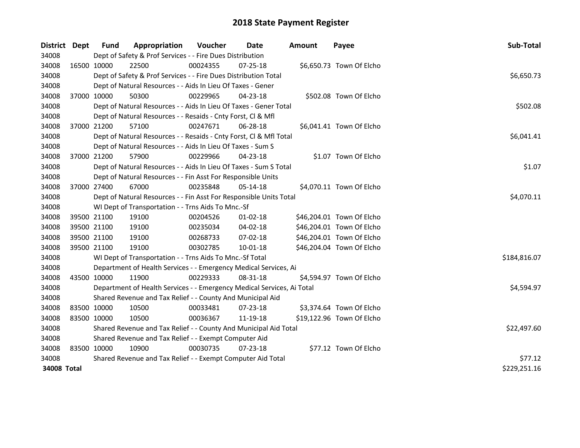| <b>District</b>             | <b>Dept</b> | <b>Fund</b>                                                      | Appropriation                                                          | <b>Voucher</b> | Date           | Amount | Payee                     | Sub-Total    |  |  |  |
|-----------------------------|-------------|------------------------------------------------------------------|------------------------------------------------------------------------|----------------|----------------|--------|---------------------------|--------------|--|--|--|
| 34008                       |             |                                                                  | Dept of Safety & Prof Services - - Fire Dues Distribution              |                |                |        |                           |              |  |  |  |
| 34008                       | 16500 10000 |                                                                  | 22500                                                                  | 00024355       | 07-25-18       |        | \$6,650.73 Town Of Elcho  |              |  |  |  |
| 34008                       |             |                                                                  | Dept of Safety & Prof Services - - Fire Dues Distribution Total        |                |                |        |                           | \$6,650.73   |  |  |  |
| 34008                       |             |                                                                  | Dept of Natural Resources - - Aids In Lieu Of Taxes - Gener            |                |                |        |                           |              |  |  |  |
| 34008                       | 37000 10000 |                                                                  | 50300                                                                  | 00229965       | 04-23-18       |        | \$502.08 Town Of Elcho    |              |  |  |  |
| 34008                       |             |                                                                  | Dept of Natural Resources - - Aids In Lieu Of Taxes - Gener Total      |                |                |        |                           | \$502.08     |  |  |  |
| 34008                       |             |                                                                  | Dept of Natural Resources - - Resaids - Cnty Forst, Cl & Mfl           |                |                |        |                           |              |  |  |  |
| 34008                       | 37000 21200 |                                                                  | 57100                                                                  | 00247671       | 06-28-18       |        | \$6,041.41 Town Of Elcho  |              |  |  |  |
| 34008                       |             |                                                                  | Dept of Natural Resources - - Resaids - Cnty Forst, CI & Mfl Total     |                |                |        |                           | \$6,041.41   |  |  |  |
| 34008                       |             |                                                                  | Dept of Natural Resources - - Aids In Lieu Of Taxes - Sum S            |                |                |        |                           |              |  |  |  |
| 34008                       | 37000 21200 |                                                                  | 57900                                                                  | 00229966       | 04-23-18       |        | \$1.07 Town Of Elcho      |              |  |  |  |
| 34008                       |             |                                                                  | Dept of Natural Resources - - Aids In Lieu Of Taxes - Sum S Total      |                |                |        |                           | \$1.07       |  |  |  |
| 34008                       |             |                                                                  | Dept of Natural Resources - - Fin Asst For Responsible Units           |                |                |        |                           |              |  |  |  |
| 34008                       | 37000 27400 |                                                                  | 67000                                                                  | 00235848       | 05-14-18       |        | \$4,070.11 Town Of Elcho  |              |  |  |  |
| 34008                       |             |                                                                  | Dept of Natural Resources - - Fin Asst For Responsible Units Total     |                |                |        |                           | \$4,070.11   |  |  |  |
| 34008                       |             |                                                                  | WI Dept of Transportation - - Trns Aids To Mnc.-Sf                     |                |                |        |                           |              |  |  |  |
| 34008                       | 39500 21100 |                                                                  | 19100                                                                  | 00204526       | $01 - 02 - 18$ |        | \$46,204.01 Town Of Elcho |              |  |  |  |
| 34008                       | 39500 21100 |                                                                  | 19100                                                                  | 00235034       | 04-02-18       |        | \$46,204.01 Town Of Elcho |              |  |  |  |
| 34008                       | 39500 21100 |                                                                  | 19100                                                                  | 00268733       | 07-02-18       |        | \$46,204.01 Town Of Elcho |              |  |  |  |
| 34008                       | 39500 21100 |                                                                  | 19100                                                                  | 00302785       | $10 - 01 - 18$ |        | \$46,204.04 Town Of Elcho |              |  |  |  |
| 34008                       |             |                                                                  | WI Dept of Transportation - - Trns Aids To Mnc.-Sf Total               |                |                |        |                           | \$184,816.07 |  |  |  |
| 34008                       |             |                                                                  | Department of Health Services - - Emergency Medical Services, Ai       |                |                |        |                           |              |  |  |  |
| 34008                       | 43500 10000 |                                                                  | 11900                                                                  | 00229333       | 08-31-18       |        | \$4,594.97 Town Of Elcho  |              |  |  |  |
| 34008                       |             |                                                                  | Department of Health Services - - Emergency Medical Services, Ai Total |                |                |        |                           | \$4,594.97   |  |  |  |
| 34008                       |             |                                                                  | Shared Revenue and Tax Relief - - County And Municipal Aid             |                |                |        |                           |              |  |  |  |
| 34008                       | 83500 10000 |                                                                  | 10500                                                                  | 00033481       | 07-23-18       |        | \$3,374.64 Town Of Elcho  |              |  |  |  |
| 34008                       | 83500 10000 |                                                                  | 10500                                                                  | 00036367       | 11-19-18       |        | \$19,122.96 Town Of Elcho |              |  |  |  |
| 34008                       |             | Shared Revenue and Tax Relief - - County And Municipal Aid Total | \$22,497.60                                                            |                |                |        |                           |              |  |  |  |
| 34008                       |             | Shared Revenue and Tax Relief - - Exempt Computer Aid            |                                                                        |                |                |        |                           |              |  |  |  |
| 34008                       | 83500 10000 |                                                                  | 10900                                                                  | 00030735       | 07-23-18       |        | \$77.12 Town Of Elcho     |              |  |  |  |
| 34008                       |             | Shared Revenue and Tax Relief - - Exempt Computer Aid Total      | \$77.12                                                                |                |                |        |                           |              |  |  |  |
| 34008 Total<br>\$229,251.16 |             |                                                                  |                                                                        |                |                |        |                           |              |  |  |  |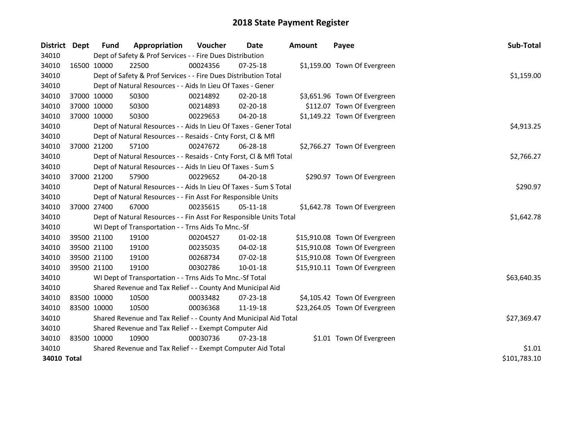| District Dept | <b>Fund</b>                                                           | Appropriation                                                      | Voucher  | <b>Date</b>    | <b>Amount</b> | Payee                         | Sub-Total    |  |
|---------------|-----------------------------------------------------------------------|--------------------------------------------------------------------|----------|----------------|---------------|-------------------------------|--------------|--|
| 34010         |                                                                       | Dept of Safety & Prof Services - - Fire Dues Distribution          |          |                |               |                               |              |  |
| 34010         | 16500 10000                                                           | 22500                                                              | 00024356 | 07-25-18       |               | \$1,159.00 Town Of Evergreen  |              |  |
| 34010         |                                                                       | Dept of Safety & Prof Services - - Fire Dues Distribution Total    |          |                |               |                               | \$1,159.00   |  |
| 34010         |                                                                       | Dept of Natural Resources - - Aids In Lieu Of Taxes - Gener        |          |                |               |                               |              |  |
| 34010         | 37000 10000                                                           | 50300                                                              | 00214892 | 02-20-18       |               | \$3,651.96 Town Of Evergreen  |              |  |
| 34010         | 37000 10000                                                           | 50300                                                              | 00214893 | 02-20-18       |               | \$112.07 Town Of Evergreen    |              |  |
| 34010         | 37000 10000                                                           | 50300                                                              | 00229653 | 04-20-18       |               | \$1,149.22 Town Of Evergreen  |              |  |
| 34010         |                                                                       | Dept of Natural Resources - - Aids In Lieu Of Taxes - Gener Total  |          |                |               |                               | \$4,913.25   |  |
| 34010         |                                                                       | Dept of Natural Resources - - Resaids - Cnty Forst, Cl & Mfl       |          |                |               |                               |              |  |
| 34010         | 37000 21200                                                           | 57100                                                              | 00247672 | 06-28-18       |               | \$2,766.27 Town Of Evergreen  |              |  |
| 34010         |                                                                       | Dept of Natural Resources - - Resaids - Cnty Forst, Cl & Mfl Total |          |                |               |                               | \$2,766.27   |  |
| 34010         |                                                                       | Dept of Natural Resources - - Aids In Lieu Of Taxes - Sum S        |          |                |               |                               |              |  |
| 34010         | 37000 21200                                                           | 57900                                                              | 00229652 | 04-20-18       |               | \$290.97 Town Of Evergreen    |              |  |
| 34010         |                                                                       | Dept of Natural Resources - - Aids In Lieu Of Taxes - Sum S Total  |          |                |               |                               | \$290.97     |  |
| 34010         |                                                                       | Dept of Natural Resources - - Fin Asst For Responsible Units       |          |                |               |                               |              |  |
| 34010         | 37000 27400                                                           | 67000                                                              | 00235615 | 05-11-18       |               | \$1,642.78 Town Of Evergreen  |              |  |
| 34010         |                                                                       | Dept of Natural Resources - - Fin Asst For Responsible Units Total |          |                |               |                               | \$1,642.78   |  |
| 34010         |                                                                       | WI Dept of Transportation - - Trns Aids To Mnc.-Sf                 |          |                |               |                               |              |  |
| 34010         | 39500 21100                                                           | 19100                                                              | 00204527 | $01-02-18$     |               | \$15,910.08 Town Of Evergreen |              |  |
| 34010         | 39500 21100                                                           | 19100                                                              | 00235035 | 04-02-18       |               | \$15,910.08 Town Of Evergreen |              |  |
| 34010         | 39500 21100                                                           | 19100                                                              | 00268734 | 07-02-18       |               | \$15,910.08 Town Of Evergreen |              |  |
| 34010         | 39500 21100                                                           | 19100                                                              | 00302786 | 10-01-18       |               | \$15,910.11 Town Of Evergreen |              |  |
| 34010         |                                                                       | WI Dept of Transportation - - Trns Aids To Mnc.-Sf Total           |          |                |               |                               | \$63,640.35  |  |
| 34010         |                                                                       | Shared Revenue and Tax Relief - - County And Municipal Aid         |          |                |               |                               |              |  |
| 34010         | 83500 10000                                                           | 10500                                                              | 00033482 | $07 - 23 - 18$ |               | \$4,105.42 Town Of Evergreen  |              |  |
| 34010         | 83500 10000                                                           | 10500                                                              | 00036368 | 11-19-18       |               | \$23,264.05 Town Of Evergreen |              |  |
| 34010         |                                                                       | Shared Revenue and Tax Relief - - County And Municipal Aid Total   |          |                |               |                               | \$27,369.47  |  |
| 34010         | Shared Revenue and Tax Relief - - Exempt Computer Aid                 |                                                                    |          |                |               |                               |              |  |
| 34010         | 83500 10000                                                           | 10900                                                              | 00030736 | $07 - 23 - 18$ |               | \$1.01 Town Of Evergreen      |              |  |
| 34010         | \$1.01<br>Shared Revenue and Tax Relief - - Exempt Computer Aid Total |                                                                    |          |                |               |                               |              |  |
| 34010 Total   |                                                                       |                                                                    |          |                |               |                               | \$101,783.10 |  |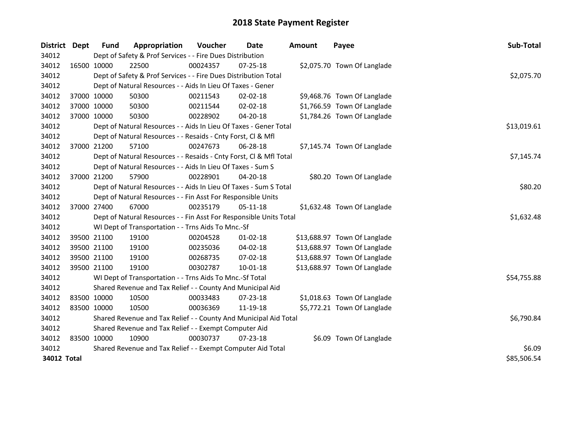| <b>District</b> | Dept | <b>Fund</b>                                           | Appropriation                                                      | Voucher  | <b>Date</b>    | <b>Amount</b> | Payee                        | Sub-Total   |  |
|-----------------|------|-------------------------------------------------------|--------------------------------------------------------------------|----------|----------------|---------------|------------------------------|-------------|--|
| 34012           |      |                                                       | Dept of Safety & Prof Services - - Fire Dues Distribution          |          |                |               |                              |             |  |
| 34012           |      | 16500 10000                                           | 22500                                                              | 00024357 | 07-25-18       |               | \$2,075.70 Town Of Langlade  |             |  |
| 34012           |      |                                                       | Dept of Safety & Prof Services - - Fire Dues Distribution Total    |          |                |               |                              | \$2,075.70  |  |
| 34012           |      |                                                       | Dept of Natural Resources - - Aids In Lieu Of Taxes - Gener        |          |                |               |                              |             |  |
| 34012           |      | 37000 10000                                           | 50300                                                              | 00211543 | 02-02-18       |               | \$9,468.76 Town Of Langlade  |             |  |
| 34012           |      | 37000 10000                                           | 50300                                                              | 00211544 | 02-02-18       |               | \$1,766.59 Town Of Langlade  |             |  |
| 34012           |      | 37000 10000                                           | 50300                                                              | 00228902 | 04-20-18       |               | \$1,784.26 Town Of Langlade  |             |  |
| 34012           |      |                                                       | Dept of Natural Resources - - Aids In Lieu Of Taxes - Gener Total  |          |                |               |                              | \$13,019.61 |  |
| 34012           |      |                                                       | Dept of Natural Resources - - Resaids - Cnty Forst, Cl & Mfl       |          |                |               |                              |             |  |
| 34012           |      | 37000 21200                                           | 57100                                                              | 00247673 | 06-28-18       |               | \$7,145.74 Town Of Langlade  |             |  |
| 34012           |      |                                                       | Dept of Natural Resources - - Resaids - Cnty Forst, Cl & Mfl Total |          |                |               |                              | \$7,145.74  |  |
| 34012           |      |                                                       | Dept of Natural Resources - - Aids In Lieu Of Taxes - Sum S        |          |                |               |                              |             |  |
| 34012           |      | 37000 21200                                           | 57900                                                              | 00228901 | 04-20-18       |               | \$80.20 Town Of Langlade     |             |  |
| 34012           |      |                                                       | Dept of Natural Resources - - Aids In Lieu Of Taxes - Sum S Total  |          |                |               |                              | \$80.20     |  |
| 34012           |      |                                                       | Dept of Natural Resources - - Fin Asst For Responsible Units       |          |                |               |                              |             |  |
| 34012           |      | 37000 27400                                           | 67000                                                              | 00235179 | 05-11-18       |               | \$1,632.48 Town Of Langlade  |             |  |
| 34012           |      |                                                       | Dept of Natural Resources - - Fin Asst For Responsible Units Total |          |                |               |                              | \$1,632.48  |  |
| 34012           |      |                                                       | WI Dept of Transportation - - Trns Aids To Mnc.-Sf                 |          |                |               |                              |             |  |
| 34012           |      | 39500 21100                                           | 19100                                                              | 00204528 | $01 - 02 - 18$ |               | \$13,688.97 Town Of Langlade |             |  |
| 34012           |      | 39500 21100                                           | 19100                                                              | 00235036 | 04-02-18       |               | \$13,688.97 Town Of Langlade |             |  |
| 34012           |      | 39500 21100                                           | 19100                                                              | 00268735 | 07-02-18       |               | \$13,688.97 Town Of Langlade |             |  |
| 34012           |      | 39500 21100                                           | 19100                                                              | 00302787 | 10-01-18       |               | \$13,688.97 Town Of Langlade |             |  |
| 34012           |      |                                                       | WI Dept of Transportation - - Trns Aids To Mnc.-Sf Total           |          |                |               |                              | \$54,755.88 |  |
| 34012           |      |                                                       | Shared Revenue and Tax Relief - - County And Municipal Aid         |          |                |               |                              |             |  |
| 34012           |      | 83500 10000                                           | 10500                                                              | 00033483 | 07-23-18       |               | \$1,018.63 Town Of Langlade  |             |  |
| 34012           |      | 83500 10000                                           | 10500                                                              | 00036369 | 11-19-18       |               | \$5,772.21 Town Of Langlade  |             |  |
| 34012           |      |                                                       | Shared Revenue and Tax Relief - - County And Municipal Aid Total   |          |                |               |                              | \$6,790.84  |  |
| 34012           |      | Shared Revenue and Tax Relief - - Exempt Computer Aid |                                                                    |          |                |               |                              |             |  |
| 34012           |      | 83500 10000                                           | 10900                                                              | 00030737 | $07 - 23 - 18$ |               | \$6.09 Town Of Langlade      |             |  |
| 34012           |      |                                                       | Shared Revenue and Tax Relief - - Exempt Computer Aid Total        |          |                |               |                              | \$6.09      |  |
| 34012 Total     |      |                                                       |                                                                    |          |                |               |                              | \$85,506.54 |  |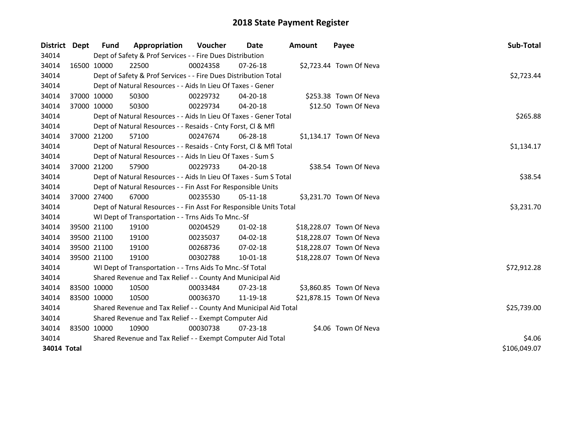| <b>District</b> | <b>Dept</b>  | <b>Fund</b>                                                 | Appropriation                                                      | Voucher  | Date           | <b>Amount</b> | Payee                    | Sub-Total   |  |  |  |
|-----------------|--------------|-------------------------------------------------------------|--------------------------------------------------------------------|----------|----------------|---------------|--------------------------|-------------|--|--|--|
| 34014           |              |                                                             | Dept of Safety & Prof Services - - Fire Dues Distribution          |          |                |               |                          |             |  |  |  |
| 34014           |              | 16500 10000                                                 | 22500                                                              | 00024358 | 07-26-18       |               | \$2,723.44 Town Of Neva  |             |  |  |  |
| 34014           |              |                                                             | Dept of Safety & Prof Services - - Fire Dues Distribution Total    |          |                |               |                          | \$2,723.44  |  |  |  |
| 34014           |              |                                                             | Dept of Natural Resources - - Aids In Lieu Of Taxes - Gener        |          |                |               |                          |             |  |  |  |
| 34014           |              | 37000 10000                                                 | 50300                                                              | 00229732 | 04-20-18       |               | \$253.38 Town Of Neva    |             |  |  |  |
| 34014           | 37000 10000  |                                                             | 50300                                                              | 00229734 | 04-20-18       |               | \$12.50 Town Of Neva     |             |  |  |  |
| 34014           |              |                                                             | Dept of Natural Resources - - Aids In Lieu Of Taxes - Gener Total  |          |                |               |                          | \$265.88    |  |  |  |
| 34014           |              |                                                             | Dept of Natural Resources - - Resaids - Cnty Forst, Cl & Mfl       |          |                |               |                          |             |  |  |  |
| 34014           |              | 37000 21200                                                 | 57100                                                              | 00247674 | 06-28-18       |               | \$1,134.17 Town Of Neva  |             |  |  |  |
| 34014           |              |                                                             | Dept of Natural Resources - - Resaids - Cnty Forst, Cl & Mfl Total |          |                |               |                          | \$1,134.17  |  |  |  |
| 34014           |              |                                                             | Dept of Natural Resources - - Aids In Lieu Of Taxes - Sum S        |          |                |               |                          |             |  |  |  |
| 34014           |              | 37000 21200                                                 | 57900                                                              | 00229733 | 04-20-18       |               | \$38.54 Town Of Neva     |             |  |  |  |
| 34014           |              |                                                             | Dept of Natural Resources - - Aids In Lieu Of Taxes - Sum S Total  |          |                |               |                          | \$38.54     |  |  |  |
| 34014           |              |                                                             | Dept of Natural Resources - - Fin Asst For Responsible Units       |          |                |               |                          |             |  |  |  |
| 34014           |              | 37000 27400                                                 | 67000                                                              | 00235530 | $05-11-18$     |               | \$3,231.70 Town Of Neva  |             |  |  |  |
| 34014           |              |                                                             | Dept of Natural Resources - - Fin Asst For Responsible Units Total |          |                |               |                          | \$3,231.70  |  |  |  |
| 34014           |              |                                                             | WI Dept of Transportation - - Trns Aids To Mnc.-Sf                 |          |                |               |                          |             |  |  |  |
| 34014           |              | 39500 21100                                                 | 19100                                                              | 00204529 | $01-02-18$     |               | \$18,228.07 Town Of Neva |             |  |  |  |
| 34014           | 39500 21100  |                                                             | 19100                                                              | 00235037 | 04-02-18       |               | \$18,228.07 Town Of Neva |             |  |  |  |
| 34014           |              | 39500 21100                                                 | 19100                                                              | 00268736 | 07-02-18       |               | \$18,228.07 Town Of Neva |             |  |  |  |
| 34014           | 39500 21100  |                                                             | 19100                                                              | 00302788 | 10-01-18       |               | \$18,228.07 Town Of Neva |             |  |  |  |
| 34014           |              |                                                             | WI Dept of Transportation - - Trns Aids To Mnc.-Sf Total           |          |                |               |                          | \$72,912.28 |  |  |  |
| 34014           |              |                                                             | Shared Revenue and Tax Relief - - County And Municipal Aid         |          |                |               |                          |             |  |  |  |
| 34014           | 83500 10000  |                                                             | 10500                                                              | 00033484 | $07 - 23 - 18$ |               | \$3,860.85 Town Of Neva  |             |  |  |  |
| 34014           | 83500 10000  |                                                             | 10500                                                              | 00036370 | 11-19-18       |               | \$21,878.15 Town Of Neva |             |  |  |  |
| 34014           |              |                                                             | Shared Revenue and Tax Relief - - County And Municipal Aid Total   |          |                |               |                          | \$25,739.00 |  |  |  |
| 34014           |              | Shared Revenue and Tax Relief - - Exempt Computer Aid       |                                                                    |          |                |               |                          |             |  |  |  |
| 34014           | 83500 10000  |                                                             | 10900                                                              | 00030738 | $07 - 23 - 18$ |               | \$4.06 Town Of Neva      |             |  |  |  |
| 34014           |              | Shared Revenue and Tax Relief - - Exempt Computer Aid Total | \$4.06                                                             |          |                |               |                          |             |  |  |  |
| 34014 Total     | \$106,049.07 |                                                             |                                                                    |          |                |               |                          |             |  |  |  |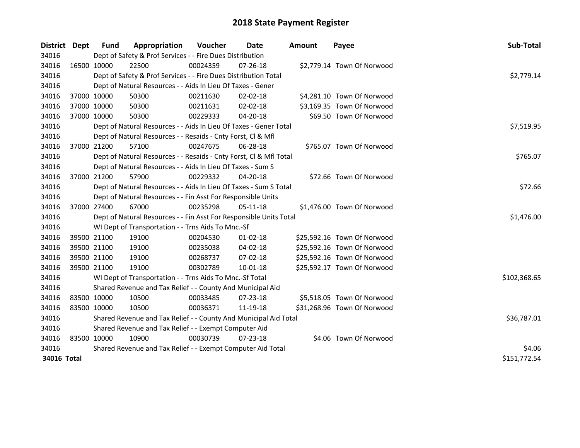| District Dept | <b>Fund</b>                                           | Appropriation                                                      | Voucher  | <b>Date</b>    | <b>Amount</b> | Payee                       | Sub-Total    |  |
|---------------|-------------------------------------------------------|--------------------------------------------------------------------|----------|----------------|---------------|-----------------------------|--------------|--|
| 34016         |                                                       | Dept of Safety & Prof Services - - Fire Dues Distribution          |          |                |               |                             |              |  |
| 34016         | 16500 10000                                           | 22500                                                              | 00024359 | 07-26-18       |               | \$2,779.14 Town Of Norwood  |              |  |
| 34016         |                                                       | Dept of Safety & Prof Services - - Fire Dues Distribution Total    |          |                |               |                             | \$2,779.14   |  |
| 34016         |                                                       | Dept of Natural Resources - - Aids In Lieu Of Taxes - Gener        |          |                |               |                             |              |  |
| 34016         | 37000 10000                                           | 50300                                                              | 00211630 | $02 - 02 - 18$ |               | \$4,281.10 Town Of Norwood  |              |  |
| 34016         | 37000 10000                                           | 50300                                                              | 00211631 | 02-02-18       |               | \$3,169.35 Town Of Norwood  |              |  |
| 34016         | 37000 10000                                           | 50300                                                              | 00229333 | 04-20-18       |               | \$69.50 Town Of Norwood     |              |  |
| 34016         |                                                       | Dept of Natural Resources - - Aids In Lieu Of Taxes - Gener Total  |          |                |               |                             | \$7,519.95   |  |
| 34016         |                                                       | Dept of Natural Resources - - Resaids - Cnty Forst, Cl & Mfl       |          |                |               |                             |              |  |
| 34016         | 37000 21200                                           | 57100                                                              | 00247675 | 06-28-18       |               | \$765.07 Town Of Norwood    |              |  |
| 34016         |                                                       | Dept of Natural Resources - - Resaids - Cnty Forst, Cl & Mfl Total |          |                |               |                             | \$765.07     |  |
| 34016         |                                                       | Dept of Natural Resources - - Aids In Lieu Of Taxes - Sum S        |          |                |               |                             |              |  |
| 34016         | 37000 21200                                           | 57900                                                              | 00229332 | 04-20-18       |               | \$72.66 Town Of Norwood     |              |  |
| 34016         |                                                       | Dept of Natural Resources - - Aids In Lieu Of Taxes - Sum S Total  |          |                |               |                             | \$72.66      |  |
| 34016         |                                                       | Dept of Natural Resources - - Fin Asst For Responsible Units       |          |                |               |                             |              |  |
| 34016         | 37000 27400                                           | 67000                                                              | 00235298 | 05-11-18       |               | \$1,476.00 Town Of Norwood  |              |  |
| 34016         |                                                       | Dept of Natural Resources - - Fin Asst For Responsible Units Total |          |                |               |                             | \$1,476.00   |  |
| 34016         |                                                       | WI Dept of Transportation - - Trns Aids To Mnc.-Sf                 |          |                |               |                             |              |  |
| 34016         | 39500 21100                                           | 19100                                                              | 00204530 | $01 - 02 - 18$ |               | \$25,592.16 Town Of Norwood |              |  |
| 34016         | 39500 21100                                           | 19100                                                              | 00235038 | 04-02-18       |               | \$25,592.16 Town Of Norwood |              |  |
| 34016         | 39500 21100                                           | 19100                                                              | 00268737 | 07-02-18       |               | \$25,592.16 Town Of Norwood |              |  |
| 34016         | 39500 21100                                           | 19100                                                              | 00302789 | $10 - 01 - 18$ |               | \$25,592.17 Town Of Norwood |              |  |
| 34016         |                                                       | WI Dept of Transportation - - Trns Aids To Mnc.-Sf Total           |          |                |               |                             | \$102,368.65 |  |
| 34016         |                                                       | Shared Revenue and Tax Relief - - County And Municipal Aid         |          |                |               |                             |              |  |
| 34016         | 83500 10000                                           | 10500                                                              | 00033485 | $07 - 23 - 18$ |               | \$5,518.05 Town Of Norwood  |              |  |
| 34016         | 83500 10000                                           | 10500                                                              | 00036371 | 11-19-18       |               | \$31,268.96 Town Of Norwood |              |  |
| 34016         |                                                       | Shared Revenue and Tax Relief - - County And Municipal Aid Total   |          |                |               |                             | \$36,787.01  |  |
| 34016         | Shared Revenue and Tax Relief - - Exempt Computer Aid |                                                                    |          |                |               |                             |              |  |
| 34016         | 83500 10000                                           | 10900                                                              | 00030739 | $07 - 23 - 18$ |               | \$4.06 Town Of Norwood      |              |  |
| 34016         |                                                       | Shared Revenue and Tax Relief - - Exempt Computer Aid Total        |          |                |               |                             | \$4.06       |  |
| 34016 Total   |                                                       |                                                                    |          |                |               |                             | \$151,772.54 |  |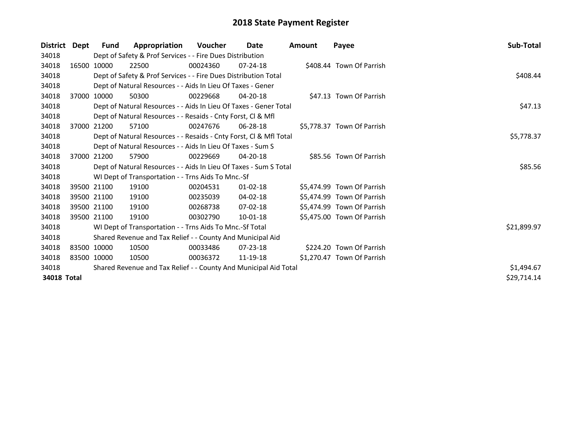| <b>District</b> | Dept | <b>Fund</b> | Appropriation                                                      | <b>Voucher</b> | Date           | Amount | Payee                      | Sub-Total   |  |  |  |
|-----------------|------|-------------|--------------------------------------------------------------------|----------------|----------------|--------|----------------------------|-------------|--|--|--|
| 34018           |      |             | Dept of Safety & Prof Services - - Fire Dues Distribution          |                |                |        |                            |             |  |  |  |
| 34018           |      | 16500 10000 | 22500                                                              | 00024360       | $07 - 24 - 18$ |        | \$408.44 Town Of Parrish   |             |  |  |  |
| 34018           |      |             | Dept of Safety & Prof Services - - Fire Dues Distribution Total    |                |                |        |                            |             |  |  |  |
| 34018           |      |             | Dept of Natural Resources - - Aids In Lieu Of Taxes - Gener        |                |                |        |                            |             |  |  |  |
| 34018           |      | 37000 10000 | 50300                                                              | 00229668       | 04-20-18       |        | \$47.13 Town Of Parrish    |             |  |  |  |
| 34018           |      |             | Dept of Natural Resources - - Aids In Lieu Of Taxes - Gener Total  |                |                |        |                            | \$47.13     |  |  |  |
| 34018           |      |             | Dept of Natural Resources - - Resaids - Cnty Forst, CI & Mfl       |                |                |        |                            |             |  |  |  |
| 34018           |      | 37000 21200 | 57100                                                              | 00247676       | 06-28-18       |        | \$5,778.37 Town Of Parrish |             |  |  |  |
| 34018           |      |             | Dept of Natural Resources - - Resaids - Cnty Forst, Cl & Mfl Total |                |                |        |                            | \$5,778.37  |  |  |  |
| 34018           |      |             | Dept of Natural Resources - - Aids In Lieu Of Taxes - Sum S        |                |                |        |                            |             |  |  |  |
| 34018           |      | 37000 21200 | 57900                                                              | 00229669       | $04 - 20 - 18$ |        | \$85.56 Town Of Parrish    |             |  |  |  |
| 34018           |      |             | Dept of Natural Resources - - Aids In Lieu Of Taxes - Sum S Total  |                |                |        |                            | \$85.56     |  |  |  |
| 34018           |      |             | WI Dept of Transportation - - Trns Aids To Mnc.-Sf                 |                |                |        |                            |             |  |  |  |
| 34018           |      | 39500 21100 | 19100                                                              | 00204531       | $01 - 02 - 18$ |        | \$5,474.99 Town Of Parrish |             |  |  |  |
| 34018           |      | 39500 21100 | 19100                                                              | 00235039       | 04-02-18       |        | \$5,474.99 Town Of Parrish |             |  |  |  |
| 34018           |      | 39500 21100 | 19100                                                              | 00268738       | 07-02-18       |        | \$5,474.99 Town Of Parrish |             |  |  |  |
| 34018           |      | 39500 21100 | 19100                                                              | 00302790       | 10-01-18       |        | \$5,475.00 Town Of Parrish |             |  |  |  |
| 34018           |      |             | WI Dept of Transportation - - Trns Aids To Mnc.-Sf Total           |                |                |        |                            | \$21,899.97 |  |  |  |
| 34018           |      |             | Shared Revenue and Tax Relief - - County And Municipal Aid         |                |                |        |                            |             |  |  |  |
| 34018           |      | 83500 10000 | 10500                                                              | 00033486       | $07 - 23 - 18$ |        | \$224.20 Town Of Parrish   |             |  |  |  |
| 34018           |      | 83500 10000 | 10500                                                              | 00036372       | 11-19-18       |        | \$1,270.47 Town Of Parrish |             |  |  |  |
| 34018           |      |             | Shared Revenue and Tax Relief - - County And Municipal Aid Total   |                |                |        |                            | \$1,494.67  |  |  |  |
| 34018 Total     |      |             |                                                                    |                |                |        |                            | \$29,714.14 |  |  |  |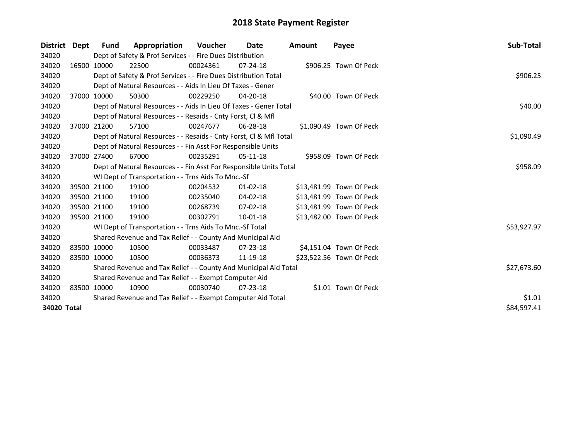| District Dept | Fund        | Appropriation                                                      | <b>Voucher</b> | Date           | <b>Amount</b> | Payee                    | Sub-Total   |
|---------------|-------------|--------------------------------------------------------------------|----------------|----------------|---------------|--------------------------|-------------|
| 34020         |             | Dept of Safety & Prof Services - - Fire Dues Distribution          |                |                |               |                          |             |
| 34020         | 16500 10000 | 22500                                                              | 00024361       | $07 - 24 - 18$ |               | \$906.25 Town Of Peck    |             |
| 34020         |             | Dept of Safety & Prof Services - - Fire Dues Distribution Total    |                |                |               |                          | \$906.25    |
| 34020         |             | Dept of Natural Resources - - Aids In Lieu Of Taxes - Gener        |                |                |               |                          |             |
| 34020         | 37000 10000 | 50300                                                              | 00229250       | 04-20-18       |               | \$40.00 Town Of Peck     |             |
| 34020         |             | Dept of Natural Resources - - Aids In Lieu Of Taxes - Gener Total  |                |                |               |                          | \$40.00     |
| 34020         |             | Dept of Natural Resources - - Resaids - Cnty Forst, Cl & Mfl       |                |                |               |                          |             |
| 34020         | 37000 21200 | 57100                                                              | 00247677       | 06-28-18       |               | \$1,090.49 Town Of Peck  |             |
| 34020         |             | Dept of Natural Resources - - Resaids - Cnty Forst, CI & Mfl Total |                |                |               |                          | \$1,090.49  |
| 34020         |             | Dept of Natural Resources - - Fin Asst For Responsible Units       |                |                |               |                          |             |
| 34020         | 37000 27400 | 67000                                                              | 00235291       | 05-11-18       |               | \$958.09 Town Of Peck    |             |
| 34020         |             | Dept of Natural Resources - - Fin Asst For Responsible Units Total |                |                |               |                          | \$958.09    |
| 34020         |             | WI Dept of Transportation - - Trns Aids To Mnc.-Sf                 |                |                |               |                          |             |
| 34020         | 39500 21100 | 19100                                                              | 00204532       | $01 - 02 - 18$ |               | \$13,481.99 Town Of Peck |             |
| 34020         | 39500 21100 | 19100                                                              | 00235040       | 04-02-18       |               | \$13,481.99 Town Of Peck |             |
| 34020         | 39500 21100 | 19100                                                              | 00268739       | 07-02-18       |               | \$13,481.99 Town Of Peck |             |
| 34020         | 39500 21100 | 19100                                                              | 00302791       | 10-01-18       |               | \$13,482.00 Town Of Peck |             |
| 34020         |             | WI Dept of Transportation - - Trns Aids To Mnc.-Sf Total           |                |                |               |                          | \$53,927.97 |
| 34020         |             | Shared Revenue and Tax Relief - - County And Municipal Aid         |                |                |               |                          |             |
| 34020         | 83500 10000 | 10500                                                              | 00033487       | $07 - 23 - 18$ |               | \$4,151.04 Town Of Peck  |             |
| 34020         | 83500 10000 | 10500                                                              | 00036373       | 11-19-18       |               | \$23,522.56 Town Of Peck |             |
| 34020         |             | Shared Revenue and Tax Relief - - County And Municipal Aid Total   | \$27,673.60    |                |               |                          |             |
| 34020         |             | Shared Revenue and Tax Relief - - Exempt Computer Aid              |                |                |               |                          |             |
| 34020         | 83500 10000 | 10900                                                              | 00030740       | 07-23-18       |               | \$1.01 Town Of Peck      |             |
| 34020         |             | Shared Revenue and Tax Relief - - Exempt Computer Aid Total        | \$1.01         |                |               |                          |             |
| 34020 Total   | \$84,597.41 |                                                                    |                |                |               |                          |             |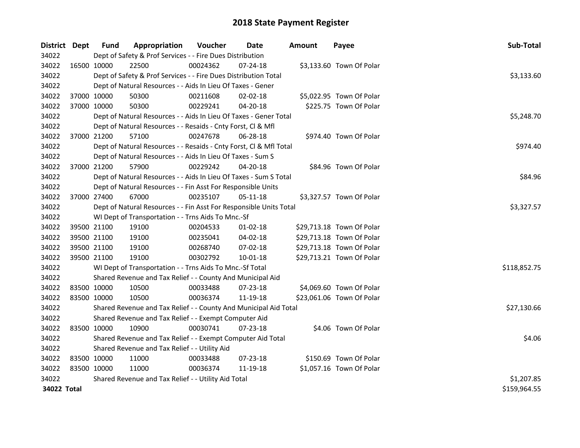| District Dept |             | <b>Fund</b> | Appropriation                                                      | Voucher  | Date           | <b>Amount</b> | Payee                     | Sub-Total    |
|---------------|-------------|-------------|--------------------------------------------------------------------|----------|----------------|---------------|---------------------------|--------------|
| 34022         |             |             | Dept of Safety & Prof Services - - Fire Dues Distribution          |          |                |               |                           |              |
| 34022         | 16500 10000 |             | 22500                                                              | 00024362 | 07-24-18       |               | \$3,133.60 Town Of Polar  |              |
| 34022         |             |             | Dept of Safety & Prof Services - - Fire Dues Distribution Total    |          |                |               |                           | \$3,133.60   |
| 34022         |             |             | Dept of Natural Resources - - Aids In Lieu Of Taxes - Gener        |          |                |               |                           |              |
| 34022         |             | 37000 10000 | 50300                                                              | 00211608 | 02-02-18       |               | \$5,022.95 Town Of Polar  |              |
| 34022         | 37000 10000 |             | 50300                                                              | 00229241 | 04-20-18       |               | \$225.75 Town Of Polar    |              |
| 34022         |             |             | Dept of Natural Resources - - Aids In Lieu Of Taxes - Gener Total  |          |                |               |                           | \$5,248.70   |
| 34022         |             |             | Dept of Natural Resources - - Resaids - Cnty Forst, Cl & Mfl       |          |                |               |                           |              |
| 34022         | 37000 21200 |             | 57100                                                              | 00247678 | $06 - 28 - 18$ |               | \$974.40 Town Of Polar    |              |
| 34022         |             |             | Dept of Natural Resources - - Resaids - Cnty Forst, Cl & Mfl Total |          |                |               |                           | \$974.40     |
| 34022         |             |             | Dept of Natural Resources - - Aids In Lieu Of Taxes - Sum S        |          |                |               |                           |              |
| 34022         | 37000 21200 |             | 57900                                                              | 00229242 | 04-20-18       |               | \$84.96 Town Of Polar     |              |
| 34022         |             |             | Dept of Natural Resources - - Aids In Lieu Of Taxes - Sum S Total  |          |                |               |                           | \$84.96      |
| 34022         |             |             | Dept of Natural Resources - - Fin Asst For Responsible Units       |          |                |               |                           |              |
| 34022         | 37000 27400 |             | 67000                                                              | 00235107 | $05 - 11 - 18$ |               | \$3,327.57 Town Of Polar  |              |
| 34022         |             |             | Dept of Natural Resources - - Fin Asst For Responsible Units Total |          |                |               |                           | \$3,327.57   |
| 34022         |             |             | WI Dept of Transportation - - Trns Aids To Mnc.-Sf                 |          |                |               |                           |              |
| 34022         |             | 39500 21100 | 19100                                                              | 00204533 | $01 - 02 - 18$ |               | \$29,713.18 Town Of Polar |              |
| 34022         |             | 39500 21100 | 19100                                                              | 00235041 | 04-02-18       |               | \$29,713.18 Town Of Polar |              |
| 34022         | 39500 21100 |             | 19100                                                              | 00268740 | 07-02-18       |               | \$29,713.18 Town Of Polar |              |
| 34022         | 39500 21100 |             | 19100                                                              | 00302792 | 10-01-18       |               | \$29,713.21 Town Of Polar |              |
| 34022         |             |             | WI Dept of Transportation - - Trns Aids To Mnc.-Sf Total           |          |                |               |                           | \$118,852.75 |
| 34022         |             |             | Shared Revenue and Tax Relief - - County And Municipal Aid         |          |                |               |                           |              |
| 34022         | 83500 10000 |             | 10500                                                              | 00033488 | 07-23-18       |               | \$4,069.60 Town Of Polar  |              |
| 34022         | 83500 10000 |             | 10500                                                              | 00036374 | 11-19-18       |               | \$23,061.06 Town Of Polar |              |
| 34022         |             |             | Shared Revenue and Tax Relief - - County And Municipal Aid Total   |          |                |               |                           | \$27,130.66  |
| 34022         |             |             | Shared Revenue and Tax Relief - - Exempt Computer Aid              |          |                |               |                           |              |
| 34022         | 83500 10000 |             | 10900                                                              | 00030741 | 07-23-18       |               | \$4.06 Town Of Polar      |              |
| 34022         |             |             | Shared Revenue and Tax Relief - - Exempt Computer Aid Total        |          |                |               |                           | \$4.06       |
| 34022         |             |             | Shared Revenue and Tax Relief - - Utility Aid                      |          |                |               |                           |              |
| 34022         | 83500 10000 |             | 11000                                                              | 00033488 | 07-23-18       |               | \$150.69 Town Of Polar    |              |
| 34022         | 83500 10000 |             | 11000                                                              | 00036374 | 11-19-18       |               | \$1,057.16 Town Of Polar  |              |
| 34022         |             |             | Shared Revenue and Tax Relief - - Utility Aid Total                |          |                |               |                           | \$1,207.85   |
| 34022 Total   |             |             |                                                                    |          |                |               |                           | \$159,964.55 |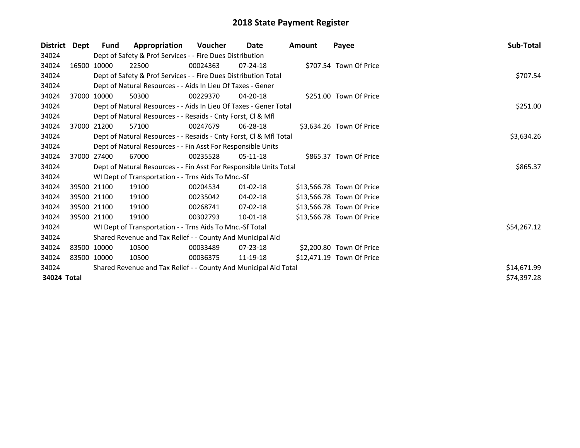| <b>District</b> | Dept | Fund        | Appropriation                                                      | Voucher  | Date           | Amount | Payee                     | Sub-Total   |
|-----------------|------|-------------|--------------------------------------------------------------------|----------|----------------|--------|---------------------------|-------------|
| 34024           |      |             | Dept of Safety & Prof Services - - Fire Dues Distribution          |          |                |        |                           |             |
| 34024           |      | 16500 10000 | 22500                                                              | 00024363 | $07 - 24 - 18$ |        | \$707.54 Town Of Price    |             |
| 34024           |      |             | Dept of Safety & Prof Services - - Fire Dues Distribution Total    |          |                |        |                           | \$707.54    |
| 34024           |      |             | Dept of Natural Resources - - Aids In Lieu Of Taxes - Gener        |          |                |        |                           |             |
| 34024           |      | 37000 10000 | 50300                                                              | 00229370 | $04 - 20 - 18$ |        | \$251.00 Town Of Price    |             |
| 34024           |      |             | Dept of Natural Resources - - Aids In Lieu Of Taxes - Gener Total  |          |                |        |                           | \$251.00    |
| 34024           |      |             | Dept of Natural Resources - - Resaids - Cnty Forst, Cl & Mfl       |          |                |        |                           |             |
| 34024           |      | 37000 21200 | 57100                                                              | 00247679 | $06 - 28 - 18$ |        | \$3,634.26 Town Of Price  |             |
| 34024           |      |             | Dept of Natural Resources - - Resaids - Cnty Forst, Cl & Mfl Total |          |                |        |                           | \$3,634.26  |
| 34024           |      |             | Dept of Natural Resources - - Fin Asst For Responsible Units       |          |                |        |                           |             |
| 34024           |      | 37000 27400 | 67000                                                              | 00235528 | $05-11-18$     |        | \$865.37 Town Of Price    |             |
| 34024           |      |             | Dept of Natural Resources - - Fin Asst For Responsible Units Total |          |                |        |                           | \$865.37    |
| 34024           |      |             | WI Dept of Transportation - - Trns Aids To Mnc.-Sf                 |          |                |        |                           |             |
| 34024           |      | 39500 21100 | 19100                                                              | 00204534 | $01 - 02 - 18$ |        | \$13,566.78 Town Of Price |             |
| 34024           |      | 39500 21100 | 19100                                                              | 00235042 | 04-02-18       |        | \$13,566.78 Town Of Price |             |
| 34024           |      | 39500 21100 | 19100                                                              | 00268741 | $07-02-18$     |        | \$13,566.78 Town Of Price |             |
| 34024           |      | 39500 21100 | 19100                                                              | 00302793 | 10-01-18       |        | \$13,566.78 Town Of Price |             |
| 34024           |      |             | WI Dept of Transportation - - Trns Aids To Mnc.-Sf Total           |          |                |        |                           | \$54,267.12 |
| 34024           |      |             | Shared Revenue and Tax Relief - - County And Municipal Aid         |          |                |        |                           |             |
| 34024           |      | 83500 10000 | 10500                                                              | 00033489 | $07 - 23 - 18$ |        | \$2,200.80 Town Of Price  |             |
| 34024           |      | 83500 10000 | 10500                                                              | 00036375 | 11-19-18       |        | \$12,471.19 Town Of Price |             |
| 34024           |      |             | Shared Revenue and Tax Relief - - County And Municipal Aid Total   |          |                |        |                           | \$14,671.99 |
| 34024 Total     |      |             |                                                                    |          |                |        |                           | \$74,397.28 |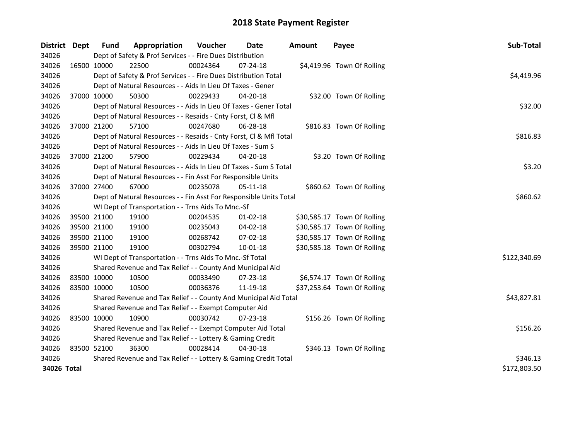| <b>District</b> | Dept        | <b>Fund</b>                                               | Appropriation                                                      | Voucher  | <b>Date</b>    | <b>Amount</b> | Payee                       | Sub-Total    |
|-----------------|-------------|-----------------------------------------------------------|--------------------------------------------------------------------|----------|----------------|---------------|-----------------------------|--------------|
| 34026           |             |                                                           | Dept of Safety & Prof Services - - Fire Dues Distribution          |          |                |               |                             |              |
| 34026           | 16500 10000 |                                                           | 22500                                                              | 00024364 | $07 - 24 - 18$ |               | \$4,419.96 Town Of Rolling  |              |
| 34026           |             |                                                           | Dept of Safety & Prof Services - - Fire Dues Distribution Total    |          |                |               |                             | \$4,419.96   |
| 34026           |             |                                                           | Dept of Natural Resources - - Aids In Lieu Of Taxes - Gener        |          |                |               |                             |              |
| 34026           | 37000 10000 |                                                           | 50300                                                              | 00229433 | 04-20-18       |               | \$32.00 Town Of Rolling     |              |
| 34026           |             |                                                           | Dept of Natural Resources - - Aids In Lieu Of Taxes - Gener Total  |          |                |               |                             | \$32.00      |
| 34026           |             |                                                           | Dept of Natural Resources - - Resaids - Cnty Forst, Cl & Mfl       |          |                |               |                             |              |
| 34026           | 37000 21200 |                                                           | 57100                                                              | 00247680 | $06 - 28 - 18$ |               | \$816.83 Town Of Rolling    |              |
| 34026           |             |                                                           | Dept of Natural Resources - - Resaids - Cnty Forst, Cl & Mfl Total | \$816.83 |                |               |                             |              |
| 34026           |             |                                                           | Dept of Natural Resources - - Aids In Lieu Of Taxes - Sum S        |          |                |               |                             |              |
| 34026           | 37000 21200 |                                                           | 57900                                                              | 00229434 | 04-20-18       |               | \$3.20 Town Of Rolling      |              |
| 34026           |             |                                                           | Dept of Natural Resources - - Aids In Lieu Of Taxes - Sum S Total  |          |                |               |                             | \$3.20       |
| 34026           |             |                                                           | Dept of Natural Resources - - Fin Asst For Responsible Units       |          |                |               |                             |              |
| 34026           | 37000 27400 |                                                           | 67000                                                              | 00235078 | 05-11-18       |               | \$860.62 Town Of Rolling    |              |
| 34026           |             |                                                           | Dept of Natural Resources - - Fin Asst For Responsible Units Total |          |                |               |                             | \$860.62     |
| 34026           |             |                                                           | WI Dept of Transportation - - Trns Aids To Mnc.-Sf                 |          |                |               |                             |              |
| 34026           | 39500 21100 |                                                           | 19100                                                              | 00204535 | $01 - 02 - 18$ |               | \$30,585.17 Town Of Rolling |              |
| 34026           | 39500 21100 |                                                           | 19100                                                              | 00235043 | 04-02-18       |               | \$30,585.17 Town Of Rolling |              |
| 34026           | 39500 21100 |                                                           | 19100                                                              | 00268742 | 07-02-18       |               | \$30,585.17 Town Of Rolling |              |
| 34026           | 39500 21100 |                                                           | 19100                                                              | 00302794 | $10 - 01 - 18$ |               | \$30,585.18 Town Of Rolling |              |
| 34026           |             |                                                           | WI Dept of Transportation - - Trns Aids To Mnc.-Sf Total           |          |                |               |                             | \$122,340.69 |
| 34026           |             |                                                           | Shared Revenue and Tax Relief - - County And Municipal Aid         |          |                |               |                             |              |
| 34026           | 83500 10000 |                                                           | 10500                                                              | 00033490 | 07-23-18       |               | \$6,574.17 Town Of Rolling  |              |
| 34026           | 83500 10000 |                                                           | 10500                                                              | 00036376 | 11-19-18       |               | \$37,253.64 Town Of Rolling |              |
| 34026           |             |                                                           | Shared Revenue and Tax Relief - - County And Municipal Aid Total   |          |                |               |                             | \$43,827.81  |
| 34026           |             |                                                           | Shared Revenue and Tax Relief - - Exempt Computer Aid              |          |                |               |                             |              |
| 34026           | 83500 10000 |                                                           | 10900                                                              | 00030742 | $07 - 23 - 18$ |               | \$156.26 Town Of Rolling    |              |
| 34026           |             |                                                           | Shared Revenue and Tax Relief - - Exempt Computer Aid Total        |          |                |               |                             | \$156.26     |
| 34026           |             | Shared Revenue and Tax Relief - - Lottery & Gaming Credit |                                                                    |          |                |               |                             |              |
| 34026           | 83500 52100 |                                                           | 36300                                                              | 00028414 | 04-30-18       |               | \$346.13 Town Of Rolling    |              |
| 34026           |             |                                                           | Shared Revenue and Tax Relief - - Lottery & Gaming Credit Total    | \$346.13 |                |               |                             |              |
| 34026 Total     |             | \$172,803.50                                              |                                                                    |          |                |               |                             |              |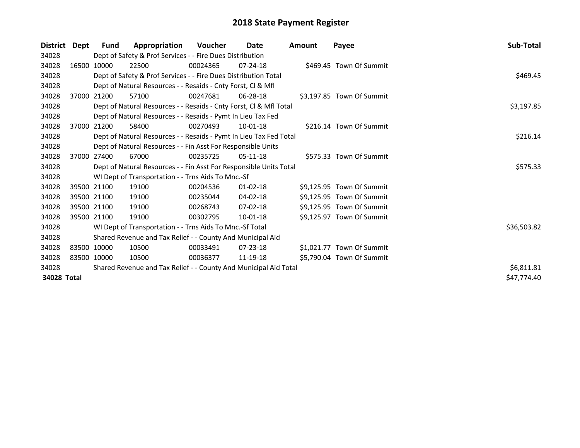| <b>District</b> | Dept  | Fund        | Appropriation                                                      | <b>Voucher</b> | Date           | Amount | Payee                     | Sub-Total   |  |  |  |
|-----------------|-------|-------------|--------------------------------------------------------------------|----------------|----------------|--------|---------------------------|-------------|--|--|--|
| 34028           |       |             | Dept of Safety & Prof Services - - Fire Dues Distribution          |                |                |        |                           |             |  |  |  |
| 34028           |       | 16500 10000 | 22500                                                              | 00024365       | $07 - 24 - 18$ |        | \$469.45 Town Of Summit   |             |  |  |  |
| 34028           |       |             | Dept of Safety & Prof Services - - Fire Dues Distribution Total    | \$469.45       |                |        |                           |             |  |  |  |
| 34028           |       |             | Dept of Natural Resources - - Resaids - Cnty Forst, CI & Mfl       |                |                |        |                           |             |  |  |  |
| 34028           |       | 37000 21200 | 57100                                                              | 00247681       | 06-28-18       |        | \$3,197.85 Town Of Summit |             |  |  |  |
| 34028           |       |             | Dept of Natural Resources - - Resaids - Cnty Forst, Cl & Mfl Total | \$3,197.85     |                |        |                           |             |  |  |  |
| 34028           |       |             | Dept of Natural Resources - - Resaids - Pymt In Lieu Tax Fed       |                |                |        |                           |             |  |  |  |
| 34028           | 37000 | 21200       | 58400                                                              | 00270493       | $10 - 01 - 18$ |        | \$216.14 Town Of Summit   |             |  |  |  |
| 34028           |       |             | Dept of Natural Resources - - Resaids - Pymt In Lieu Tax Fed Total |                |                |        |                           | \$216.14    |  |  |  |
| 34028           |       |             | Dept of Natural Resources - - Fin Asst For Responsible Units       |                |                |        |                           |             |  |  |  |
| 34028           |       | 37000 27400 | 67000                                                              | 00235725       | $05-11-18$     |        | \$575.33 Town Of Summit   |             |  |  |  |
| 34028           |       |             | Dept of Natural Resources - - Fin Asst For Responsible Units Total |                |                |        |                           | \$575.33    |  |  |  |
| 34028           |       |             | WI Dept of Transportation - - Trns Aids To Mnc.-Sf                 |                |                |        |                           |             |  |  |  |
| 34028           |       | 39500 21100 | 19100                                                              | 00204536       | 01-02-18       |        | \$9,125.95 Town Of Summit |             |  |  |  |
| 34028           |       | 39500 21100 | 19100                                                              | 00235044       | 04-02-18       |        | \$9,125.95 Town Of Summit |             |  |  |  |
| 34028           |       | 39500 21100 | 19100                                                              | 00268743       | $07 - 02 - 18$ |        | \$9,125.95 Town Of Summit |             |  |  |  |
| 34028           |       | 39500 21100 | 19100                                                              | 00302795       | 10-01-18       |        | \$9,125.97 Town Of Summit |             |  |  |  |
| 34028           |       |             | WI Dept of Transportation - - Trns Aids To Mnc.-Sf Total           |                |                |        |                           | \$36,503.82 |  |  |  |
| 34028           |       |             | Shared Revenue and Tax Relief - - County And Municipal Aid         |                |                |        |                           |             |  |  |  |
| 34028           |       | 83500 10000 | 10500                                                              | 00033491       | $07 - 23 - 18$ |        | \$1,021.77 Town Of Summit |             |  |  |  |
| 34028           |       | 83500 10000 | 10500                                                              | 00036377       | 11-19-18       |        | \$5,790.04 Town Of Summit |             |  |  |  |
| 34028           |       |             | Shared Revenue and Tax Relief - - County And Municipal Aid Total   |                |                |        |                           | \$6,811.81  |  |  |  |
| 34028 Total     |       |             |                                                                    |                |                |        |                           | \$47,774.40 |  |  |  |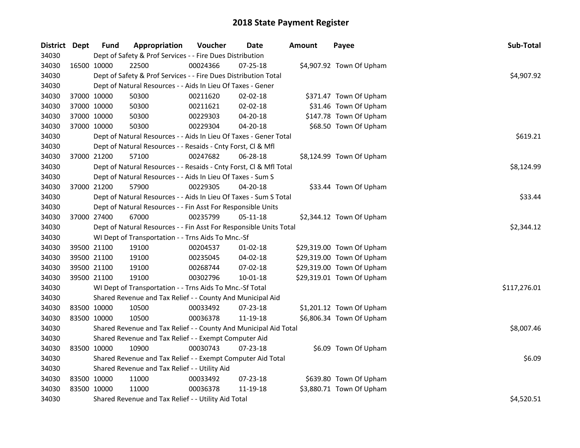| District Dept |             | <b>Fund</b> | Appropriation                                                      | Voucher  | <b>Date</b>    | Amount | Payee                     | Sub-Total    |
|---------------|-------------|-------------|--------------------------------------------------------------------|----------|----------------|--------|---------------------------|--------------|
| 34030         |             |             | Dept of Safety & Prof Services - - Fire Dues Distribution          |          |                |        |                           |              |
| 34030         | 16500 10000 |             | 22500                                                              | 00024366 | 07-25-18       |        | \$4,907.92 Town Of Upham  |              |
| 34030         |             |             | Dept of Safety & Prof Services - - Fire Dues Distribution Total    |          |                |        |                           | \$4,907.92   |
| 34030         |             |             | Dept of Natural Resources - - Aids In Lieu Of Taxes - Gener        |          |                |        |                           |              |
| 34030         | 37000 10000 |             | 50300                                                              | 00211620 | 02-02-18       |        | \$371.47 Town Of Upham    |              |
| 34030         | 37000 10000 |             | 50300                                                              | 00211621 | 02-02-18       |        | \$31.46 Town Of Upham     |              |
| 34030         | 37000 10000 |             | 50300                                                              | 00229303 | $04 - 20 - 18$ |        | \$147.78 Town Of Upham    |              |
| 34030         | 37000 10000 |             | 50300                                                              | 00229304 | 04-20-18       |        | \$68.50 Town Of Upham     |              |
| 34030         |             |             | Dept of Natural Resources - - Aids In Lieu Of Taxes - Gener Total  |          |                |        |                           | \$619.21     |
| 34030         |             |             | Dept of Natural Resources - - Resaids - Cnty Forst, Cl & Mfl       |          |                |        |                           |              |
| 34030         | 37000 21200 |             | 57100                                                              | 00247682 | $06 - 28 - 18$ |        | \$8,124.99 Town Of Upham  |              |
| 34030         |             |             | Dept of Natural Resources - - Resaids - Cnty Forst, Cl & Mfl Total |          |                |        |                           | \$8,124.99   |
| 34030         |             |             | Dept of Natural Resources - - Aids In Lieu Of Taxes - Sum S        |          |                |        |                           |              |
| 34030         | 37000 21200 |             | 57900                                                              | 00229305 | 04-20-18       |        | \$33.44 Town Of Upham     |              |
| 34030         |             |             | Dept of Natural Resources - - Aids In Lieu Of Taxes - Sum S Total  |          |                |        |                           | \$33.44      |
| 34030         |             |             | Dept of Natural Resources - - Fin Asst For Responsible Units       |          |                |        |                           |              |
| 34030         | 37000 27400 |             | 67000                                                              | 00235799 | 05-11-18       |        | \$2,344.12 Town Of Upham  |              |
| 34030         |             |             | Dept of Natural Resources - - Fin Asst For Responsible Units Total |          |                |        |                           | \$2,344.12   |
| 34030         |             |             | WI Dept of Transportation - - Trns Aids To Mnc.-Sf                 |          |                |        |                           |              |
| 34030         | 39500 21100 |             | 19100                                                              | 00204537 | $01 - 02 - 18$ |        | \$29,319.00 Town Of Upham |              |
| 34030         | 39500 21100 |             | 19100                                                              | 00235045 | 04-02-18       |        | \$29,319.00 Town Of Upham |              |
| 34030         | 39500 21100 |             | 19100                                                              | 00268744 | 07-02-18       |        | \$29,319.00 Town Of Upham |              |
| 34030         | 39500 21100 |             | 19100                                                              | 00302796 | $10 - 01 - 18$ |        | \$29,319.01 Town Of Upham |              |
| 34030         |             |             | WI Dept of Transportation - - Trns Aids To Mnc.-Sf Total           |          |                |        |                           | \$117,276.01 |
| 34030         |             |             | Shared Revenue and Tax Relief - - County And Municipal Aid         |          |                |        |                           |              |
| 34030         | 83500 10000 |             | 10500                                                              | 00033492 | 07-23-18       |        | \$1,201.12 Town Of Upham  |              |
| 34030         | 83500 10000 |             | 10500                                                              | 00036378 | 11-19-18       |        | \$6,806.34 Town Of Upham  |              |
| 34030         |             |             | Shared Revenue and Tax Relief - - County And Municipal Aid Total   |          |                |        |                           | \$8,007.46   |
| 34030         |             |             | Shared Revenue and Tax Relief - - Exempt Computer Aid              |          |                |        |                           |              |
| 34030         | 83500 10000 |             | 10900                                                              | 00030743 | 07-23-18       |        | \$6.09 Town Of Upham      |              |
| 34030         |             |             | Shared Revenue and Tax Relief - - Exempt Computer Aid Total        |          |                |        |                           | \$6.09       |
| 34030         |             |             | Shared Revenue and Tax Relief - - Utility Aid                      |          |                |        |                           |              |
| 34030         | 83500 10000 |             | 11000                                                              | 00033492 | 07-23-18       |        | \$639.80 Town Of Upham    |              |
| 34030         | 83500 10000 |             | 11000                                                              | 00036378 | 11-19-18       |        | \$3,880.71 Town Of Upham  |              |
| 34030         |             |             | Shared Revenue and Tax Relief - - Utility Aid Total                |          | \$4,520.51     |        |                           |              |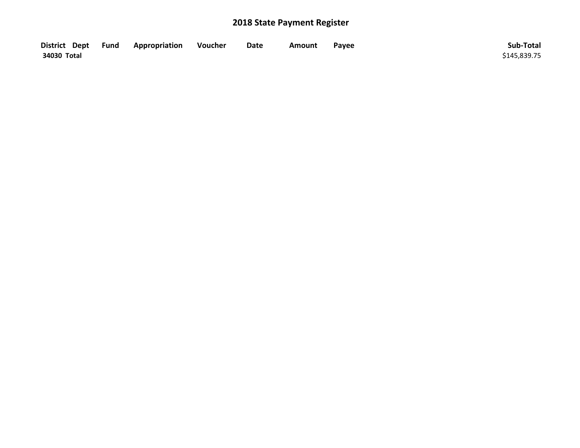| District Dept Fund | Appropriation | Voucher | Date | Amount | Payee | Sub-Total    |
|--------------------|---------------|---------|------|--------|-------|--------------|
| 34030 Total        |               |         |      |        |       | \$145,839.75 |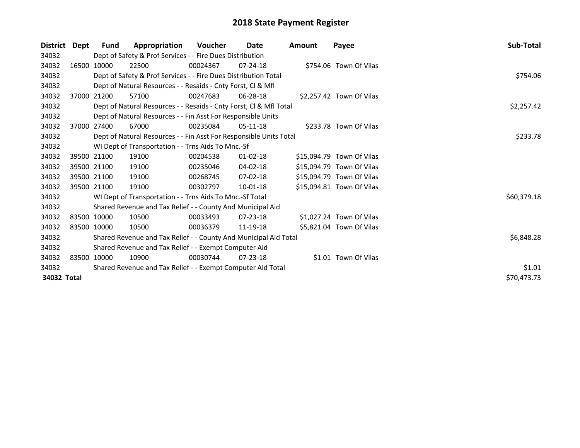| <b>District</b> | Dept | Fund                                                        | Appropriation                                                      | <b>Voucher</b> | <b>Date</b>    | <b>Amount</b> | Payee                     | Sub-Total   |  |  |  |
|-----------------|------|-------------------------------------------------------------|--------------------------------------------------------------------|----------------|----------------|---------------|---------------------------|-------------|--|--|--|
| 34032           |      |                                                             | Dept of Safety & Prof Services - - Fire Dues Distribution          |                |                |               |                           |             |  |  |  |
| 34032           |      | 16500 10000                                                 | 22500                                                              | 00024367       | $07 - 24 - 18$ |               | \$754.06 Town Of Vilas    |             |  |  |  |
| 34032           |      |                                                             | Dept of Safety & Prof Services - - Fire Dues Distribution Total    |                |                |               |                           |             |  |  |  |
| 34032           |      |                                                             | Dept of Natural Resources - - Resaids - Cnty Forst, CI & Mfl       |                |                |               |                           |             |  |  |  |
| 34032           |      | 37000 21200                                                 | 57100                                                              | 00247683       | 06-28-18       |               | \$2,257.42 Town Of Vilas  |             |  |  |  |
| 34032           |      |                                                             | Dept of Natural Resources - - Resaids - Cnty Forst, Cl & Mfl Total |                |                |               |                           |             |  |  |  |
| 34032           |      |                                                             | Dept of Natural Resources - - Fin Asst For Responsible Units       |                |                |               |                           |             |  |  |  |
| 34032           |      | 37000 27400                                                 | 67000                                                              | 00235084       | 05-11-18       |               | \$233.78 Town Of Vilas    |             |  |  |  |
| 34032           |      |                                                             | Dept of Natural Resources - - Fin Asst For Responsible Units Total |                |                |               |                           | \$233.78    |  |  |  |
| 34032           |      |                                                             | WI Dept of Transportation - - Trns Aids To Mnc.-Sf                 |                |                |               |                           |             |  |  |  |
| 34032           |      | 39500 21100                                                 | 19100                                                              | 00204538       | $01 - 02 - 18$ |               | \$15,094.79 Town Of Vilas |             |  |  |  |
| 34032           |      | 39500 21100                                                 | 19100                                                              | 00235046       | $04 - 02 - 18$ |               | \$15,094.79 Town Of Vilas |             |  |  |  |
| 34032           |      | 39500 21100                                                 | 19100                                                              | 00268745       | $07-02-18$     |               | \$15,094.79 Town Of Vilas |             |  |  |  |
| 34032           |      | 39500 21100                                                 | 19100                                                              | 00302797       | 10-01-18       |               | \$15,094.81 Town Of Vilas |             |  |  |  |
| 34032           |      |                                                             | WI Dept of Transportation - - Trns Aids To Mnc.-Sf Total           |                |                |               |                           | \$60,379.18 |  |  |  |
| 34032           |      |                                                             | Shared Revenue and Tax Relief - - County And Municipal Aid         |                |                |               |                           |             |  |  |  |
| 34032           |      | 83500 10000                                                 | 10500                                                              | 00033493       | 07-23-18       |               | \$1,027.24 Town Of Vilas  |             |  |  |  |
| 34032           |      | 83500 10000                                                 | 10500                                                              | 00036379       | 11-19-18       |               | \$5,821.04 Town Of Vilas  |             |  |  |  |
| 34032           |      |                                                             | Shared Revenue and Tax Relief - - County And Municipal Aid Total   |                |                |               |                           | \$6,848.28  |  |  |  |
| 34032           |      | Shared Revenue and Tax Relief - - Exempt Computer Aid       |                                                                    |                |                |               |                           |             |  |  |  |
| 34032           |      | 83500 10000                                                 | 10900                                                              | 00030744       | $07 - 23 - 18$ |               | \$1.01 Town Of Vilas      |             |  |  |  |
| 34032           |      | Shared Revenue and Tax Relief - - Exempt Computer Aid Total |                                                                    |                |                |               |                           |             |  |  |  |
| 34032 Total     |      |                                                             |                                                                    |                |                |               |                           | \$70,473.73 |  |  |  |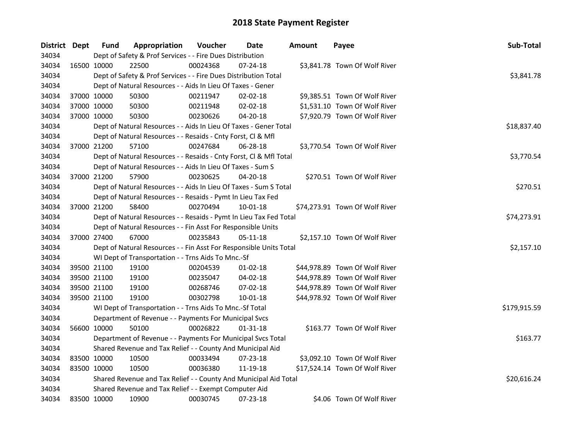| District Dept |             | <b>Fund</b> | Appropriation                                                      | Voucher  | Date           | <b>Amount</b> | Payee                          | Sub-Total    |
|---------------|-------------|-------------|--------------------------------------------------------------------|----------|----------------|---------------|--------------------------------|--------------|
| 34034         |             |             | Dept of Safety & Prof Services - - Fire Dues Distribution          |          |                |               |                                |              |
| 34034         | 16500 10000 |             | 22500                                                              | 00024368 | 07-24-18       |               | \$3,841.78 Town Of Wolf River  |              |
| 34034         |             |             | Dept of Safety & Prof Services - - Fire Dues Distribution Total    |          |                |               |                                | \$3,841.78   |
| 34034         |             |             | Dept of Natural Resources - - Aids In Lieu Of Taxes - Gener        |          |                |               |                                |              |
| 34034         | 37000 10000 |             | 50300                                                              | 00211947 | 02-02-18       |               | \$9,385.51 Town Of Wolf River  |              |
| 34034         | 37000 10000 |             | 50300                                                              | 00211948 | 02-02-18       |               | \$1,531.10 Town Of Wolf River  |              |
| 34034         | 37000 10000 |             | 50300                                                              | 00230626 | 04-20-18       |               | \$7,920.79 Town Of Wolf River  |              |
| 34034         |             |             | Dept of Natural Resources - - Aids In Lieu Of Taxes - Gener Total  |          |                |               |                                | \$18,837.40  |
| 34034         |             |             | Dept of Natural Resources - - Resaids - Cnty Forst, Cl & Mfl       |          |                |               |                                |              |
| 34034         |             | 37000 21200 | 57100                                                              | 00247684 | 06-28-18       |               | \$3,770.54 Town Of Wolf River  |              |
| 34034         |             |             | Dept of Natural Resources - - Resaids - Cnty Forst, CI & Mfl Total |          |                |               |                                | \$3,770.54   |
| 34034         |             |             | Dept of Natural Resources - - Aids In Lieu Of Taxes - Sum S        |          |                |               |                                |              |
| 34034         | 37000 21200 |             | 57900                                                              | 00230625 | 04-20-18       |               | \$270.51 Town Of Wolf River    |              |
| 34034         |             |             | Dept of Natural Resources - - Aids In Lieu Of Taxes - Sum S Total  |          |                |               |                                | \$270.51     |
| 34034         |             |             | Dept of Natural Resources - - Resaids - Pymt In Lieu Tax Fed       |          |                |               |                                |              |
| 34034         | 37000 21200 |             | 58400                                                              | 00270494 | 10-01-18       |               | \$74,273.91 Town Of Wolf River |              |
| 34034         |             |             | Dept of Natural Resources - - Resaids - Pymt In Lieu Tax Fed Total |          |                |               |                                | \$74,273.91  |
| 34034         |             |             | Dept of Natural Resources - - Fin Asst For Responsible Units       |          |                |               |                                |              |
| 34034         | 37000 27400 |             | 67000                                                              | 00235843 | $05 - 11 - 18$ |               | \$2,157.10 Town Of Wolf River  |              |
| 34034         |             |             | Dept of Natural Resources - - Fin Asst For Responsible Units Total |          |                |               |                                | \$2,157.10   |
| 34034         |             |             | WI Dept of Transportation - - Trns Aids To Mnc.-Sf                 |          |                |               |                                |              |
| 34034         | 39500 21100 |             | 19100                                                              | 00204539 | $01-02-18$     |               | \$44,978.89 Town Of Wolf River |              |
| 34034         |             | 39500 21100 | 19100                                                              | 00235047 | 04-02-18       |               | \$44,978.89 Town Of Wolf River |              |
| 34034         |             | 39500 21100 | 19100                                                              | 00268746 | 07-02-18       |               | \$44,978.89 Town Of Wolf River |              |
| 34034         | 39500 21100 |             | 19100                                                              | 00302798 | 10-01-18       |               | \$44,978.92 Town Of Wolf River |              |
| 34034         |             |             | WI Dept of Transportation - - Trns Aids To Mnc.-Sf Total           |          |                |               |                                | \$179,915.59 |
| 34034         |             |             | Department of Revenue - - Payments For Municipal Svcs              |          |                |               |                                |              |
| 34034         | 56600 10000 |             | 50100                                                              | 00026822 | $01 - 31 - 18$ |               | \$163.77 Town Of Wolf River    |              |
| 34034         |             |             | Department of Revenue - - Payments For Municipal Svcs Total        |          |                |               |                                | \$163.77     |
| 34034         |             |             | Shared Revenue and Tax Relief - - County And Municipal Aid         |          |                |               |                                |              |
| 34034         | 83500 10000 |             | 10500                                                              | 00033494 | 07-23-18       |               | \$3,092.10 Town Of Wolf River  |              |
| 34034         | 83500 10000 |             | 10500                                                              | 00036380 | 11-19-18       |               | \$17,524.14 Town Of Wolf River |              |
| 34034         |             |             | Shared Revenue and Tax Relief - - County And Municipal Aid Total   |          |                |               |                                | \$20,616.24  |
| 34034         |             |             | Shared Revenue and Tax Relief - - Exempt Computer Aid              |          |                |               |                                |              |
| 34034         | 83500 10000 |             | 10900                                                              | 00030745 | 07-23-18       |               | \$4.06 Town Of Wolf River      |              |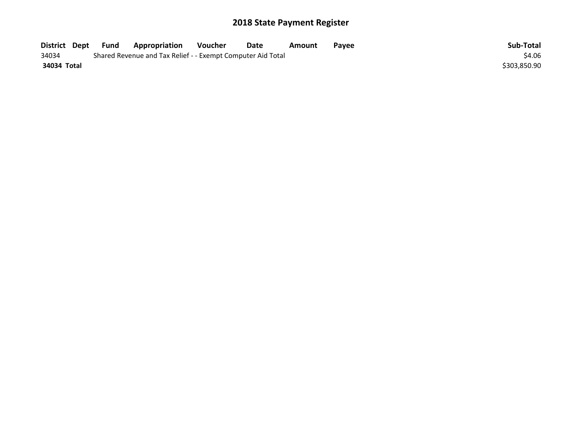| District Dept | Fund | <b>Appropriation</b>                                        | Voucher | Date | Amount | Payee | Sub-Total    |
|---------------|------|-------------------------------------------------------------|---------|------|--------|-------|--------------|
| 34034         |      | Shared Revenue and Tax Relief - - Exempt Computer Aid Total |         |      |        |       | \$4.06       |
| 34034 Total   |      |                                                             |         |      |        |       | \$303,850.90 |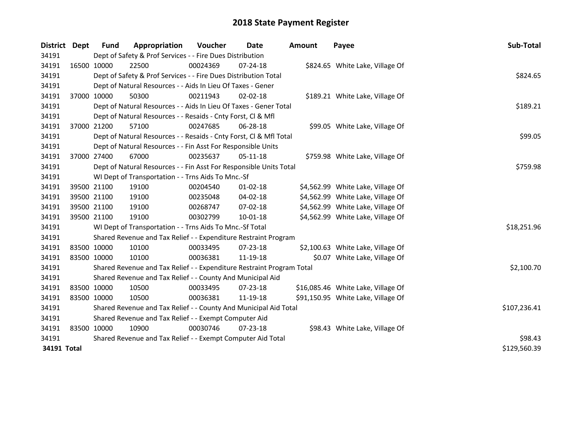| <b>District</b> | Dept | <b>Fund</b> | Appropriation                                                         | Voucher      | Date           | <b>Amount</b> | Payee                              | Sub-Total    |
|-----------------|------|-------------|-----------------------------------------------------------------------|--------------|----------------|---------------|------------------------------------|--------------|
| 34191           |      |             | Dept of Safety & Prof Services - - Fire Dues Distribution             |              |                |               |                                    |              |
| 34191           |      | 16500 10000 | 22500                                                                 | 00024369     | 07-24-18       |               | \$824.65 White Lake, Village Of    |              |
| 34191           |      |             | Dept of Safety & Prof Services - - Fire Dues Distribution Total       |              |                |               |                                    | \$824.65     |
| 34191           |      |             | Dept of Natural Resources - - Aids In Lieu Of Taxes - Gener           |              |                |               |                                    |              |
| 34191           |      | 37000 10000 | 50300                                                                 | 00211943     | $02 - 02 - 18$ |               | \$189.21 White Lake, Village Of    |              |
| 34191           |      |             | Dept of Natural Resources - - Aids In Lieu Of Taxes - Gener Total     |              |                |               |                                    | \$189.21     |
| 34191           |      |             | Dept of Natural Resources - - Resaids - Cnty Forst, Cl & Mfl          |              |                |               |                                    |              |
| 34191           |      | 37000 21200 | 57100                                                                 | 00247685     | 06-28-18       |               | \$99.05 White Lake, Village Of     |              |
| 34191           |      |             | Dept of Natural Resources - - Resaids - Cnty Forst, Cl & Mfl Total    | \$99.05      |                |               |                                    |              |
| 34191           |      |             | Dept of Natural Resources - - Fin Asst For Responsible Units          |              |                |               |                                    |              |
| 34191           |      | 37000 27400 | 67000                                                                 | 00235637     | 05-11-18       |               | \$759.98 White Lake, Village Of    |              |
| 34191           |      |             | Dept of Natural Resources - - Fin Asst For Responsible Units Total    |              |                |               |                                    | \$759.98     |
| 34191           |      |             | WI Dept of Transportation - - Trns Aids To Mnc.-Sf                    |              |                |               |                                    |              |
| 34191           |      | 39500 21100 | 19100                                                                 | 00204540     | 01-02-18       |               | \$4,562.99 White Lake, Village Of  |              |
| 34191           |      | 39500 21100 | 19100                                                                 | 00235048     | 04-02-18       |               | \$4,562.99 White Lake, Village Of  |              |
| 34191           |      | 39500 21100 | 19100                                                                 | 00268747     | 07-02-18       |               | \$4,562.99 White Lake, Village Of  |              |
| 34191           |      | 39500 21100 | 19100                                                                 | 00302799     | 10-01-18       |               | \$4,562.99 White Lake, Village Of  |              |
| 34191           |      |             | WI Dept of Transportation - - Trns Aids To Mnc.-Sf Total              |              |                |               |                                    | \$18,251.96  |
| 34191           |      |             | Shared Revenue and Tax Relief - - Expenditure Restraint Program       |              |                |               |                                    |              |
| 34191           |      | 83500 10000 | 10100                                                                 | 00033495     | 07-23-18       |               | \$2,100.63 White Lake, Village Of  |              |
| 34191           |      | 83500 10000 | 10100                                                                 | 00036381     | 11-19-18       |               | \$0.07 White Lake, Village Of      |              |
| 34191           |      |             | Shared Revenue and Tax Relief - - Expenditure Restraint Program Total |              |                |               |                                    | \$2,100.70   |
| 34191           |      |             | Shared Revenue and Tax Relief - - County And Municipal Aid            |              |                |               |                                    |              |
| 34191           |      | 83500 10000 | 10500                                                                 | 00033495     | $07 - 23 - 18$ |               | \$16,085.46 White Lake, Village Of |              |
| 34191           |      | 83500 10000 | 10500                                                                 | 00036381     | 11-19-18       |               | \$91,150.95 White Lake, Village Of |              |
| 34191           |      |             | Shared Revenue and Tax Relief - - County And Municipal Aid Total      | \$107,236.41 |                |               |                                    |              |
| 34191           |      |             | Shared Revenue and Tax Relief - - Exempt Computer Aid                 |              |                |               |                                    |              |
| 34191           |      | 83500 10000 | 10900                                                                 | 00030746     | 07-23-18       |               | \$98.43 White Lake, Village Of     |              |
| 34191           |      |             | Shared Revenue and Tax Relief - - Exempt Computer Aid Total           |              |                |               |                                    | \$98.43      |
| 34191 Total     |      |             |                                                                       |              |                |               |                                    | \$129,560.39 |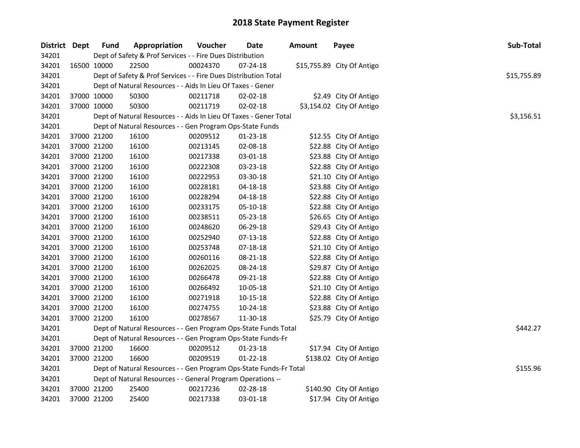| District Dept | <b>Fund</b> | Appropriation                                                      | Voucher  | Date           | <b>Amount</b> | Payee                      | Sub-Total   |
|---------------|-------------|--------------------------------------------------------------------|----------|----------------|---------------|----------------------------|-------------|
| 34201         |             | Dept of Safety & Prof Services - - Fire Dues Distribution          |          |                |               |                            |             |
| 34201         | 16500 10000 | 22500                                                              | 00024370 | 07-24-18       |               | \$15,755.89 City Of Antigo |             |
| 34201         |             | Dept of Safety & Prof Services - - Fire Dues Distribution Total    |          |                |               |                            | \$15,755.89 |
| 34201         |             | Dept of Natural Resources - - Aids In Lieu Of Taxes - Gener        |          |                |               |                            |             |
| 34201         | 37000 10000 | 50300                                                              | 00211718 | 02-02-18       |               | \$2.49 City Of Antigo      |             |
| 34201         | 37000 10000 | 50300                                                              | 00211719 | 02-02-18       |               | \$3,154.02 City Of Antigo  |             |
| 34201         |             | Dept of Natural Resources - - Aids In Lieu Of Taxes - Gener Total  |          |                |               |                            | \$3,156.51  |
| 34201         |             | Dept of Natural Resources - - Gen Program Ops-State Funds          |          |                |               |                            |             |
| 34201         | 37000 21200 | 16100                                                              | 00209512 | $01 - 23 - 18$ |               | \$12.55 City Of Antigo     |             |
| 34201         | 37000 21200 | 16100                                                              | 00213145 | 02-08-18       |               | \$22.88 City Of Antigo     |             |
| 34201         | 37000 21200 | 16100                                                              | 00217338 | 03-01-18       |               | \$23.88 City Of Antigo     |             |
| 34201         | 37000 21200 | 16100                                                              | 00222308 | 03-23-18       |               | \$22.88 City Of Antigo     |             |
| 34201         | 37000 21200 | 16100                                                              | 00222953 | 03-30-18       |               | \$21.10 City Of Antigo     |             |
| 34201         | 37000 21200 | 16100                                                              | 00228181 | 04-18-18       |               | \$23.88 City Of Antigo     |             |
| 34201         | 37000 21200 | 16100                                                              | 00228294 | 04-18-18       |               | \$22.88 City Of Antigo     |             |
| 34201         | 37000 21200 | 16100                                                              | 00233175 | 05-10-18       |               | \$22.88 City Of Antigo     |             |
| 34201         | 37000 21200 | 16100                                                              | 00238511 | 05-23-18       |               | \$26.65 City Of Antigo     |             |
| 34201         | 37000 21200 | 16100                                                              | 00248620 | 06-29-18       |               | \$29.43 City Of Antigo     |             |
| 34201         | 37000 21200 | 16100                                                              | 00252940 | 07-13-18       |               | \$22.88 City Of Antigo     |             |
| 34201         | 37000 21200 | 16100                                                              | 00253748 | 07-18-18       |               | \$21.10 City Of Antigo     |             |
| 34201         | 37000 21200 | 16100                                                              | 00260116 | 08-21-18       |               | \$22.88 City Of Antigo     |             |
| 34201         | 37000 21200 | 16100                                                              | 00262025 | 08-24-18       |               | \$29.87 City Of Antigo     |             |
| 34201         | 37000 21200 | 16100                                                              | 00266478 | 09-21-18       |               | \$22.88 City Of Antigo     |             |
| 34201         | 37000 21200 | 16100                                                              | 00266492 | 10-05-18       |               | \$21.10 City Of Antigo     |             |
| 34201         | 37000 21200 | 16100                                                              | 00271918 | 10-15-18       |               | \$22.88 City Of Antigo     |             |
| 34201         | 37000 21200 | 16100                                                              | 00274755 | 10-24-18       |               | \$23.88 City Of Antigo     |             |
| 34201         | 37000 21200 | 16100                                                              | 00278567 | 11-30-18       |               | \$25.79 City Of Antigo     |             |
| 34201         |             | Dept of Natural Resources - - Gen Program Ops-State Funds Total    |          |                |               |                            | \$442.27    |
| 34201         |             | Dept of Natural Resources - - Gen Program Ops-State Funds-Fr       |          |                |               |                            |             |
| 34201         | 37000 21200 | 16600                                                              | 00209512 | 01-23-18       |               | \$17.94 City Of Antigo     |             |
| 34201         | 37000 21200 | 16600                                                              | 00209519 | $01 - 22 - 18$ |               | \$138.02 City Of Antigo    |             |
| 34201         |             | Dept of Natural Resources - - Gen Program Ops-State Funds-Fr Total |          |                |               |                            | \$155.96    |
| 34201         |             | Dept of Natural Resources - - General Program Operations --        |          |                |               |                            |             |
| 34201         | 37000 21200 | 25400                                                              | 00217236 | 02-28-18       |               | \$140.90 City Of Antigo    |             |
| 34201         | 37000 21200 | 25400                                                              | 00217338 | 03-01-18       |               | \$17.94 City Of Antigo     |             |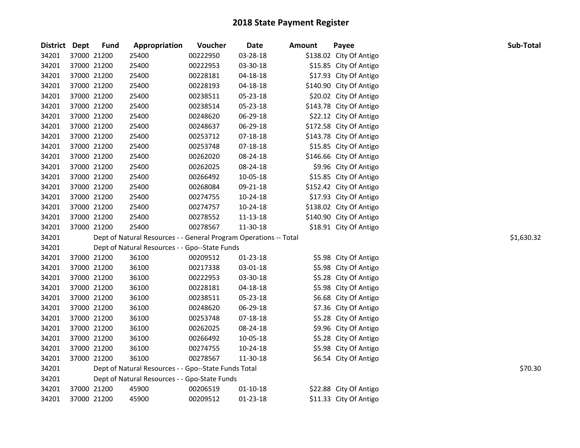|       | District Dept | <b>Fund</b> | Appropriation                                                     | Voucher  | Date           | Amount | Payee                   | Sub-Total  |
|-------|---------------|-------------|-------------------------------------------------------------------|----------|----------------|--------|-------------------------|------------|
| 34201 |               | 37000 21200 | 25400                                                             | 00222950 | 03-28-18       |        | \$138.02 City Of Antigo |            |
| 34201 |               | 37000 21200 | 25400                                                             | 00222953 | 03-30-18       |        | \$15.85 City Of Antigo  |            |
| 34201 |               | 37000 21200 | 25400                                                             | 00228181 | $04 - 18 - 18$ |        | \$17.93 City Of Antigo  |            |
| 34201 |               | 37000 21200 | 25400                                                             | 00228193 | 04-18-18       |        | \$140.90 City Of Antigo |            |
| 34201 |               | 37000 21200 | 25400                                                             | 00238511 | 05-23-18       |        | \$20.02 City Of Antigo  |            |
| 34201 |               | 37000 21200 | 25400                                                             | 00238514 | 05-23-18       |        | \$143.78 City Of Antigo |            |
| 34201 |               | 37000 21200 | 25400                                                             | 00248620 | 06-29-18       |        | \$22.12 City Of Antigo  |            |
| 34201 |               | 37000 21200 | 25400                                                             | 00248637 | 06-29-18       |        | \$172.58 City Of Antigo |            |
| 34201 |               | 37000 21200 | 25400                                                             | 00253712 | 07-18-18       |        | \$143.78 City Of Antigo |            |
| 34201 |               | 37000 21200 | 25400                                                             | 00253748 | 07-18-18       |        | \$15.85 City Of Antigo  |            |
| 34201 |               | 37000 21200 | 25400                                                             | 00262020 | 08-24-18       |        | \$146.66 City Of Antigo |            |
| 34201 |               | 37000 21200 | 25400                                                             | 00262025 | 08-24-18       |        | \$9.96 City Of Antigo   |            |
| 34201 |               | 37000 21200 | 25400                                                             | 00266492 | 10-05-18       |        | \$15.85 City Of Antigo  |            |
| 34201 |               | 37000 21200 | 25400                                                             | 00268084 | 09-21-18       |        | \$152.42 City Of Antigo |            |
| 34201 |               | 37000 21200 | 25400                                                             | 00274755 | 10-24-18       |        | \$17.93 City Of Antigo  |            |
| 34201 |               | 37000 21200 | 25400                                                             | 00274757 | 10-24-18       |        | \$138.02 City Of Antigo |            |
| 34201 |               | 37000 21200 | 25400                                                             | 00278552 | 11-13-18       |        | \$140.90 City Of Antigo |            |
| 34201 |               | 37000 21200 | 25400                                                             | 00278567 | 11-30-18       |        | \$18.91 City Of Antigo  |            |
| 34201 |               |             | Dept of Natural Resources - - General Program Operations -- Total |          |                |        |                         | \$1,630.32 |
| 34201 |               |             | Dept of Natural Resources - - Gpo--State Funds                    |          |                |        |                         |            |
| 34201 |               | 37000 21200 | 36100                                                             | 00209512 | $01 - 23 - 18$ |        | \$5.98 City Of Antigo   |            |
| 34201 |               | 37000 21200 | 36100                                                             | 00217338 | 03-01-18       |        | \$5.98 City Of Antigo   |            |
| 34201 |               | 37000 21200 | 36100                                                             | 00222953 | 03-30-18       |        | \$5.28 City Of Antigo   |            |
| 34201 |               | 37000 21200 | 36100                                                             | 00228181 | $04 - 18 - 18$ |        | \$5.98 City Of Antigo   |            |
| 34201 |               | 37000 21200 | 36100                                                             | 00238511 | 05-23-18       |        | \$6.68 City Of Antigo   |            |
| 34201 |               | 37000 21200 | 36100                                                             | 00248620 | 06-29-18       |        | \$7.36 City Of Antigo   |            |
| 34201 |               | 37000 21200 | 36100                                                             | 00253748 | 07-18-18       |        | \$5.28 City Of Antigo   |            |
| 34201 |               | 37000 21200 | 36100                                                             | 00262025 | 08-24-18       |        | \$9.96 City Of Antigo   |            |
| 34201 |               | 37000 21200 | 36100                                                             | 00266492 | 10-05-18       |        | \$5.28 City Of Antigo   |            |
| 34201 |               | 37000 21200 | 36100                                                             | 00274755 | 10-24-18       |        | \$5.98 City Of Antigo   |            |
| 34201 |               | 37000 21200 | 36100                                                             | 00278567 | 11-30-18       |        | \$6.54 City Of Antigo   |            |
| 34201 |               |             | Dept of Natural Resources - - Gpo--State Funds Total              |          |                |        |                         | \$70.30    |
| 34201 |               |             | Dept of Natural Resources - - Gpo-State Funds                     |          |                |        |                         |            |
| 34201 |               | 37000 21200 | 45900                                                             | 00206519 | $01 - 10 - 18$ |        | \$22.88 City Of Antigo  |            |
| 34201 |               | 37000 21200 | 45900                                                             | 00209512 | $01 - 23 - 18$ |        | \$11.33 City Of Antigo  |            |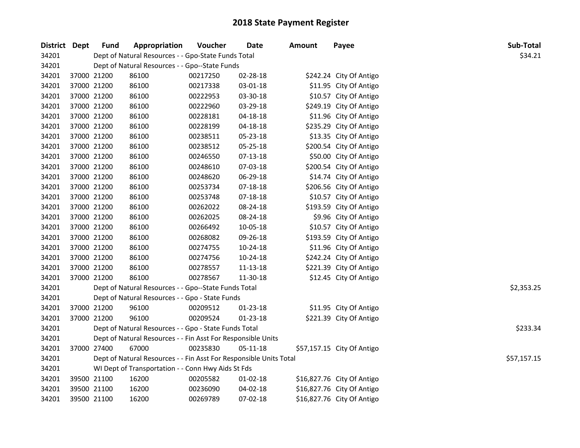| District Dept |             | <b>Fund</b>                                        | Appropriation                                                      | Voucher  | <b>Date</b>    | <b>Amount</b> | Payee                      | Sub-Total   |  |
|---------------|-------------|----------------------------------------------------|--------------------------------------------------------------------|----------|----------------|---------------|----------------------------|-------------|--|
| 34201         |             |                                                    | Dept of Natural Resources - - Gpo-State Funds Total                |          |                |               |                            | \$34.21     |  |
| 34201         |             | Dept of Natural Resources - - Gpo--State Funds     |                                                                    |          |                |               |                            |             |  |
| 34201         | 37000 21200 |                                                    | 86100                                                              | 00217250 | 02-28-18       |               | \$242.24 City Of Antigo    |             |  |
| 34201         |             | 37000 21200                                        | 86100                                                              | 00217338 | 03-01-18       |               | \$11.95 City Of Antigo     |             |  |
| 34201         |             | 37000 21200                                        | 86100                                                              | 00222953 | 03-30-18       |               | \$10.57 City Of Antigo     |             |  |
| 34201         |             | 37000 21200                                        | 86100                                                              | 00222960 | 03-29-18       |               | \$249.19 City Of Antigo    |             |  |
| 34201         |             | 37000 21200                                        | 86100                                                              | 00228181 | 04-18-18       |               | \$11.96 City Of Antigo     |             |  |
| 34201         |             | 37000 21200                                        | 86100                                                              | 00228199 | 04-18-18       |               | \$235.29 City Of Antigo    |             |  |
| 34201         |             | 37000 21200                                        | 86100                                                              | 00238511 | 05-23-18       |               | \$13.35 City Of Antigo     |             |  |
| 34201         | 37000 21200 |                                                    | 86100                                                              | 00238512 | 05-25-18       |               | \$200.54 City Of Antigo    |             |  |
| 34201         | 37000 21200 |                                                    | 86100                                                              | 00246550 | 07-13-18       |               | \$50.00 City Of Antigo     |             |  |
| 34201         | 37000 21200 |                                                    | 86100                                                              | 00248610 | 07-03-18       |               | \$200.54 City Of Antigo    |             |  |
| 34201         |             | 37000 21200                                        | 86100                                                              | 00248620 | 06-29-18       |               | \$14.74 City Of Antigo     |             |  |
| 34201         |             | 37000 21200                                        | 86100                                                              | 00253734 | 07-18-18       |               | \$206.56 City Of Antigo    |             |  |
| 34201         |             | 37000 21200                                        | 86100                                                              | 00253748 | 07-18-18       |               | \$10.57 City Of Antigo     |             |  |
| 34201         |             | 37000 21200                                        | 86100                                                              | 00262022 | 08-24-18       |               | \$193.59 City Of Antigo    |             |  |
| 34201         |             | 37000 21200                                        | 86100                                                              | 00262025 | 08-24-18       |               | \$9.96 City Of Antigo      |             |  |
| 34201         |             | 37000 21200                                        | 86100                                                              | 00266492 | 10-05-18       |               | \$10.57 City Of Antigo     |             |  |
| 34201         |             | 37000 21200                                        | 86100                                                              | 00268082 | 09-26-18       |               | \$193.59 City Of Antigo    |             |  |
| 34201         |             | 37000 21200                                        | 86100                                                              | 00274755 | 10-24-18       |               | \$11.96 City Of Antigo     |             |  |
| 34201         |             | 37000 21200                                        | 86100                                                              | 00274756 | 10-24-18       |               | \$242.24 City Of Antigo    |             |  |
| 34201         |             | 37000 21200                                        | 86100                                                              | 00278557 | 11-13-18       |               | \$221.39 City Of Antigo    |             |  |
| 34201         | 37000 21200 |                                                    | 86100                                                              | 00278567 | 11-30-18       |               | \$12.45 City Of Antigo     |             |  |
| 34201         |             |                                                    | Dept of Natural Resources - - Gpo--State Funds Total               |          |                |               |                            | \$2,353.25  |  |
| 34201         |             |                                                    | Dept of Natural Resources - - Gpo - State Funds                    |          |                |               |                            |             |  |
| 34201         |             | 37000 21200                                        | 96100                                                              | 00209512 | $01 - 23 - 18$ |               | \$11.95 City Of Antigo     |             |  |
| 34201         | 37000 21200 |                                                    | 96100                                                              | 00209524 | $01 - 23 - 18$ |               | \$221.39 City Of Antigo    |             |  |
| 34201         |             |                                                    | Dept of Natural Resources - - Gpo - State Funds Total              |          |                |               |                            | \$233.34    |  |
| 34201         |             |                                                    | Dept of Natural Resources - - Fin Asst For Responsible Units       |          |                |               |                            |             |  |
| 34201         | 37000 27400 |                                                    | 67000                                                              | 00235830 | $05 - 11 - 18$ |               | \$57,157.15 City Of Antigo |             |  |
| 34201         |             |                                                    | Dept of Natural Resources - - Fin Asst For Responsible Units Total |          |                |               |                            | \$57,157.15 |  |
| 34201         |             | WI Dept of Transportation - - Conn Hwy Aids St Fds |                                                                    |          |                |               |                            |             |  |
| 34201         |             | 39500 21100                                        | 16200                                                              | 00205582 | 01-02-18       |               | \$16,827.76 City Of Antigo |             |  |
| 34201         |             | 39500 21100                                        | 16200                                                              | 00236090 | 04-02-18       |               | \$16,827.76 City Of Antigo |             |  |
| 34201         | 39500 21100 |                                                    | 16200                                                              | 00269789 | 07-02-18       |               | \$16,827.76 City Of Antigo |             |  |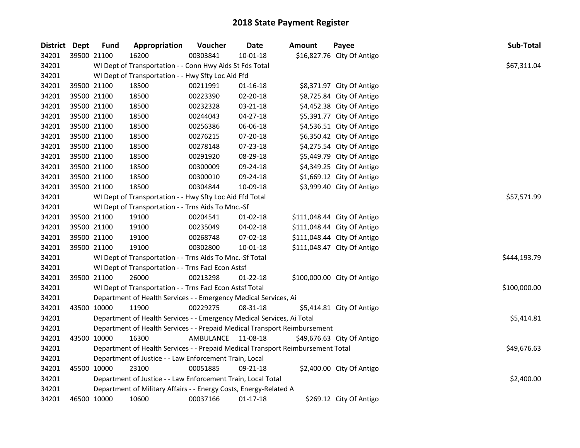| District Dept |             | <b>Fund</b>                                        | Appropriation                                                                   | Voucher            | Date           | <b>Amount</b> | Payee                       | Sub-Total    |  |  |
|---------------|-------------|----------------------------------------------------|---------------------------------------------------------------------------------|--------------------|----------------|---------------|-----------------------------|--------------|--|--|
| 34201         | 39500 21100 |                                                    | 16200                                                                           | 00303841           | $10 - 01 - 18$ |               | \$16,827.76 City Of Antigo  |              |  |  |
| 34201         |             |                                                    | WI Dept of Transportation - - Conn Hwy Aids St Fds Total                        |                    |                |               |                             | \$67,311.04  |  |  |
| 34201         |             | WI Dept of Transportation - - Hwy Sfty Loc Aid Ffd |                                                                                 |                    |                |               |                             |              |  |  |
| 34201         |             | 39500 21100                                        | 18500                                                                           | 00211991           | $01 - 16 - 18$ |               | \$8,371.97 City Of Antigo   |              |  |  |
| 34201         |             | 39500 21100                                        | 18500                                                                           | 00223390           | 02-20-18       |               | \$8,725.84 City Of Antigo   |              |  |  |
| 34201         |             | 39500 21100                                        | 18500                                                                           | 00232328           | 03-21-18       |               | \$4,452.38 City Of Antigo   |              |  |  |
| 34201         |             | 39500 21100                                        | 18500                                                                           | 00244043           | $04 - 27 - 18$ |               | \$5,391.77 City Of Antigo   |              |  |  |
| 34201         |             | 39500 21100                                        | 18500                                                                           | 00256386           | 06-06-18       |               | \$4,536.51 City Of Antigo   |              |  |  |
| 34201         |             | 39500 21100                                        | 18500                                                                           | 00276215           | 07-20-18       |               | \$6,350.42 City Of Antigo   |              |  |  |
| 34201         |             | 39500 21100                                        | 18500                                                                           | 00278148           | 07-23-18       |               | \$4,275.54 City Of Antigo   |              |  |  |
| 34201         |             | 39500 21100                                        | 18500                                                                           | 00291920           | 08-29-18       |               | \$5,449.79 City Of Antigo   |              |  |  |
| 34201         |             | 39500 21100                                        | 18500                                                                           | 00300009           | 09-24-18       |               | \$4,349.25 City Of Antigo   |              |  |  |
| 34201         |             | 39500 21100                                        | 18500                                                                           | 00300010           | 09-24-18       |               | \$1,669.12 City Of Antigo   |              |  |  |
| 34201         | 39500 21100 |                                                    | 18500                                                                           | 00304844           | 10-09-18       |               | \$3,999.40 City Of Antigo   |              |  |  |
| 34201         |             |                                                    | WI Dept of Transportation - - Hwy Sfty Loc Aid Ffd Total                        |                    |                |               |                             | \$57,571.99  |  |  |
| 34201         |             |                                                    | WI Dept of Transportation - - Trns Aids To Mnc.-Sf                              |                    |                |               |                             |              |  |  |
| 34201         |             | 39500 21100                                        | 19100                                                                           | 00204541           | 01-02-18       |               | \$111,048.44 City Of Antigo |              |  |  |
| 34201         |             | 39500 21100                                        | 19100                                                                           | 00235049           | 04-02-18       |               | \$111,048.44 City Of Antigo |              |  |  |
| 34201         |             | 39500 21100                                        | 19100                                                                           | 00268748           | 07-02-18       |               | \$111,048.44 City Of Antigo |              |  |  |
| 34201         |             | 39500 21100                                        | 19100                                                                           | 00302800           | $10 - 01 - 18$ |               | \$111,048.47 City Of Antigo |              |  |  |
| 34201         |             |                                                    | WI Dept of Transportation - - Trns Aids To Mnc.-Sf Total                        |                    |                |               |                             | \$444,193.79 |  |  |
| 34201         |             |                                                    | WI Dept of Transportation - - Trns Facl Econ Astsf                              |                    |                |               |                             |              |  |  |
| 34201         |             | 39500 21100                                        | 26000                                                                           | 00213298           | $01 - 22 - 18$ |               | \$100,000.00 City Of Antigo |              |  |  |
| 34201         |             |                                                    | WI Dept of Transportation - - Trns Facl Econ Astsf Total                        |                    |                |               |                             | \$100,000.00 |  |  |
| 34201         |             |                                                    | Department of Health Services - - Emergency Medical Services, Ai                |                    |                |               |                             |              |  |  |
| 34201         | 43500 10000 |                                                    | 11900                                                                           | 00229275           | 08-31-18       |               | \$5,414.81 City Of Antigo   |              |  |  |
| 34201         |             |                                                    | Department of Health Services - - Emergency Medical Services, Ai Total          |                    |                |               |                             | \$5,414.81   |  |  |
| 34201         |             |                                                    | Department of Health Services - - Prepaid Medical Transport Reimbursement       |                    |                |               |                             |              |  |  |
| 34201         | 43500 10000 |                                                    | 16300                                                                           | AMBULANCE 11-08-18 |                |               | \$49,676.63 City Of Antigo  |              |  |  |
| 34201         |             |                                                    | Department of Health Services - - Prepaid Medical Transport Reimbursement Total |                    |                |               |                             | \$49,676.63  |  |  |
| 34201         |             |                                                    | Department of Justice - - Law Enforcement Train, Local                          |                    |                |               |                             |              |  |  |
| 34201         |             | 45500 10000                                        | 23100                                                                           | 00051885           | 09-21-18       |               | \$2,400.00 City Of Antigo   |              |  |  |
| 34201         |             |                                                    | Department of Justice - - Law Enforcement Train, Local Total                    |                    |                |               |                             | \$2,400.00   |  |  |
| 34201         |             |                                                    | Department of Military Affairs - - Energy Costs, Energy-Related A               |                    |                |               |                             |              |  |  |
| 34201         |             | 46500 10000                                        | 10600                                                                           | 00037166           | $01 - 17 - 18$ |               | \$269.12 City Of Antigo     |              |  |  |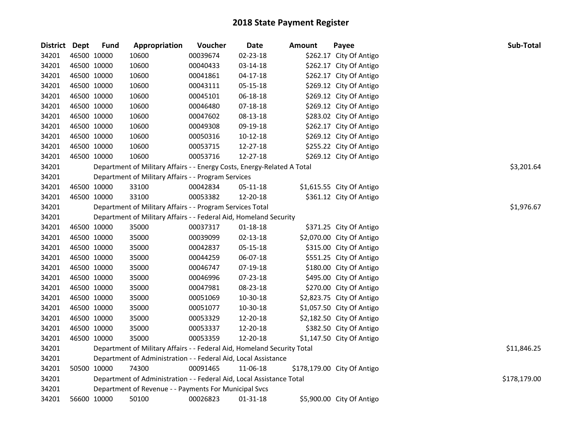| District Dept |             | <b>Fund</b> | Appropriation                                                           | Voucher  | <b>Date</b>    | Amount | Payee                       | Sub-Total    |
|---------------|-------------|-------------|-------------------------------------------------------------------------|----------|----------------|--------|-----------------------------|--------------|
| 34201         |             | 46500 10000 | 10600                                                                   | 00039674 | 02-23-18       |        | \$262.17 City Of Antigo     |              |
| 34201         | 46500 10000 |             | 10600                                                                   | 00040433 | 03-14-18       |        | \$262.17 City Of Antigo     |              |
| 34201         | 46500 10000 |             | 10600                                                                   | 00041861 | $04 - 17 - 18$ |        | \$262.17 City Of Antigo     |              |
| 34201         | 46500 10000 |             | 10600                                                                   | 00043111 | 05-15-18       |        | \$269.12 City Of Antigo     |              |
| 34201         | 46500 10000 |             | 10600                                                                   | 00045101 | 06-18-18       |        | \$269.12 City Of Antigo     |              |
| 34201         | 46500 10000 |             | 10600                                                                   | 00046480 | 07-18-18       |        | \$269.12 City Of Antigo     |              |
| 34201         | 46500 10000 |             | 10600                                                                   | 00047602 | 08-13-18       |        | \$283.02 City Of Antigo     |              |
| 34201         | 46500 10000 |             | 10600                                                                   | 00049308 | 09-19-18       |        | \$262.17 City Of Antigo     |              |
| 34201         | 46500 10000 |             | 10600                                                                   | 00050316 | 10-12-18       |        | \$269.12 City Of Antigo     |              |
| 34201         | 46500 10000 |             | 10600                                                                   | 00053715 | 12-27-18       |        | \$255.22 City Of Antigo     |              |
| 34201         | 46500 10000 |             | 10600                                                                   | 00053716 | 12-27-18       |        | \$269.12 City Of Antigo     |              |
| 34201         |             |             | Department of Military Affairs - - Energy Costs, Energy-Related A Total |          |                |        |                             | \$3,201.64   |
| 34201         |             |             | Department of Military Affairs - - Program Services                     |          |                |        |                             |              |
| 34201         |             | 46500 10000 | 33100                                                                   | 00042834 | 05-11-18       |        | \$1,615.55 City Of Antigo   |              |
| 34201         | 46500 10000 |             | 33100                                                                   | 00053382 | 12-20-18       |        | \$361.12 City Of Antigo     |              |
| 34201         |             |             | Department of Military Affairs - - Program Services Total               |          |                |        |                             | \$1,976.67   |
| 34201         |             |             | Department of Military Affairs - - Federal Aid, Homeland Security       |          |                |        |                             |              |
| 34201         | 46500 10000 |             | 35000                                                                   | 00037317 | $01 - 18 - 18$ |        | \$371.25 City Of Antigo     |              |
| 34201         | 46500 10000 |             | 35000                                                                   | 00039099 | 02-13-18       |        | \$2,070.00 City Of Antigo   |              |
| 34201         | 46500 10000 |             | 35000                                                                   | 00042837 | 05-15-18       |        | \$315.00 City Of Antigo     |              |
| 34201         | 46500 10000 |             | 35000                                                                   | 00044259 | 06-07-18       |        | \$551.25 City Of Antigo     |              |
| 34201         | 46500 10000 |             | 35000                                                                   | 00046747 | 07-19-18       |        | \$180.00 City Of Antigo     |              |
| 34201         | 46500 10000 |             | 35000                                                                   | 00046996 | 07-23-18       |        | \$495.00 City Of Antigo     |              |
| 34201         |             | 46500 10000 | 35000                                                                   | 00047981 | 08-23-18       |        | \$270.00 City Of Antigo     |              |
| 34201         | 46500 10000 |             | 35000                                                                   | 00051069 | 10-30-18       |        | \$2,823.75 City Of Antigo   |              |
| 34201         |             | 46500 10000 | 35000                                                                   | 00051077 | 10-30-18       |        | \$1,057.50 City Of Antigo   |              |
| 34201         |             | 46500 10000 | 35000                                                                   | 00053329 | 12-20-18       |        | \$2,182.50 City Of Antigo   |              |
| 34201         | 46500 10000 |             | 35000                                                                   | 00053337 | 12-20-18       |        | \$382.50 City Of Antigo     |              |
| 34201         | 46500 10000 |             | 35000                                                                   | 00053359 | 12-20-18       |        | \$1,147.50 City Of Antigo   |              |
| 34201         |             |             | Department of Military Affairs - - Federal Aid, Homeland Security Total |          |                |        |                             | \$11,846.25  |
| 34201         |             |             | Department of Administration - - Federal Aid, Local Assistance          |          |                |        |                             |              |
| 34201         |             | 50500 10000 | 74300                                                                   | 00091465 | 11-06-18       |        | \$178,179.00 City Of Antigo |              |
| 34201         |             |             | Department of Administration - - Federal Aid, Local Assistance Total    |          |                |        |                             | \$178,179.00 |
| 34201         |             |             | Department of Revenue - - Payments For Municipal Svcs                   |          |                |        |                             |              |
| 34201         | 56600 10000 |             | 50100                                                                   | 00026823 | 01-31-18       |        | \$5,900.00 City Of Antigo   |              |